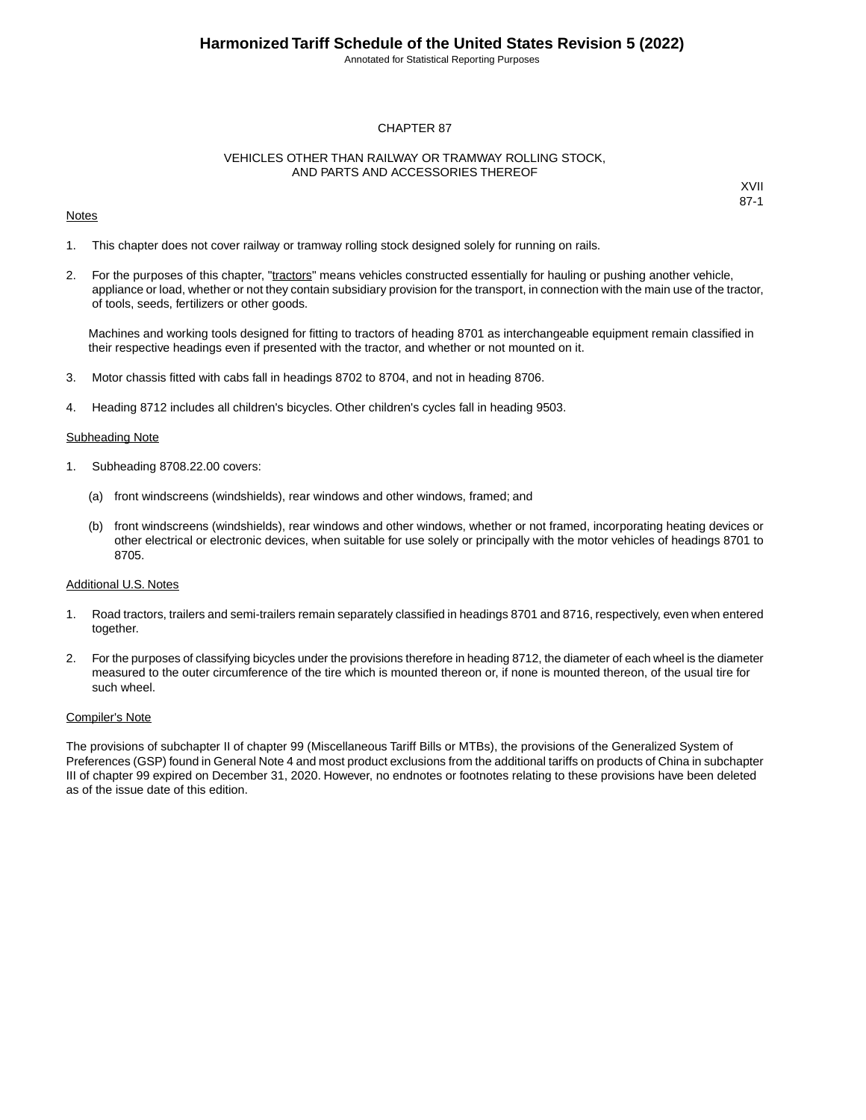Annotated for Statistical Reporting Purposes

#### CHAPTER 87

#### VEHICLES OTHER THAN RAILWAY OR TRAMWAY ROLLING STOCK, AND PARTS AND ACCESSORIES THEREOF

#### Notes

1. This chapter does not cover railway or tramway rolling stock designed solely for running on rails.

2. For the purposes of this chapter, "tractors" means vehicles constructed essentially for hauling or pushing another vehicle, appliance or load, whether or not they contain subsidiary provision for the transport, in connection with the main use of the tractor, of tools, seeds, fertilizers or other goods.

Machines and working tools designed for fitting to tractors of heading 8701 as interchangeable equipment remain classified in their respective headings even if presented with the tractor, and whether or not mounted on it.

- 3. Motor chassis fitted with cabs fall in headings 8702 to 8704, and not in heading 8706.
- 4. Heading 8712 includes all children's bicycles. Other children's cycles fall in heading 9503.

#### **Subheading Note**

- 1. Subheading 8708.22.00 covers:
	- (a) front windscreens (windshields), rear windows and other windows, framed; and
	- (b) front windscreens (windshields), rear windows and other windows, whether or not framed, incorporating heating devices or other electrical or electronic devices, when suitable for use solely or principally with the motor vehicles of headings 8701 to 8705.

#### Additional U.S. Notes

- 1. Road tractors, trailers and semi-trailers remain separately classified in headings 8701 and 8716, respectively, even when entered together.
- 2. For the purposes of classifying bicycles under the provisions therefore in heading 8712, the diameter of each wheel is the diameter measured to the outer circumference of the tire which is mounted thereon or, if none is mounted thereon, of the usual tire for such wheel.

#### Compiler's Note

The provisions of subchapter II of chapter 99 (Miscellaneous Tariff Bills or MTBs), the provisions of the Generalized System of Preferences (GSP) found in General Note 4 and most product exclusions from the additional tariffs on products of China in subchapter III of chapter 99 expired on December 31, 2020. However, no endnotes or footnotes relating to these provisions have been deleted as of the issue date of this edition.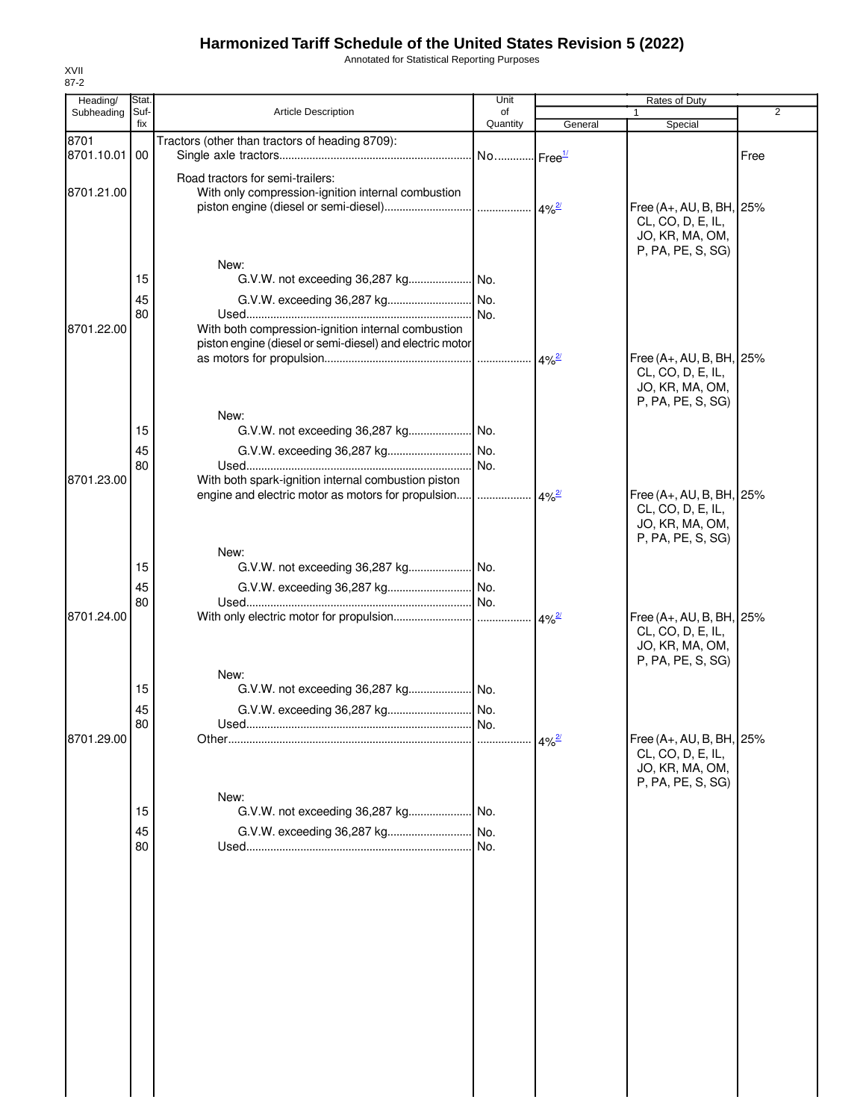Annotated for Statistical Reporting Purposes

| Heading/           | Stat. |                                                          | Unit                  |                     | <b>Rates of Duty</b>                 |                |
|--------------------|-------|----------------------------------------------------------|-----------------------|---------------------|--------------------------------------|----------------|
| Subheading         | Suf-  | <b>Article Description</b>                               | of                    |                     |                                      | $\overline{2}$ |
|                    | fix   |                                                          | Quantity              | General             | Special                              |                |
| 8701<br>8701.10.01 | 00    | Tractors (other than tractors of heading 8709):          | No Free <sup>1/</sup> |                     |                                      | Free           |
|                    |       |                                                          |                       |                     |                                      |                |
| 8701.21.00         |       | Road tractors for semi-trailers:                         |                       |                     |                                      |                |
|                    |       | With only compression-ignition internal combustion       |                       |                     | Free (A+, AU, B, BH, 25%             |                |
|                    |       |                                                          |                       |                     | CL, CO, D, E, IL,                    |                |
|                    |       |                                                          |                       |                     | JO, KR, MA, OM,                      |                |
|                    |       |                                                          |                       |                     | P, PA, PE, S, SG)                    |                |
|                    |       | New:                                                     |                       |                     |                                      |                |
|                    | 15    |                                                          |                       |                     |                                      |                |
|                    | 45    |                                                          |                       |                     |                                      |                |
| 8701.22.00         | 80    | With both compression-ignition internal combustion       |                       |                     |                                      |                |
|                    |       | piston engine (diesel or semi-diesel) and electric motor |                       |                     |                                      |                |
|                    |       |                                                          |                       | $4\%^{2/2}$         | Free (A+, AU, B, BH, 25%             |                |
|                    |       |                                                          |                       |                     | CL, CO, D, E, IL,                    |                |
|                    |       |                                                          |                       |                     | JO, KR, MA, OM,                      |                |
|                    |       | New:                                                     |                       |                     | P, PA, PE, S, SG)                    |                |
|                    | 15    |                                                          |                       |                     |                                      |                |
|                    | 45    |                                                          |                       |                     |                                      |                |
|                    | 80    |                                                          |                       |                     |                                      |                |
| 8701.23.00         |       | With both spark-ignition internal combustion piston      |                       |                     |                                      |                |
|                    |       | engine and electric motor as motors for propulsion       |                       | $4\%$ <sup>2/</sup> | Free (A+, AU, B, BH, 25%             |                |
|                    |       |                                                          |                       |                     | CL, CO, D, E, IL,                    |                |
|                    |       |                                                          |                       |                     | JO, KR, MA, OM,<br>P, PA, PE, S, SG) |                |
|                    |       | New:                                                     |                       |                     |                                      |                |
|                    | 15    |                                                          |                       |                     |                                      |                |
|                    | 45    |                                                          |                       |                     |                                      |                |
|                    | 80    |                                                          |                       |                     |                                      |                |
| 8701.24.00         |       |                                                          |                       | $4\%$ <sup>2/</sup> | Free (A+, AU, B, BH, 25%             |                |
|                    |       |                                                          |                       |                     | CL, CO, D, E, IL,<br>JO, KR, MA, OM, |                |
|                    |       |                                                          |                       |                     | P, PA, PE, S, SG)                    |                |
|                    |       | New:                                                     |                       |                     |                                      |                |
|                    | 15    |                                                          |                       |                     |                                      |                |
|                    | 45    |                                                          |                       |                     |                                      |                |
|                    | 80    |                                                          |                       |                     |                                      |                |
| 8701.29.00         |       |                                                          |                       | $4\%^{2}$           | Free (A+, AU, B, BH, 25%             |                |
|                    |       |                                                          |                       |                     | CL, CO, D, E, IL,<br>JO, KR, MA, OM, |                |
|                    |       |                                                          |                       |                     | P, PA, PE, S, SG)                    |                |
|                    |       | New:                                                     |                       |                     |                                      |                |
|                    | 15    | G.V.W. not exceeding 36,287 kg No.                       |                       |                     |                                      |                |
|                    | 45    | G.V.W. exceeding 36,287 kg                               | No.                   |                     |                                      |                |
|                    | 80    |                                                          | .I No.                |                     |                                      |                |
|                    |       |                                                          |                       |                     |                                      |                |
|                    |       |                                                          |                       |                     |                                      |                |
|                    |       |                                                          |                       |                     |                                      |                |
|                    |       |                                                          |                       |                     |                                      |                |
|                    |       |                                                          |                       |                     |                                      |                |
|                    |       |                                                          |                       |                     |                                      |                |
|                    |       |                                                          |                       |                     |                                      |                |
|                    |       |                                                          |                       |                     |                                      |                |
|                    |       |                                                          |                       |                     |                                      |                |
|                    |       |                                                          |                       |                     |                                      |                |
|                    |       |                                                          |                       |                     |                                      |                |
|                    |       |                                                          |                       |                     |                                      |                |
|                    |       |                                                          |                       |                     |                                      |                |
|                    |       |                                                          |                       |                     |                                      |                |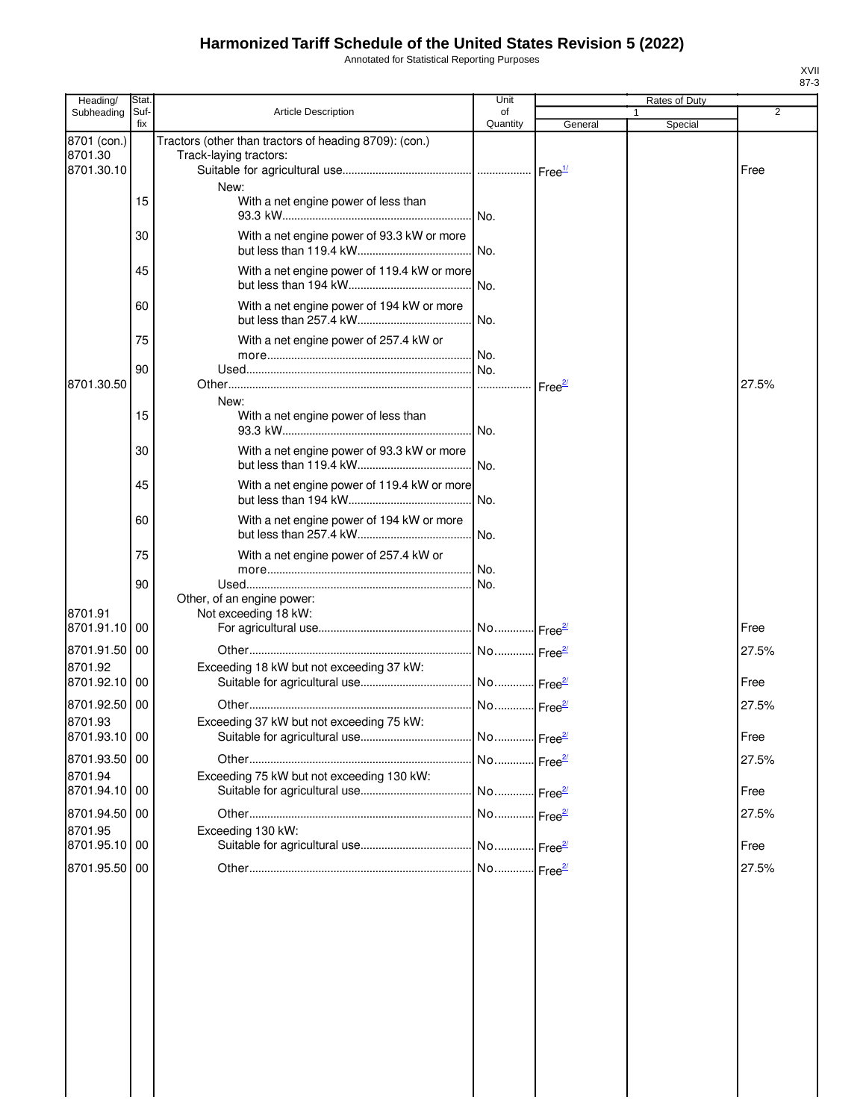Annotated for Statistical Reporting Purposes

| Suf-<br><b>Article Description</b><br>2<br>of<br>Subheading<br>1<br>fix<br>Quantity<br>General<br>Special<br>8701 (con.)<br>Tractors (other than tractors of heading 8709): (con.)<br>8701.30<br>Track-laying tractors:<br>8701.30.10<br>Free<br>Free <sup>1/</sup><br>New:<br>15<br>With a net engine power of less than<br>INo.<br>With a net engine power of 93.3 kW or more<br>30<br>I No.<br>With a net engine power of 119.4 kW or more<br>45<br>With a net engine power of 194 kW or more<br>60<br>No.<br>75<br>With a net engine power of 257.4 kW or<br>No.<br>90<br>8701.30.50<br>27.5%<br>Free <sup>2/</sup><br>New:<br>15<br>With a net engine power of less than<br>No.<br>30<br>With a net engine power of 93.3 kW or more<br>No.<br>45<br>With a net engine power of 119.4 kW or more<br>No.<br>60<br>With a net engine power of 194 kW or more<br>No.<br>75<br>With a net engine power of 257.4 kW or<br>No.<br>90<br>No.<br>Other, of an engine power:<br>8701.91<br>Not exceeding 18 kW:<br>8701.91.10<br>00<br>Free<br>8701.91.50<br>00<br>27.5%<br>8701.92<br>Exceeding 18 kW but not exceeding 37 kW:<br>8701.92.10<br>00<br>Free<br>8701.92.50 00<br>27.5%<br>Exceeding 37 kW but not exceeding 75 kW:<br>8701.93<br>No Free <sup>2/</sup><br>Free<br>8701.93.10 00<br>No Free <sup>2/</sup><br>8701.93.50 00<br>27.5%<br>8701.94<br>Exceeding 75 kW but not exceeding 130 kW:<br>8701.94.10 00<br>No<br>Free<br>Free $\frac{27}{2}$<br>8701.94.50 00<br>No Free <sup>2/</sup><br>27.5%<br>8701.95<br>Exceeding 130 kW:<br>8701.95.10 00<br>Free<br>8701.95.50 00<br>No Free <sup>2/</sup><br>27.5% | Heading/ | Stat | Unit | Rates of Duty |  |
|---------------------------------------------------------------------------------------------------------------------------------------------------------------------------------------------------------------------------------------------------------------------------------------------------------------------------------------------------------------------------------------------------------------------------------------------------------------------------------------------------------------------------------------------------------------------------------------------------------------------------------------------------------------------------------------------------------------------------------------------------------------------------------------------------------------------------------------------------------------------------------------------------------------------------------------------------------------------------------------------------------------------------------------------------------------------------------------------------------------------------------------------------------------------------------------------------------------------------------------------------------------------------------------------------------------------------------------------------------------------------------------------------------------------------------------------------------------------------------------------------------------------------------------------------------------------------------------------------------------------------|----------|------|------|---------------|--|
|                                                                                                                                                                                                                                                                                                                                                                                                                                                                                                                                                                                                                                                                                                                                                                                                                                                                                                                                                                                                                                                                                                                                                                                                                                                                                                                                                                                                                                                                                                                                                                                                                           |          |      |      |               |  |
|                                                                                                                                                                                                                                                                                                                                                                                                                                                                                                                                                                                                                                                                                                                                                                                                                                                                                                                                                                                                                                                                                                                                                                                                                                                                                                                                                                                                                                                                                                                                                                                                                           |          |      |      |               |  |
|                                                                                                                                                                                                                                                                                                                                                                                                                                                                                                                                                                                                                                                                                                                                                                                                                                                                                                                                                                                                                                                                                                                                                                                                                                                                                                                                                                                                                                                                                                                                                                                                                           |          |      |      |               |  |
|                                                                                                                                                                                                                                                                                                                                                                                                                                                                                                                                                                                                                                                                                                                                                                                                                                                                                                                                                                                                                                                                                                                                                                                                                                                                                                                                                                                                                                                                                                                                                                                                                           |          |      |      |               |  |
|                                                                                                                                                                                                                                                                                                                                                                                                                                                                                                                                                                                                                                                                                                                                                                                                                                                                                                                                                                                                                                                                                                                                                                                                                                                                                                                                                                                                                                                                                                                                                                                                                           |          |      |      |               |  |
|                                                                                                                                                                                                                                                                                                                                                                                                                                                                                                                                                                                                                                                                                                                                                                                                                                                                                                                                                                                                                                                                                                                                                                                                                                                                                                                                                                                                                                                                                                                                                                                                                           |          |      |      |               |  |
|                                                                                                                                                                                                                                                                                                                                                                                                                                                                                                                                                                                                                                                                                                                                                                                                                                                                                                                                                                                                                                                                                                                                                                                                                                                                                                                                                                                                                                                                                                                                                                                                                           |          |      |      |               |  |
|                                                                                                                                                                                                                                                                                                                                                                                                                                                                                                                                                                                                                                                                                                                                                                                                                                                                                                                                                                                                                                                                                                                                                                                                                                                                                                                                                                                                                                                                                                                                                                                                                           |          |      |      |               |  |
|                                                                                                                                                                                                                                                                                                                                                                                                                                                                                                                                                                                                                                                                                                                                                                                                                                                                                                                                                                                                                                                                                                                                                                                                                                                                                                                                                                                                                                                                                                                                                                                                                           |          |      |      |               |  |
|                                                                                                                                                                                                                                                                                                                                                                                                                                                                                                                                                                                                                                                                                                                                                                                                                                                                                                                                                                                                                                                                                                                                                                                                                                                                                                                                                                                                                                                                                                                                                                                                                           |          |      |      |               |  |
|                                                                                                                                                                                                                                                                                                                                                                                                                                                                                                                                                                                                                                                                                                                                                                                                                                                                                                                                                                                                                                                                                                                                                                                                                                                                                                                                                                                                                                                                                                                                                                                                                           |          |      |      |               |  |
|                                                                                                                                                                                                                                                                                                                                                                                                                                                                                                                                                                                                                                                                                                                                                                                                                                                                                                                                                                                                                                                                                                                                                                                                                                                                                                                                                                                                                                                                                                                                                                                                                           |          |      |      |               |  |
|                                                                                                                                                                                                                                                                                                                                                                                                                                                                                                                                                                                                                                                                                                                                                                                                                                                                                                                                                                                                                                                                                                                                                                                                                                                                                                                                                                                                                                                                                                                                                                                                                           |          |      |      |               |  |
|                                                                                                                                                                                                                                                                                                                                                                                                                                                                                                                                                                                                                                                                                                                                                                                                                                                                                                                                                                                                                                                                                                                                                                                                                                                                                                                                                                                                                                                                                                                                                                                                                           |          |      |      |               |  |
|                                                                                                                                                                                                                                                                                                                                                                                                                                                                                                                                                                                                                                                                                                                                                                                                                                                                                                                                                                                                                                                                                                                                                                                                                                                                                                                                                                                                                                                                                                                                                                                                                           |          |      |      |               |  |
|                                                                                                                                                                                                                                                                                                                                                                                                                                                                                                                                                                                                                                                                                                                                                                                                                                                                                                                                                                                                                                                                                                                                                                                                                                                                                                                                                                                                                                                                                                                                                                                                                           |          |      |      |               |  |
|                                                                                                                                                                                                                                                                                                                                                                                                                                                                                                                                                                                                                                                                                                                                                                                                                                                                                                                                                                                                                                                                                                                                                                                                                                                                                                                                                                                                                                                                                                                                                                                                                           |          |      |      |               |  |
|                                                                                                                                                                                                                                                                                                                                                                                                                                                                                                                                                                                                                                                                                                                                                                                                                                                                                                                                                                                                                                                                                                                                                                                                                                                                                                                                                                                                                                                                                                                                                                                                                           |          |      |      |               |  |
|                                                                                                                                                                                                                                                                                                                                                                                                                                                                                                                                                                                                                                                                                                                                                                                                                                                                                                                                                                                                                                                                                                                                                                                                                                                                                                                                                                                                                                                                                                                                                                                                                           |          |      |      |               |  |
|                                                                                                                                                                                                                                                                                                                                                                                                                                                                                                                                                                                                                                                                                                                                                                                                                                                                                                                                                                                                                                                                                                                                                                                                                                                                                                                                                                                                                                                                                                                                                                                                                           |          |      |      |               |  |
|                                                                                                                                                                                                                                                                                                                                                                                                                                                                                                                                                                                                                                                                                                                                                                                                                                                                                                                                                                                                                                                                                                                                                                                                                                                                                                                                                                                                                                                                                                                                                                                                                           |          |      |      |               |  |
|                                                                                                                                                                                                                                                                                                                                                                                                                                                                                                                                                                                                                                                                                                                                                                                                                                                                                                                                                                                                                                                                                                                                                                                                                                                                                                                                                                                                                                                                                                                                                                                                                           |          |      |      |               |  |
|                                                                                                                                                                                                                                                                                                                                                                                                                                                                                                                                                                                                                                                                                                                                                                                                                                                                                                                                                                                                                                                                                                                                                                                                                                                                                                                                                                                                                                                                                                                                                                                                                           |          |      |      |               |  |
|                                                                                                                                                                                                                                                                                                                                                                                                                                                                                                                                                                                                                                                                                                                                                                                                                                                                                                                                                                                                                                                                                                                                                                                                                                                                                                                                                                                                                                                                                                                                                                                                                           |          |      |      |               |  |
|                                                                                                                                                                                                                                                                                                                                                                                                                                                                                                                                                                                                                                                                                                                                                                                                                                                                                                                                                                                                                                                                                                                                                                                                                                                                                                                                                                                                                                                                                                                                                                                                                           |          |      |      |               |  |
|                                                                                                                                                                                                                                                                                                                                                                                                                                                                                                                                                                                                                                                                                                                                                                                                                                                                                                                                                                                                                                                                                                                                                                                                                                                                                                                                                                                                                                                                                                                                                                                                                           |          |      |      |               |  |
|                                                                                                                                                                                                                                                                                                                                                                                                                                                                                                                                                                                                                                                                                                                                                                                                                                                                                                                                                                                                                                                                                                                                                                                                                                                                                                                                                                                                                                                                                                                                                                                                                           |          |      |      |               |  |
|                                                                                                                                                                                                                                                                                                                                                                                                                                                                                                                                                                                                                                                                                                                                                                                                                                                                                                                                                                                                                                                                                                                                                                                                                                                                                                                                                                                                                                                                                                                                                                                                                           |          |      |      |               |  |
|                                                                                                                                                                                                                                                                                                                                                                                                                                                                                                                                                                                                                                                                                                                                                                                                                                                                                                                                                                                                                                                                                                                                                                                                                                                                                                                                                                                                                                                                                                                                                                                                                           |          |      |      |               |  |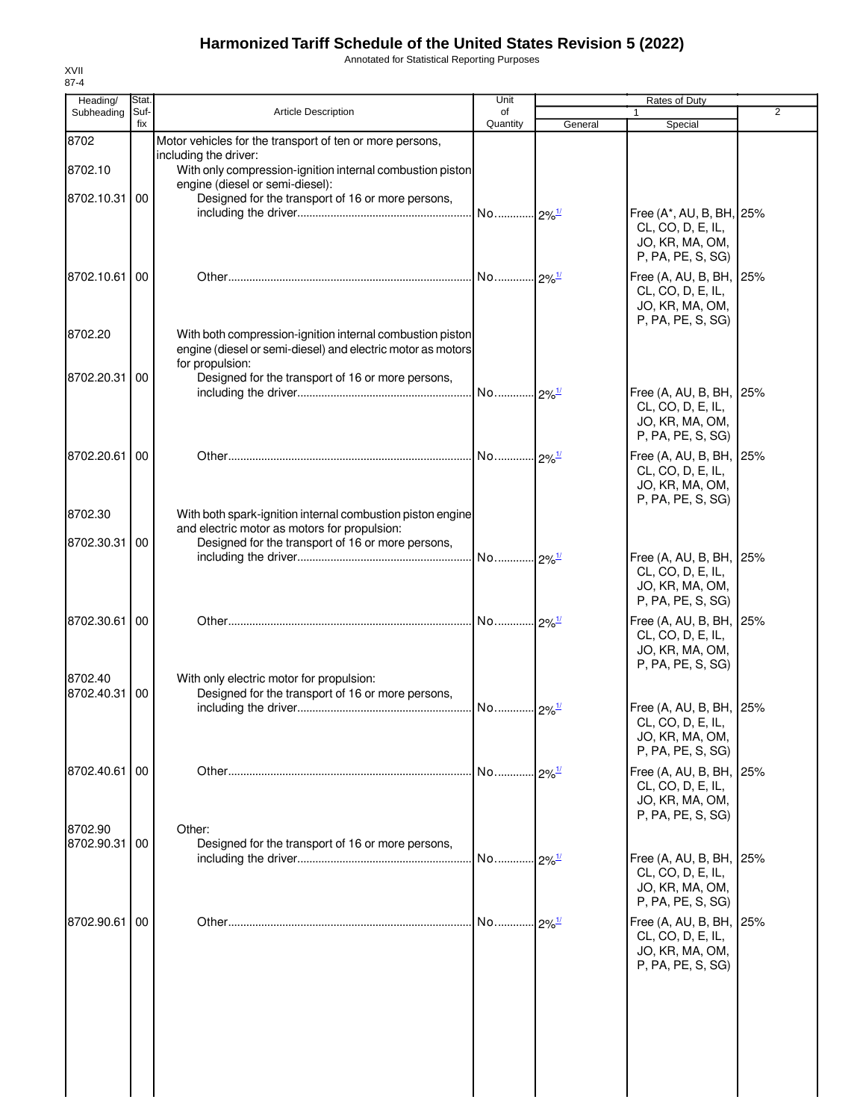Annotated for Statistical Reporting Purposes

| Heading/      | Stat.       |                                                                                                            | Unit           |                      | Rates of Duty                                |                |
|---------------|-------------|------------------------------------------------------------------------------------------------------------|----------------|----------------------|----------------------------------------------|----------------|
| Subheading    | Suf-<br>fix | <b>Article Description</b>                                                                                 | of<br>Quantity | General              | Special                                      | $\overline{2}$ |
| 8702          |             | Motor vehicles for the transport of ten or more persons,                                                   |                |                      |                                              |                |
| 8702.10       |             | including the driver:<br>With only compression-ignition internal combustion piston                         |                |                      |                                              |                |
|               |             | engine (diesel or semi-diesel):                                                                            |                |                      |                                              |                |
| 8702.10.31 00 |             | Designed for the transport of 16 or more persons,                                                          |                |                      | Free (A*, AU, B, BH, 25%                     |                |
|               |             |                                                                                                            |                |                      | CL, CO, D, E, IL,                            |                |
|               |             |                                                                                                            |                |                      | JO, KR, MA, OM,<br>P, PA, PE, S, SG)         |                |
| 8702.10.61    | 00          |                                                                                                            |                |                      | Free (A, AU, B, BH, 25%                      |                |
|               |             |                                                                                                            |                |                      | CL, CO, D, E, IL,                            |                |
|               |             |                                                                                                            |                |                      | JO, KR, MA, OM,<br>P, PA, PE, S, SG)         |                |
| 8702.20       |             | With both compression-ignition internal combustion piston                                                  |                |                      |                                              |                |
|               |             | engine (diesel or semi-diesel) and electric motor as motors<br>for propulsion:                             |                |                      |                                              |                |
| 8702.20.31    | 00          | Designed for the transport of 16 or more persons,                                                          |                |                      |                                              |                |
|               |             |                                                                                                            |                |                      | Free (A, AU, B, BH, 25%                      |                |
|               |             |                                                                                                            |                |                      | CL, CO, D, E, IL,<br>JO, KR, MA, OM,         |                |
|               |             |                                                                                                            |                |                      | P, PA, PE, S, SG)                            |                |
| 8702.20.61    | 00          |                                                                                                            |                |                      | Free (A, AU, B, BH, 25%                      |                |
|               |             |                                                                                                            |                |                      | CL, CO, D, E, IL,<br>JO, KR, MA, OM,         |                |
|               |             |                                                                                                            |                |                      | P, PA, PE, S, SG)                            |                |
| 8702.30       |             | With both spark-ignition internal combustion piston engine<br>and electric motor as motors for propulsion: |                |                      |                                              |                |
| 8702.30.31 00 |             | Designed for the transport of 16 or more persons,                                                          |                |                      |                                              |                |
|               |             |                                                                                                            |                |                      | Free (A, AU, B, BH, 25%<br>CL, CO, D, E, IL, |                |
|               |             |                                                                                                            |                |                      | JO, KR, MA, OM,                              |                |
|               |             |                                                                                                            |                |                      | P, PA, PE, S, SG)                            |                |
| 8702.30.61 00 |             |                                                                                                            |                |                      | Free (A, AU, B, BH, 25%<br>CL, CO, D, E, IL, |                |
|               |             |                                                                                                            |                |                      | JO, KR, MA, OM,                              |                |
| 8702.40       |             | With only electric motor for propulsion:                                                                   |                |                      | P, PA, PE, S, SG)                            |                |
| 8702.40.31    | 00          | Designed for the transport of 16 or more persons,                                                          |                |                      |                                              |                |
|               |             |                                                                                                            |                |                      | Free (A, AU, B, BH, 25%<br>CL, CO, D, E, IL, |                |
|               |             |                                                                                                            |                |                      | JO, KR, MA, OM,                              |                |
|               |             |                                                                                                            |                |                      | P, PA, PE, S, SG)                            |                |
| 8702.40.61 00 |             |                                                                                                            | No             | $-2\%$ <sup>1/</sup> | Free (A, AU, B, BH, 25%<br>CL, CO, D, E, IL, |                |
|               |             |                                                                                                            |                |                      | JO, KR, MA, OM,                              |                |
| 8702.90       |             | Other:                                                                                                     |                |                      | P, PA, PE, S, SG)                            |                |
| 8702.90.31 00 |             | Designed for the transport of 16 or more persons,                                                          |                |                      |                                              |                |
|               |             |                                                                                                            |                | $-2\%$ <sup>1/</sup> | Free (A, AU, B, BH, 25%<br>CL, CO, D, E, IL, |                |
|               |             |                                                                                                            |                |                      | JO, KR, MA, OM,                              |                |
|               |             |                                                                                                            |                |                      | P, PA, PE, S, SG)                            |                |
| 8702.90.61    | 00          |                                                                                                            | No             | $-2\%$ <sup>1/</sup> | Free (A, AU, B, BH, 25%<br>CL, CO, D, E, IL, |                |
|               |             |                                                                                                            |                |                      | JO, KR, MA, OM,                              |                |
|               |             |                                                                                                            |                |                      | P, PA, PE, S, SG)                            |                |
|               |             |                                                                                                            |                |                      |                                              |                |
|               |             |                                                                                                            |                |                      |                                              |                |
|               |             |                                                                                                            |                |                      |                                              |                |
|               |             |                                                                                                            |                |                      |                                              |                |
|               |             |                                                                                                            |                |                      |                                              |                |
|               |             |                                                                                                            |                |                      |                                              |                |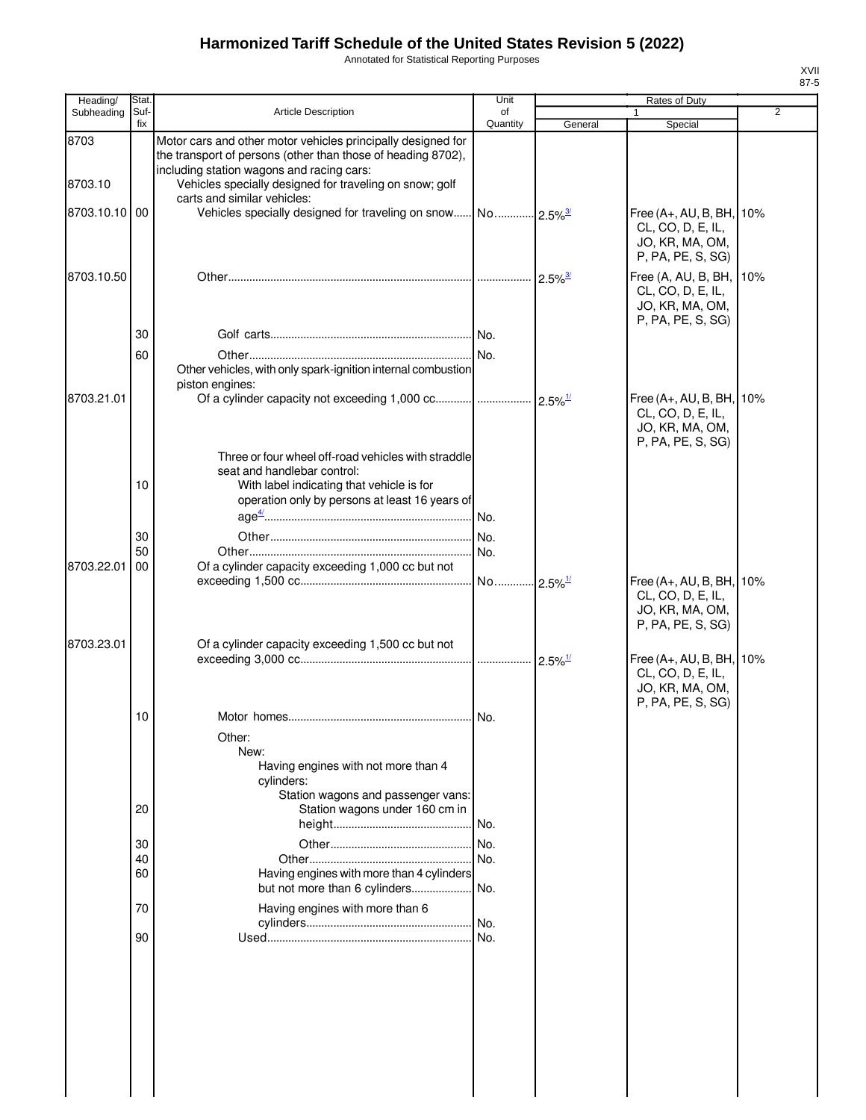Annotated for Statistical Reporting Purposes

| Heading/      | Stat.       |                                                                                                                                                                                                     | Unit           |                       | Rates of Duty                                                                         |                |
|---------------|-------------|-----------------------------------------------------------------------------------------------------------------------------------------------------------------------------------------------------|----------------|-----------------------|---------------------------------------------------------------------------------------|----------------|
| Subheading    | Suf-<br>fix | <b>Article Description</b>                                                                                                                                                                          | of<br>Quantity | General               | Special                                                                               | $\overline{2}$ |
| 8703          |             | Motor cars and other motor vehicles principally designed for<br>the transport of persons (other than those of heading 8702),<br>including station wagons and racing cars:                           |                |                       |                                                                                       |                |
| 8703.10       |             | Vehicles specially designed for traveling on snow; golf<br>carts and similar vehicles:                                                                                                              |                |                       |                                                                                       |                |
| 8703.10.10 00 |             |                                                                                                                                                                                                     |                |                       | Free (A+, AU, B, BH, 10%<br>CL, CO, D, E, IL,<br>JO, KR, MA, OM,<br>P, PA, PE, S, SG) |                |
| 8703.10.50    |             |                                                                                                                                                                                                     |                | $2.5\%$ <sup>3/</sup> | Free (A, AU, B, BH,<br>CL, CO, D, E, IL,<br>JO, KR, MA, OM,<br>P, PA, PE, S, SG)      | 10%            |
|               | 30          |                                                                                                                                                                                                     |                |                       |                                                                                       |                |
|               | 60          | Other vehicles, with only spark-ignition internal combustion<br>piston engines:                                                                                                                     |                |                       |                                                                                       |                |
| 8703.21.01    |             |                                                                                                                                                                                                     |                |                       | Free (A+, AU, B, BH,<br>CL, CO, D, E, IL,<br>JO, KR, MA, OM,<br>P, PA, PE, S, SG)     | 10%            |
|               | 10          | Three or four wheel off-road vehicles with straddle<br>seat and handlebar control:<br>With label indicating that vehicle is for<br>operation only by persons at least 16 years of<br>$age^{4/}$ No. |                |                       |                                                                                       |                |
|               | 30          |                                                                                                                                                                                                     | . No.          |                       |                                                                                       |                |
|               | 50          |                                                                                                                                                                                                     |                |                       |                                                                                       |                |
| 8703.22.01    | 00          | Of a cylinder capacity exceeding 1,000 cc but not                                                                                                                                                   |                |                       | Free (A+, AU, B, BH, 10%<br>CL, CO, D, E, IL,<br>JO, KR, MA, OM,                      |                |
| 8703.23.01    |             | Of a cylinder capacity exceeding 1,500 cc but not                                                                                                                                                   |                |                       | P, PA, PE, S, SG)<br>Free (A+, AU, B, BH, 10%<br>CL, CO, D, E, IL,<br>JO, KR, MA, OM, |                |
|               | 10          |                                                                                                                                                                                                     |                |                       | P, PA, PE, S, SG)                                                                     |                |
|               |             | Other:<br>New:<br>Having engines with not more than 4<br>cylinders:<br>Station wagons and passenger vans:                                                                                           |                |                       |                                                                                       |                |
|               | 20          | Station wagons under 160 cm in                                                                                                                                                                      | . No.          |                       |                                                                                       |                |
|               | 30          |                                                                                                                                                                                                     | .I No.         |                       |                                                                                       |                |
|               | 40          |                                                                                                                                                                                                     | No.            |                       |                                                                                       |                |
|               | 60          | Having engines with more than 4 cylinders<br>but not more than 6 cylinders                                                                                                                          | No.            |                       |                                                                                       |                |
|               | 70          | Having engines with more than 6                                                                                                                                                                     | . No.          |                       |                                                                                       |                |
|               | 90          |                                                                                                                                                                                                     | No.            |                       |                                                                                       |                |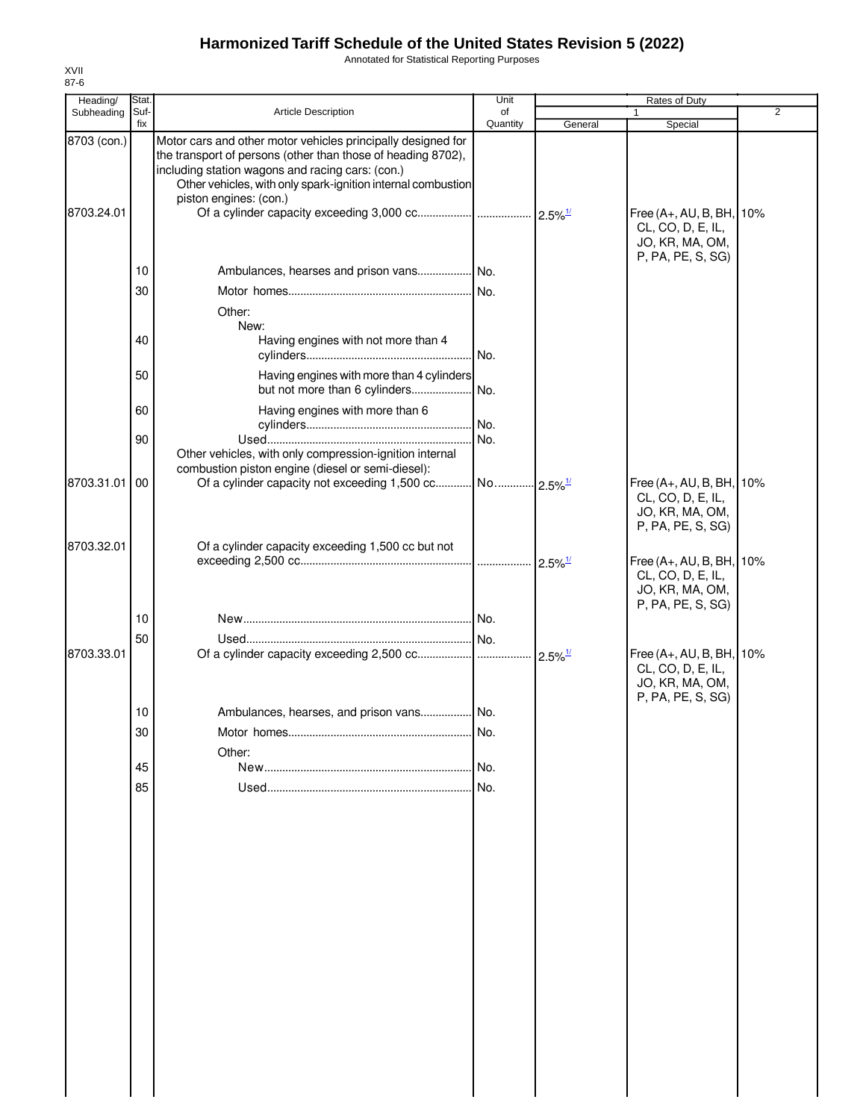Annotated for Statistical Reporting Purposes

| Heading/                  | Stat.       |                                                                                                                                                                                                                                                                            | Unit           |                       | Rates of Duty                                                                         |                |
|---------------------------|-------------|----------------------------------------------------------------------------------------------------------------------------------------------------------------------------------------------------------------------------------------------------------------------------|----------------|-----------------------|---------------------------------------------------------------------------------------|----------------|
| Subheading                | Suf-<br>fix | Article Description                                                                                                                                                                                                                                                        | of<br>Quantity | General               | Special                                                                               | $\overline{2}$ |
| 8703 (con.)<br>8703.24.01 |             | Motor cars and other motor vehicles principally designed for<br>the transport of persons (other than those of heading 8702),<br>including station wagons and racing cars: (con.)<br>Other vehicles, with only spark-ignition internal combustion<br>piston engines: (con.) |                |                       | Free (A+, AU, B, BH, 10%<br>CL, CO, D, E, IL,<br>JO, KR, MA, OM,                      |                |
|                           |             |                                                                                                                                                                                                                                                                            |                |                       | P, PA, PE, S, SG)                                                                     |                |
|                           | 10          |                                                                                                                                                                                                                                                                            |                |                       |                                                                                       |                |
|                           | 30          |                                                                                                                                                                                                                                                                            |                |                       |                                                                                       |                |
|                           |             | Other:                                                                                                                                                                                                                                                                     |                |                       |                                                                                       |                |
|                           | 40          | New:<br>Having engines with not more than 4                                                                                                                                                                                                                                | . No.          |                       |                                                                                       |                |
|                           | 50          | Having engines with more than 4 cylinders                                                                                                                                                                                                                                  |                |                       |                                                                                       |                |
|                           |             |                                                                                                                                                                                                                                                                            |                |                       |                                                                                       |                |
|                           | 60          | Having engines with more than 6                                                                                                                                                                                                                                            | No.            |                       |                                                                                       |                |
|                           | 90          |                                                                                                                                                                                                                                                                            | No.            |                       |                                                                                       |                |
|                           |             | Other vehicles, with only compression-ignition internal<br>combustion piston engine (diesel or semi-diesel):                                                                                                                                                               |                |                       |                                                                                       |                |
| 8703.31.01                | 00          |                                                                                                                                                                                                                                                                            |                |                       | Free (A+, AU, B, BH, 10%<br>CL, CO, D, E, IL,<br>JO, KR, MA, OM,<br>P, PA, PE, S, SG) |                |
| 8703.32.01                |             | Of a cylinder capacity exceeding 1,500 cc but not                                                                                                                                                                                                                          |                |                       |                                                                                       |                |
|                           | 10          |                                                                                                                                                                                                                                                                            |                | $2.5\%$ <sup>1/</sup> | Free (A+, AU, B, BH, 10%<br>CL, CO, D, E, IL,<br>JO, KR, MA, OM,<br>P, PA, PE, S, SG) |                |
| 8703.33.01                | 50          |                                                                                                                                                                                                                                                                            |                | $2.5\%$ <sup>1/</sup> | Free (A+, AU, B, BH, 10%                                                              |                |
|                           |             |                                                                                                                                                                                                                                                                            |                |                       | CL, CO, D, E, IL,<br>JO, KR, MA, OM,<br>P, PA, PE, S, SG)                             |                |
|                           | 10          |                                                                                                                                                                                                                                                                            |                |                       |                                                                                       |                |
|                           | 30          | Other:                                                                                                                                                                                                                                                                     | No.            |                       |                                                                                       |                |
|                           | 45          |                                                                                                                                                                                                                                                                            | I No.          |                       |                                                                                       |                |
|                           | 85          |                                                                                                                                                                                                                                                                            | INo.           |                       |                                                                                       |                |
|                           |             |                                                                                                                                                                                                                                                                            |                |                       |                                                                                       |                |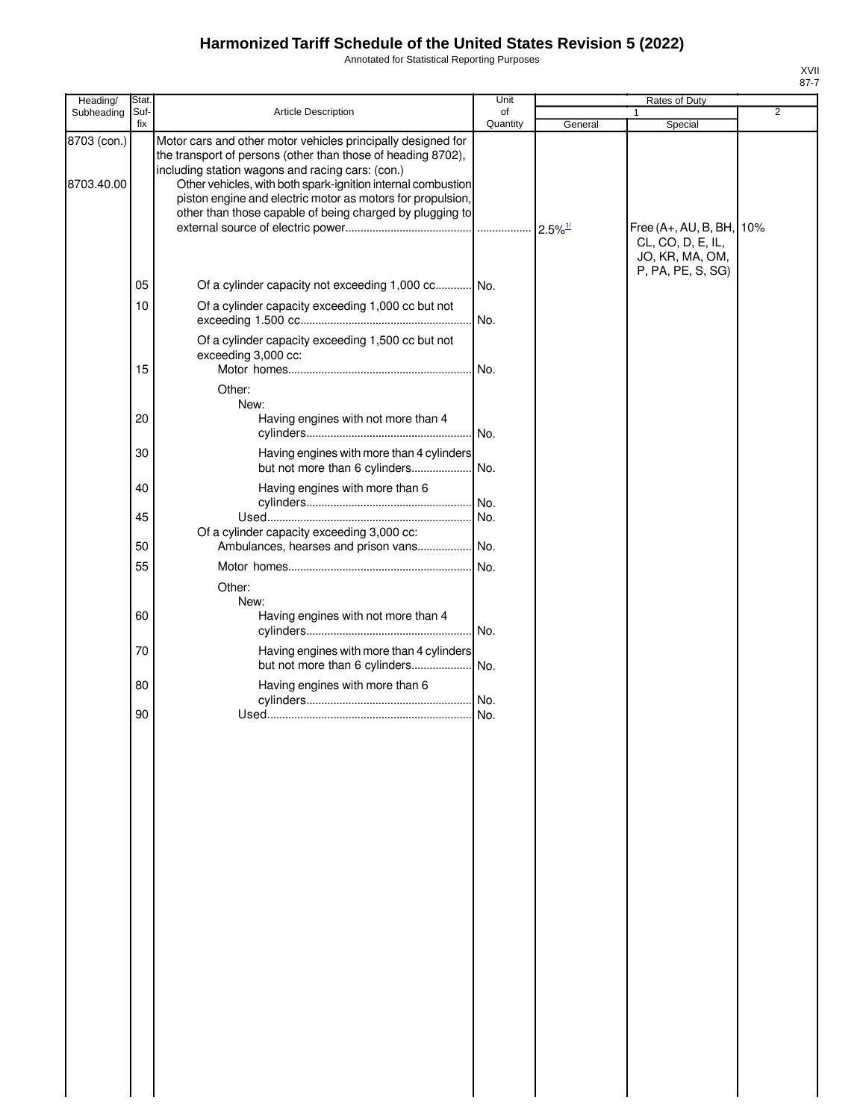Annotated for Statistical Reporting Purposes

| Heading/                  | Stat.       |                                                                                                                                                                                                                                                                                                                                                                            | Unit           |                       | Rates of Duty                                                    |                |
|---------------------------|-------------|----------------------------------------------------------------------------------------------------------------------------------------------------------------------------------------------------------------------------------------------------------------------------------------------------------------------------------------------------------------------------|----------------|-----------------------|------------------------------------------------------------------|----------------|
| Subheading                | Suf-<br>fix | Article Description                                                                                                                                                                                                                                                                                                                                                        | of<br>Quantity | General               | 1<br>Special                                                     | $\overline{2}$ |
| 8703 (con.)<br>8703.40.00 |             | Motor cars and other motor vehicles principally designed for<br>the transport of persons (other than those of heading 8702),<br>including station wagons and racing cars: (con.)<br>Other vehicles, with both spark-ignition internal combustion<br>piston engine and electric motor as motors for propulsion,<br>other than those capable of being charged by plugging to |                | $2.5\%$ <sup>1/</sup> | Free (A+, AU, B, BH, 10%<br>CL, CO, D, E, IL,<br>JO, KR, MA, OM, |                |
|                           |             |                                                                                                                                                                                                                                                                                                                                                                            |                |                       | P, PA, PE, S, SG)                                                |                |
|                           | 05<br>10    | Of a cylinder capacity not exceeding 1,000 cc No.<br>Of a cylinder capacity exceeding 1,000 cc but not                                                                                                                                                                                                                                                                     |                |                       |                                                                  |                |
|                           |             | Of a cylinder capacity exceeding 1,500 cc but not                                                                                                                                                                                                                                                                                                                          | No.            |                       |                                                                  |                |
|                           | 15          | exceeding 3,000 cc:                                                                                                                                                                                                                                                                                                                                                        | No.            |                       |                                                                  |                |
|                           |             | Other:                                                                                                                                                                                                                                                                                                                                                                     |                |                       |                                                                  |                |
|                           | 20          | New:<br>Having engines with not more than 4                                                                                                                                                                                                                                                                                                                                | No.            |                       |                                                                  |                |
|                           | 30          | Having engines with more than 4 cylinders<br>but not more than 6 cylinders                                                                                                                                                                                                                                                                                                 | No.            |                       |                                                                  |                |
|                           | 40          | Having engines with more than 6                                                                                                                                                                                                                                                                                                                                            | No.            |                       |                                                                  |                |
|                           | 45          | Of a cylinder capacity exceeding 3,000 cc:                                                                                                                                                                                                                                                                                                                                 | No.            |                       |                                                                  |                |
|                           | 50          | Ambulances, hearses and prison vans                                                                                                                                                                                                                                                                                                                                        | No.            |                       |                                                                  |                |
|                           | 55          | Other:<br>New:                                                                                                                                                                                                                                                                                                                                                             | No.            |                       |                                                                  |                |
|                           | 60          | Having engines with not more than 4                                                                                                                                                                                                                                                                                                                                        | No.            |                       |                                                                  |                |
|                           | 70          | Having engines with more than 4 cylinders<br>but not more than 6 cylinders                                                                                                                                                                                                                                                                                                 | No.            |                       |                                                                  |                |
|                           | 80          | Having engines with more than 6                                                                                                                                                                                                                                                                                                                                            |                |                       |                                                                  |                |
|                           | 90          |                                                                                                                                                                                                                                                                                                                                                                            |                |                       |                                                                  |                |
|                           |             |                                                                                                                                                                                                                                                                                                                                                                            |                |                       |                                                                  |                |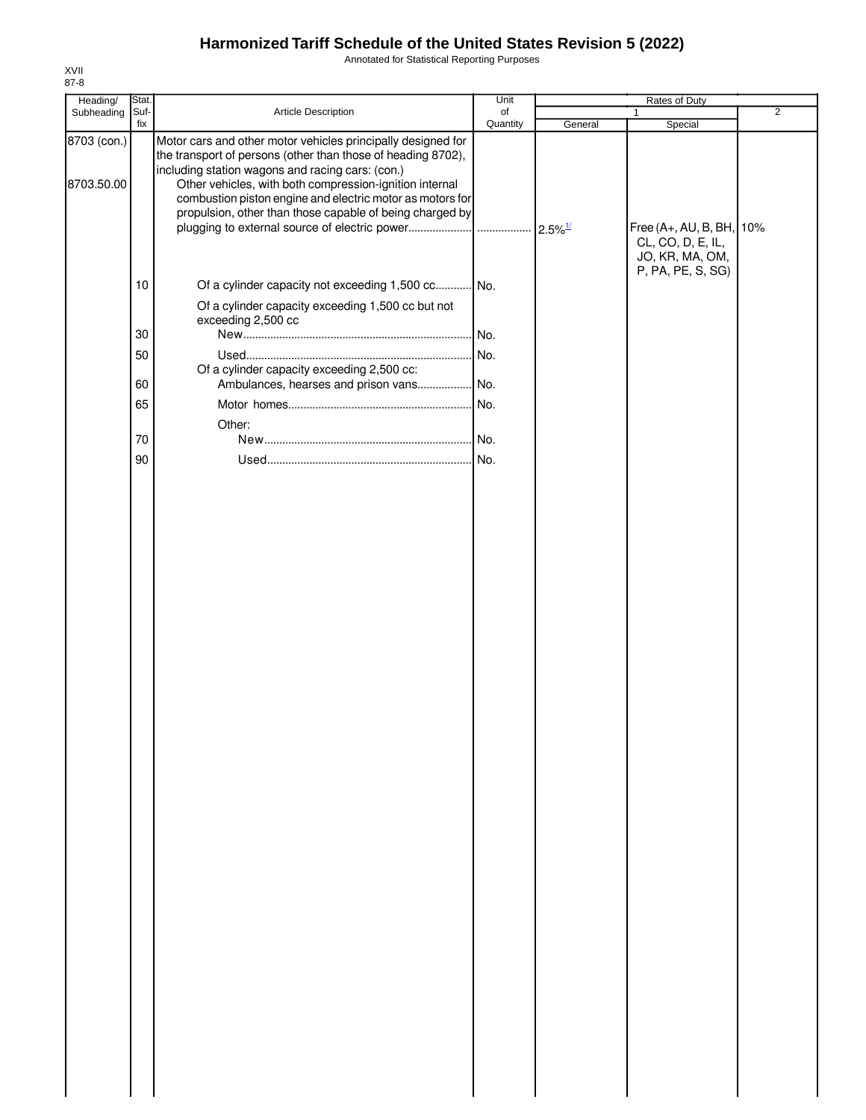Annotated for Statistical Reporting Purposes

| Heading/                  | Stat.  |                                                                                                                                                                                                                                                                                                                                                                      | Unit     | Rates of Duty |                                                                                       |                |
|---------------------------|--------|----------------------------------------------------------------------------------------------------------------------------------------------------------------------------------------------------------------------------------------------------------------------------------------------------------------------------------------------------------------------|----------|---------------|---------------------------------------------------------------------------------------|----------------|
| Subheading                | Suf-   | Article Description                                                                                                                                                                                                                                                                                                                                                  | of       |               | $\mathbf{1}$                                                                          | $\overline{2}$ |
| 8703 (con.)<br>8703.50.00 | fix    | Motor cars and other motor vehicles principally designed for<br>the transport of persons (other than those of heading 8702),<br>including station wagons and racing cars: (con.)<br>Other vehicles, with both compression-ignition internal<br>combustion piston engine and electric motor as motors for<br>propulsion, other than those capable of being charged by | Quantity | General       | Special                                                                               |                |
|                           | $10$   | Of a cylinder capacity not exceeding 1,500 cc No.                                                                                                                                                                                                                                                                                                                    |          |               | Free (A+, AU, B, BH, 10%<br>CL, CO, D, E, IL,<br>JO, KR, MA, OM,<br>P, PA, PE, S, SG) |                |
|                           |        | Of a cylinder capacity exceeding 1,500 cc but not<br>exceeding 2,500 cc                                                                                                                                                                                                                                                                                              |          |               |                                                                                       |                |
|                           | 30     |                                                                                                                                                                                                                                                                                                                                                                      |          |               |                                                                                       |                |
|                           | 50     |                                                                                                                                                                                                                                                                                                                                                                      |          |               |                                                                                       |                |
|                           | 60     | Of a cylinder capacity exceeding 2,500 cc:<br>Ambulances, hearses and prison vans No.                                                                                                                                                                                                                                                                                |          |               |                                                                                       |                |
|                           | 65     |                                                                                                                                                                                                                                                                                                                                                                      |          |               |                                                                                       |                |
|                           |        |                                                                                                                                                                                                                                                                                                                                                                      |          |               |                                                                                       |                |
|                           | $70\,$ | Other:                                                                                                                                                                                                                                                                                                                                                               |          |               |                                                                                       |                |
|                           | 90     |                                                                                                                                                                                                                                                                                                                                                                      |          |               |                                                                                       |                |
|                           |        |                                                                                                                                                                                                                                                                                                                                                                      |          |               |                                                                                       |                |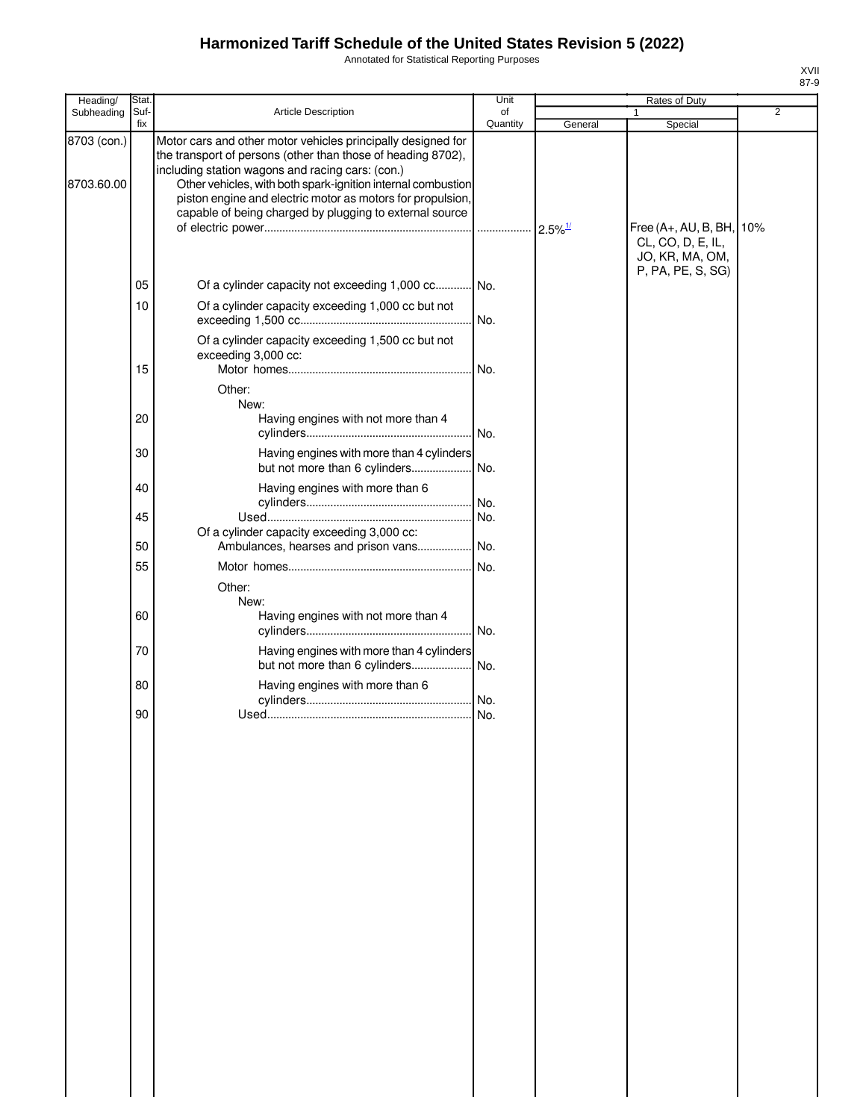Annotated for Statistical Reporting Purposes

| Heading/                  | Stat.          |                                                                                                                                                                                                                                                                                                                                                                           | Unit       |                                  | Rates of Duty                                                               |                |
|---------------------------|----------------|---------------------------------------------------------------------------------------------------------------------------------------------------------------------------------------------------------------------------------------------------------------------------------------------------------------------------------------------------------------------------|------------|----------------------------------|-----------------------------------------------------------------------------|----------------|
| Subheading                | Suf-           | Article Description                                                                                                                                                                                                                                                                                                                                                       | of         |                                  | 1                                                                           | $\overline{2}$ |
| 8703 (con.)<br>8703.60.00 | fix            | Motor cars and other motor vehicles principally designed for<br>the transport of persons (other than those of heading 8702),<br>including station wagons and racing cars: (con.)<br>Other vehicles, with both spark-ignition internal combustion<br>piston engine and electric motor as motors for propulsion,<br>capable of being charged by plugging to external source | Quantity   | General<br>$2.5\%$ <sup>1/</sup> | Special<br>Free (A+, AU, B, BH, 10%<br>CL, CO, D, E, IL,<br>JO, KR, MA, OM, |                |
|                           | 05<br>10<br>15 | Of a cylinder capacity not exceeding 1,000 cc No.<br>Of a cylinder capacity exceeding 1,000 cc but not<br>Of a cylinder capacity exceeding 1,500 cc but not<br>exceeding 3,000 cc:<br>Other:                                                                                                                                                                              | No.<br>No. |                                  | P, PA, PE, S, SG)                                                           |                |
|                           | 20             | New:<br>Having engines with not more than 4                                                                                                                                                                                                                                                                                                                               | . No.      |                                  |                                                                             |                |
|                           | 30<br>40       | Having engines with more than 4 cylinders<br>but not more than 6 cylinders No.<br>Having engines with more than 6                                                                                                                                                                                                                                                         |            |                                  |                                                                             |                |
|                           | 45             | Of a cylinder capacity exceeding 3,000 cc:                                                                                                                                                                                                                                                                                                                                | No.<br>No. |                                  |                                                                             |                |
|                           | 50             | Ambulances, hearses and prison vans No.                                                                                                                                                                                                                                                                                                                                   |            |                                  |                                                                             |                |
|                           | 55<br>60       | Other:<br>New:<br>Having engines with not more than 4                                                                                                                                                                                                                                                                                                                     | No.        |                                  |                                                                             |                |
|                           | 70             | Having engines with more than 4 cylinders                                                                                                                                                                                                                                                                                                                                 |            |                                  |                                                                             |                |
|                           | 80             | Having engines with more than 6                                                                                                                                                                                                                                                                                                                                           |            |                                  |                                                                             |                |
|                           | 90             |                                                                                                                                                                                                                                                                                                                                                                           |            |                                  |                                                                             |                |
|                           |                |                                                                                                                                                                                                                                                                                                                                                                           |            |                                  |                                                                             |                |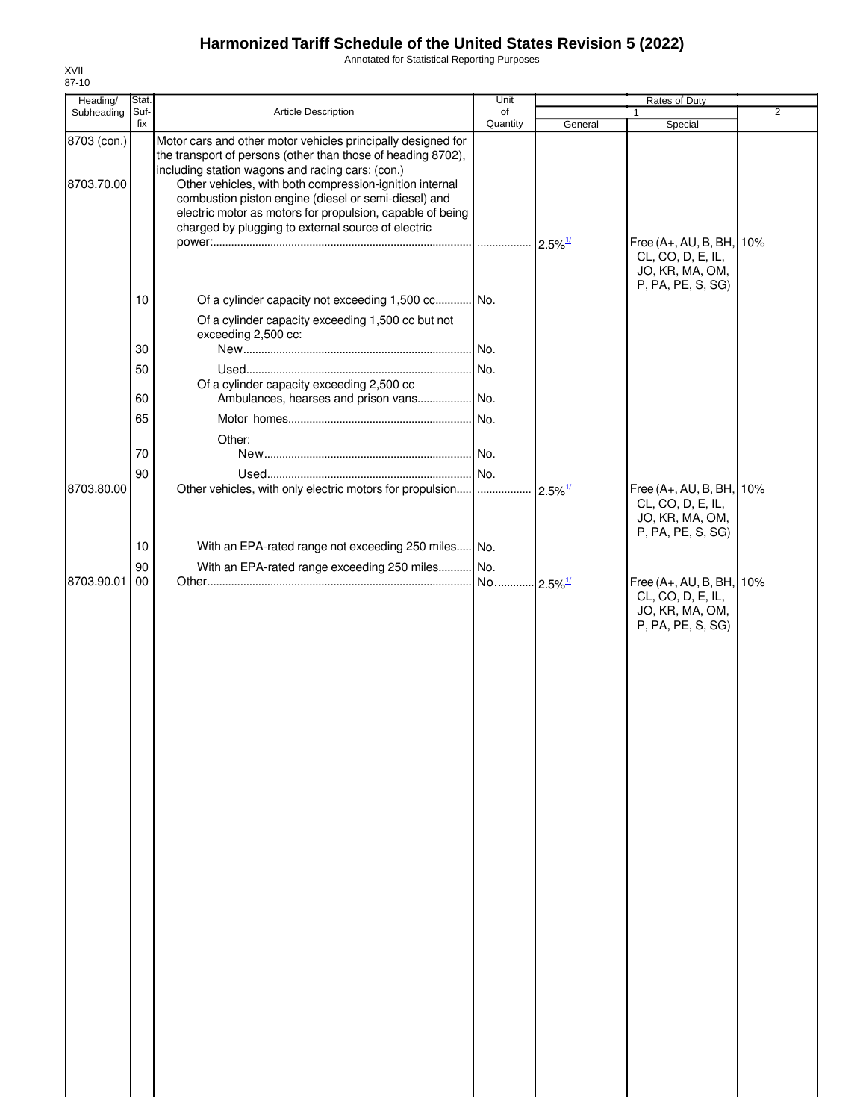Annotated for Statistical Reporting Purposes

| Heading/                  | Stat. |                                                                                                                                                                                                                                                                                                                                                                                                                        | Unit     |                       | Rates of Duty                                                                         |                |
|---------------------------|-------|------------------------------------------------------------------------------------------------------------------------------------------------------------------------------------------------------------------------------------------------------------------------------------------------------------------------------------------------------------------------------------------------------------------------|----------|-----------------------|---------------------------------------------------------------------------------------|----------------|
| Subheading                | Suf-  | Article Description                                                                                                                                                                                                                                                                                                                                                                                                    | of       |                       | 1                                                                                     | $\overline{2}$ |
| 8703 (con.)<br>8703.70.00 | fix   | Motor cars and other motor vehicles principally designed for<br>the transport of persons (other than those of heading 8702),<br>including station wagons and racing cars: (con.)<br>Other vehicles, with both compression-ignition internal<br>combustion piston engine (diesel or semi-diesel) and<br>electric motor as motors for propulsion, capable of being<br>charged by plugging to external source of electric | Quantity | General               | Special                                                                               |                |
|                           | 10    | Of a cylinder capacity not exceeding 1,500 cc No.                                                                                                                                                                                                                                                                                                                                                                      |          | $2.5\%$ <sup>1/</sup> | Free (A+, AU, B, BH, 10%<br>CL, CO, D, E, IL,<br>JO, KR, MA, OM,<br>P, PA, PE, S, SG) |                |
|                           | 30    | Of a cylinder capacity exceeding 1,500 cc but not<br>exceeding 2,500 cc:                                                                                                                                                                                                                                                                                                                                               |          |                       |                                                                                       |                |
|                           | 50    |                                                                                                                                                                                                                                                                                                                                                                                                                        |          |                       |                                                                                       |                |
|                           |       | Of a cylinder capacity exceeding 2,500 cc                                                                                                                                                                                                                                                                                                                                                                              |          |                       |                                                                                       |                |
|                           | 60    |                                                                                                                                                                                                                                                                                                                                                                                                                        |          |                       |                                                                                       |                |
|                           | 65    |                                                                                                                                                                                                                                                                                                                                                                                                                        |          |                       |                                                                                       |                |
|                           |       | Other:                                                                                                                                                                                                                                                                                                                                                                                                                 |          |                       |                                                                                       |                |
|                           | 70    |                                                                                                                                                                                                                                                                                                                                                                                                                        |          |                       |                                                                                       |                |
|                           | 90    |                                                                                                                                                                                                                                                                                                                                                                                                                        |          |                       |                                                                                       |                |
| 8703.80.00                |       | Other vehicles, with only electric motors for propulsion                                                                                                                                                                                                                                                                                                                                                               | .        | $2.5\%$ <sup>1/</sup> | Free (A+, AU, B, BH, 10%<br>CL, CO, D, E, IL,<br>JO, KR, MA, OM,<br>P, PA, PE, S, SG) |                |
|                           | 10    | With an EPA-rated range not exceeding 250 miles No.                                                                                                                                                                                                                                                                                                                                                                    |          |                       |                                                                                       |                |
|                           | 90    | With an EPA-rated range exceeding 250 miles No.                                                                                                                                                                                                                                                                                                                                                                        |          |                       |                                                                                       |                |
| 8703.90.01                | 00    |                                                                                                                                                                                                                                                                                                                                                                                                                        | No       | $2.5\%$ <sup>1/</sup> | Free (A+, AU, B, BH, 10%<br>CL, CO, D, E, IL,<br>JO, KR, MA, OM,<br>P, PA, PE, S, SG) |                |
|                           |       |                                                                                                                                                                                                                                                                                                                                                                                                                        |          |                       |                                                                                       |                |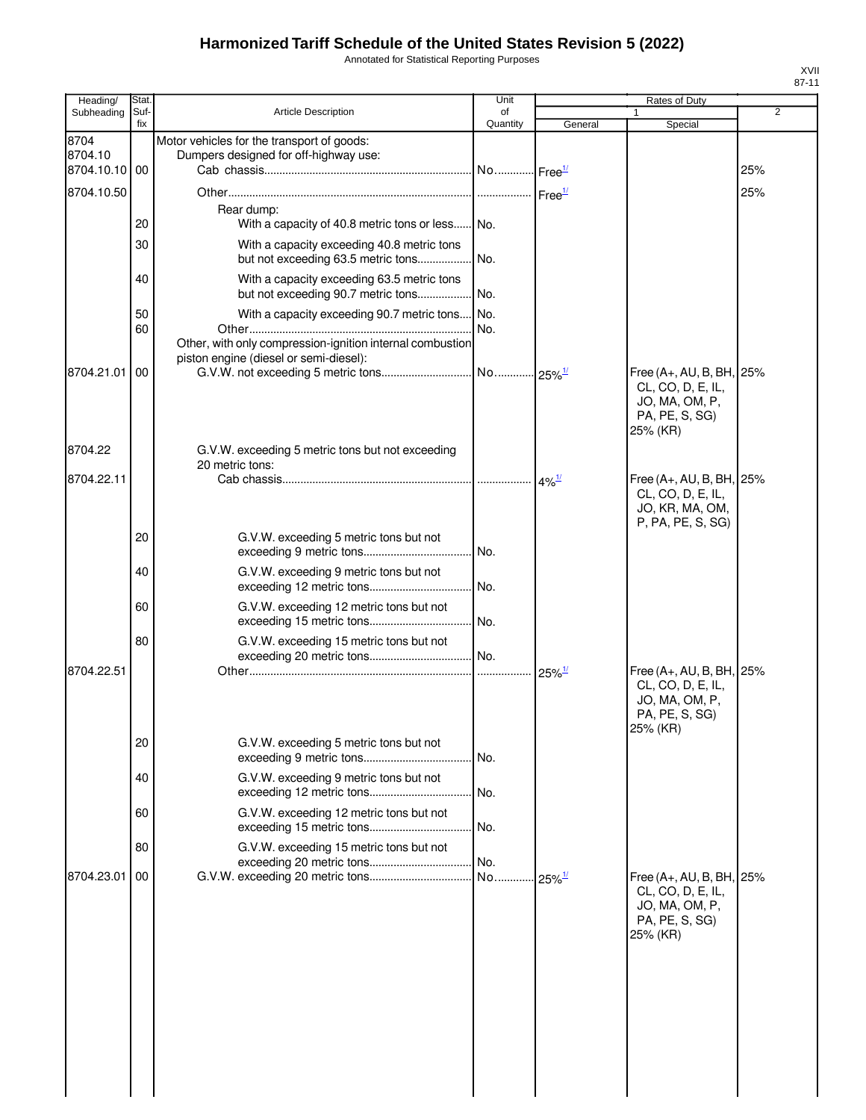Annotated for Statistical Reporting Purposes

| Heading/                         | Stat.       |                                                                                                     | Unit           |                       | Rates of Duty                                                     | $01 - 1$       |
|----------------------------------|-------------|-----------------------------------------------------------------------------------------------------|----------------|-----------------------|-------------------------------------------------------------------|----------------|
| Subheading                       | Suf-<br>fix | <b>Article Description</b>                                                                          | of<br>Quantity | General               | Special                                                           | $\overline{2}$ |
| 8704<br>8704.10<br>8704.10.10 00 |             | Motor vehicles for the transport of goods:<br>Dumpers designed for off-highway use:                 |                | Free <sup>1/</sup>    |                                                                   | 25%            |
| 8704.10.50                       |             |                                                                                                     |                |                       |                                                                   | 25%            |
|                                  |             | Rear dump:                                                                                          |                |                       |                                                                   |                |
|                                  | 20          | With a capacity of 40.8 metric tons or less No.                                                     |                |                       |                                                                   |                |
|                                  | 30          | With a capacity exceeding 40.8 metric tons<br>but not exceeding 63.5 metric tons                    | No.            |                       |                                                                   |                |
|                                  | 40          | With a capacity exceeding 63.5 metric tons<br>but not exceeding 90.7 metric tons                    | No.            |                       |                                                                   |                |
|                                  | 50<br>60    | With a capacity exceeding 90.7 metric tons No.                                                      | No.            |                       |                                                                   |                |
|                                  |             | Other, with only compression-ignition internal combustion<br>piston engine (diesel or semi-diesel): |                |                       |                                                                   |                |
| 8704.21.01                       | 00          |                                                                                                     |                |                       | Free (A+, AU, B, BH, 25%<br>CL, CO, D, E, IL,                     |                |
|                                  |             |                                                                                                     |                |                       | JO, MA, OM, P,<br>PA, PE, S, SG)<br>25% (KR)                      |                |
| 8704.22                          |             | G.V.W. exceeding 5 metric tons but not exceeding<br>20 metric tons:                                 |                |                       |                                                                   |                |
| 8704.22.11                       |             |                                                                                                     |                | $.4\%$ <sup>1/</sup>  | Free (A+, AU, B, BH, 25%                                          |                |
|                                  |             |                                                                                                     |                |                       | CL, CO, D, E, IL,<br>JO, KR, MA, OM,                              |                |
|                                  | 20          | G.V.W. exceeding 5 metric tons but not                                                              |                |                       | P, PA, PE, S, SG)                                                 |                |
|                                  |             |                                                                                                     | No.            |                       |                                                                   |                |
|                                  | 40          | G.V.W. exceeding 9 metric tons but not                                                              | No.            |                       |                                                                   |                |
|                                  | 60          | G.V.W. exceeding 12 metric tons but not                                                             | No.            |                       |                                                                   |                |
|                                  | 80          | G.V.W. exceeding 15 metric tons but not                                                             |                |                       |                                                                   |                |
| 8704.22.51                       |             |                                                                                                     |                | $25\%$ <sup>1/</sup>  | Free (A+, AU, B, BH, 25%                                          |                |
|                                  |             |                                                                                                     |                |                       | CL, CO, D, E, IL,<br>JO, MA, OM, P,<br>PA, PE, S, SG)<br>25% (KR) |                |
|                                  | 20          | G.V.W. exceeding 5 metric tons but not                                                              | No.            |                       |                                                                   |                |
|                                  | 40          | G.V.W. exceeding 9 metric tons but not                                                              | No.            |                       |                                                                   |                |
|                                  | 60          | G.V.W. exceeding 12 metric tons but not                                                             | No.            |                       |                                                                   |                |
|                                  | 80          | G.V.W. exceeding 15 metric tons but not                                                             | No.            |                       |                                                                   |                |
| 8704.23.01                       | 00          |                                                                                                     | No             | $.25\%$ <sup>1/</sup> | Free $(A+, AU, B, BH,$                                            | 25%            |
|                                  |             |                                                                                                     |                |                       | CL, CO, D, E, IL,<br>JO, MA, OM, P,<br>PA, PE, S, SG)<br>25% (KR) |                |
|                                  |             |                                                                                                     |                |                       |                                                                   |                |
|                                  |             |                                                                                                     |                |                       |                                                                   |                |
|                                  |             |                                                                                                     |                |                       |                                                                   |                |
|                                  |             |                                                                                                     |                |                       |                                                                   |                |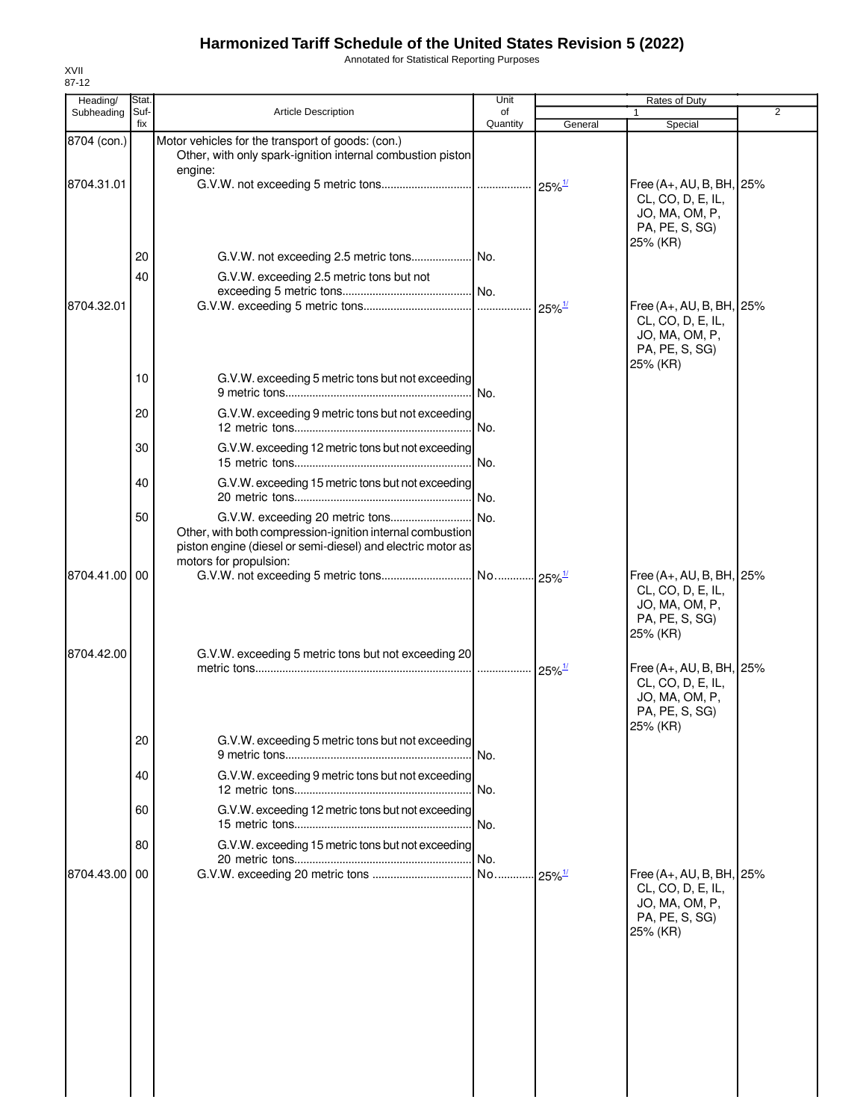Annotated for Statistical Reporting Purposes

| Heading/      | Stat.       |                                                                                                                                                    | Unit           | Rates of Duty         |                                                                                               |                |
|---------------|-------------|----------------------------------------------------------------------------------------------------------------------------------------------------|----------------|-----------------------|-----------------------------------------------------------------------------------------------|----------------|
| Subheading    | Suf-<br>fix | Article Description                                                                                                                                | of<br>Quantity | General               | Special                                                                                       | $\overline{2}$ |
| 8704 (con.)   |             | Motor vehicles for the transport of goods: (con.)<br>Other, with only spark-ignition internal combustion piston<br>engine:                         |                |                       |                                                                                               |                |
| 8704.31.01    |             |                                                                                                                                                    |                |                       | Free (A+, AU, B, BH, 25%<br>CL, CO, D, E, IL,<br>JO, MA, OM, P,<br>PA, PE, S, SG)             |                |
|               | 20          |                                                                                                                                                    |                |                       | 25% (KR)                                                                                      |                |
|               | 40          | G.V.W. exceeding 2.5 metric tons but not                                                                                                           |                |                       |                                                                                               |                |
| 8704.32.01    |             |                                                                                                                                                    |                |                       | Free (A+, AU, B, BH, 25%<br>CL, CO, D, E, IL,<br>JO, MA, OM, P,<br>PA, PE, S, SG)<br>25% (KR) |                |
|               | 10          | G.V.W. exceeding 5 metric tons but not exceeding                                                                                                   |                |                       |                                                                                               |                |
|               | 20          | G.V.W. exceeding 9 metric tons but not exceeding                                                                                                   |                |                       |                                                                                               |                |
|               | 30          | G.V.W. exceeding 12 metric tons but not exceeding                                                                                                  |                |                       |                                                                                               |                |
|               | 40          | G.V.W. exceeding 15 metric tons but not exceeding                                                                                                  |                |                       |                                                                                               |                |
|               | 50          | Other, with both compression-ignition internal combustion<br>piston engine (diesel or semi-diesel) and electric motor as<br>motors for propulsion: |                |                       |                                                                                               |                |
| 8704.41.00 00 |             |                                                                                                                                                    |                |                       | Free (A+, AU, B, BH, 25%<br>CL, CO, D, E, IL,<br>JO, MA, OM, P,<br>PA, PE, S, SG)<br>25% (KR) |                |
| 8704.42.00    |             | G.V.W. exceeding 5 metric tons but not exceeding 20                                                                                                |                | $25\%$ <sup>1/</sup>  | Free (A+, AU, B, BH, 25%<br>CL, CO, D, E, IL,<br>JO, MA, OM, P,<br>PA, PE, S, SG)<br>25% (KR) |                |
|               | 20          | G.V.W. exceeding 5 metric tons but not exceeding                                                                                                   | No.            |                       |                                                                                               |                |
|               | 40          | G.V.W. exceeding 9 metric tons but not exceeding                                                                                                   |                |                       |                                                                                               |                |
|               | 60          | G.V.W. exceeding 12 metric tons but not exceeding                                                                                                  | No.            |                       |                                                                                               |                |
|               | 80          | G.V.W. exceeding 15 metric tons but not exceeding                                                                                                  |                |                       |                                                                                               |                |
| 8704.43.00    | 00          |                                                                                                                                                    |                | $-25\%$ <sup>1/</sup> | Free (A+, AU, B, BH, 25%<br>CL, CO, D, E, IL,<br>JO, MA, OM, P,<br>PA, PE, S, SG)<br>25% (KR) |                |
|               |             |                                                                                                                                                    |                |                       |                                                                                               |                |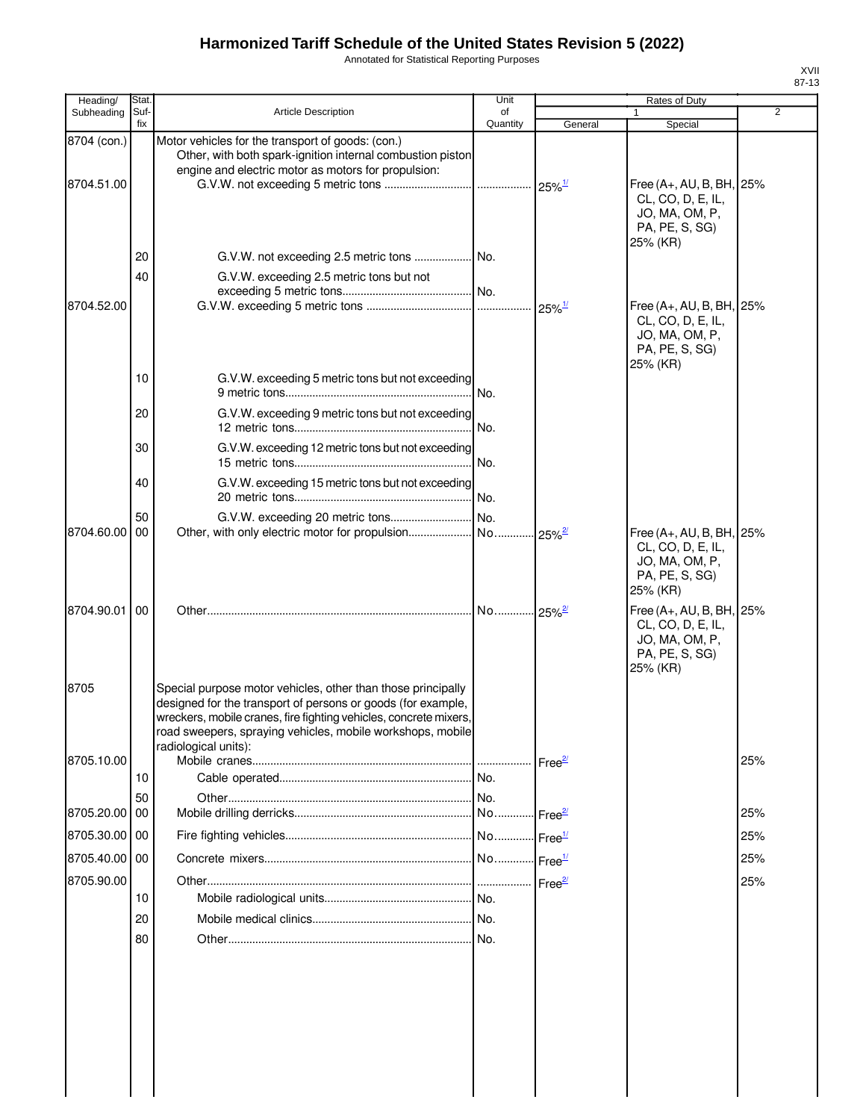Annotated for Statistical Reporting Purposes

| Heading/      | Stat.           |                                                                                                                                                                                                                                                                                         | Unit           |                            | Rates of Duty                                                                                 |                |
|---------------|-----------------|-----------------------------------------------------------------------------------------------------------------------------------------------------------------------------------------------------------------------------------------------------------------------------------------|----------------|----------------------------|-----------------------------------------------------------------------------------------------|----------------|
| Subheading    | Suf-<br>fix     | <b>Article Description</b>                                                                                                                                                                                                                                                              | of<br>Quantity | General                    | Special                                                                                       | $\overline{2}$ |
| 8704 (con.)   |                 | Motor vehicles for the transport of goods: (con.)<br>Other, with both spark-ignition internal combustion piston<br>engine and electric motor as motors for propulsion:                                                                                                                  |                |                            |                                                                                               |                |
| 8704.51.00    |                 |                                                                                                                                                                                                                                                                                         | .              | $25\%$ <sup>1/</sup>       | Free (A+, AU, B, BH, 25%<br>CL, CO, D, E, IL,<br>JO, MA, OM, P,<br>PA, PE, S, SG)<br>25% (KR) |                |
|               | 20              |                                                                                                                                                                                                                                                                                         |                |                            |                                                                                               |                |
|               | 40              | G.V.W. exceeding 2.5 metric tons but not                                                                                                                                                                                                                                                | I No.          |                            |                                                                                               |                |
| 8704.52.00    |                 |                                                                                                                                                                                                                                                                                         |                | $25\%$ <sup>1/</sup>       | Free (A+, AU, B, BH, 25%<br>CL, CO, D, E, IL,<br>JO, MA, OM, P,<br>PA, PE, S, SG)<br>25% (KR) |                |
|               | 10              | G.V.W. exceeding 5 metric tons but not exceeding                                                                                                                                                                                                                                        | INo.           |                            |                                                                                               |                |
|               | 20              | G.V.W. exceeding 9 metric tons but not exceeding                                                                                                                                                                                                                                        | No.            |                            |                                                                                               |                |
|               | 30              | G.V.W. exceeding 12 metric tons but not exceeding                                                                                                                                                                                                                                       | No.            |                            |                                                                                               |                |
|               | 40              | G.V.W. exceeding 15 metric tons but not exceeding                                                                                                                                                                                                                                       | No.            |                            |                                                                                               |                |
|               | 50              |                                                                                                                                                                                                                                                                                         | INo.           |                            |                                                                                               |                |
| 8704.60.00 00 |                 |                                                                                                                                                                                                                                                                                         | No.            | $25\%$ <sup>2/</sup>       | Free (A+, AU, B, BH, 25%<br>CL, CO, D, E, IL,<br>JO, MA, OM, P,<br>PA, PE, S, SG)<br>25% (KR) |                |
| 8704.90.01    | $\overline{00}$ |                                                                                                                                                                                                                                                                                         | No             | $125\%$ <sup>2/</sup>      | Free (A+, AU, B, BH, 25%<br>CL, CO, D, E, IL,<br>JO, MA, OM, P,<br>PA, PE, S, SG)<br>25% (KR) |                |
| 8705          |                 | Special purpose motor vehicles, other than those principally<br>designed for the transport of persons or goods (for example,<br>wreckers, mobile cranes, fire fighting vehicles, concrete mixers,<br>road sweepers, spraying vehicles, mobile workshops, mobile<br>radiological units): |                |                            |                                                                                               |                |
| 8705.10.00    |                 |                                                                                                                                                                                                                                                                                         |                | Free <sup>27</sup>         |                                                                                               | 25%            |
|               | 10              |                                                                                                                                                                                                                                                                                         | No.            |                            |                                                                                               |                |
| 8705.20.00 00 | 50              |                                                                                                                                                                                                                                                                                         | No.            | Free $\frac{27}{2}$        |                                                                                               | 25%            |
| 8705.30.00 00 |                 |                                                                                                                                                                                                                                                                                         | No             | $\cdot$ Free $\frac{1}{2}$ |                                                                                               | 25%            |
| 8705.40.00 00 |                 |                                                                                                                                                                                                                                                                                         | No             | Free <sup>1/</sup>         |                                                                                               | 25%            |
| 8705.90.00    |                 |                                                                                                                                                                                                                                                                                         |                | Free <sup>2/</sup>         |                                                                                               | 25%            |
|               | 10              |                                                                                                                                                                                                                                                                                         |                |                            |                                                                                               |                |
|               | 20              |                                                                                                                                                                                                                                                                                         |                |                            |                                                                                               |                |
|               | 80              |                                                                                                                                                                                                                                                                                         | No.            |                            |                                                                                               |                |
|               |                 |                                                                                                                                                                                                                                                                                         |                |                            |                                                                                               |                |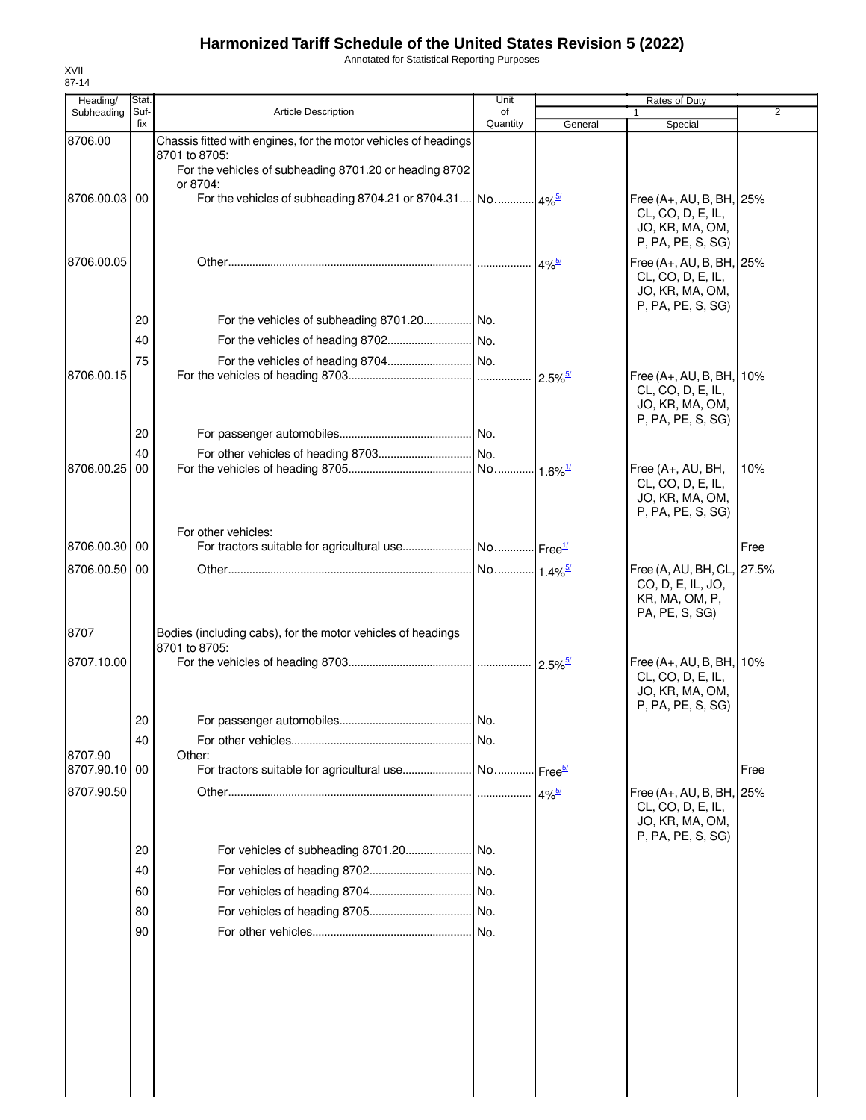Annotated for Statistical Reporting Purposes

| Heading/      | Stat.       |                                                                         | Unit           |                       | Rates of Duty                                   |      |
|---------------|-------------|-------------------------------------------------------------------------|----------------|-----------------------|-------------------------------------------------|------|
| Subheading    | Suf-<br>fix | <b>Article Description</b>                                              | of<br>Quantity | General               | Special                                         | 2    |
| 8706.00       |             | Chassis fitted with engines, for the motor vehicles of headings         |                |                       |                                                 |      |
|               |             | 8701 to 8705:<br>For the vehicles of subheading 8701.20 or heading 8702 |                |                       |                                                 |      |
|               |             | or 8704:                                                                |                |                       |                                                 |      |
| 8706.00.03 00 |             |                                                                         |                |                       | Free (A+, AU, B, BH, 25%                        |      |
|               |             |                                                                         |                |                       | CL, CO, D, E, IL,<br>JO, KR, MA, OM,            |      |
|               |             |                                                                         |                |                       | P, PA, PE, S, SG)                               |      |
| 8706.00.05    |             |                                                                         |                | $4\%$ <sup>5/</sup>   | Free (A+, AU, B, BH, 25%                        |      |
|               |             |                                                                         |                |                       | CL, CO, D, E, IL,                               |      |
|               |             |                                                                         |                |                       | JO, KR, MA, OM,<br>P, PA, PE, S, SG)            |      |
|               | 20          | For the vehicles of subheading 8701.20 No.                              |                |                       |                                                 |      |
|               | 40          |                                                                         |                |                       |                                                 |      |
|               | 75          |                                                                         |                |                       |                                                 |      |
| 8706.00.15    |             |                                                                         |                | $2.5\%$ <sup>5/</sup> | Free (A+, AU, B, BH, 10%                        |      |
|               |             |                                                                         |                |                       | CL, CO, D, E, IL,<br>JO, KR, MA, OM,            |      |
|               |             |                                                                         |                |                       | P, PA, PE, S, SG)                               |      |
|               | 20          |                                                                         |                |                       |                                                 |      |
|               | 40          |                                                                         |                |                       |                                                 |      |
| 8706.00.25    | 00          |                                                                         |                |                       | Free (A+, AU, BH,<br>CL, CO, D, E, IL,          | 10%  |
|               |             |                                                                         |                |                       | JO, KR, MA, OM,                                 |      |
|               |             |                                                                         |                |                       | P, PA, PE, S, SG)                               |      |
| 8706.00.30 00 |             | For other vehicles:                                                     |                |                       |                                                 |      |
|               |             |                                                                         |                |                       |                                                 | Free |
| 8706.00.50    | 00          |                                                                         |                |                       | Free (A, AU, BH, CL, 27.5%<br>CO, D, E, IL, JO, |      |
|               |             |                                                                         |                |                       | KR, MA, OM, P,                                  |      |
|               |             |                                                                         |                |                       | PA, PE, S, SG)                                  |      |
| 8707          |             | Bodies (including cabs), for the motor vehicles of headings             |                |                       |                                                 |      |
| 8707.10.00    |             | 8701 to 8705:                                                           |                |                       | Free (A+, AU, B, BH, 10%                        |      |
|               |             |                                                                         |                |                       | CL, CO, D, E, IL,                               |      |
|               |             |                                                                         |                |                       | JO, KR, MA, OM,                                 |      |
|               | 20          |                                                                         |                |                       | P, PA, PE, S, SG)                               |      |
|               | 40          |                                                                         | No.            |                       |                                                 |      |
| 8707.90       |             | Other:                                                                  |                |                       |                                                 |      |
| 8707.90.10    | 00          |                                                                         |                |                       |                                                 | Free |
| 8707.90.50    |             |                                                                         |                | $4\%$ <sup>5/</sup>   | Free (A+, AU, B, BH, 25%                        |      |
|               |             |                                                                         |                |                       | CL, CO, D, E, IL,<br>JO, KR, MA, OM,            |      |
|               |             |                                                                         |                |                       | P, PA, PE, S, SG)                               |      |
|               | 20          |                                                                         | I No.          |                       |                                                 |      |
|               | 40          |                                                                         |                |                       |                                                 |      |
|               | 60          |                                                                         |                |                       |                                                 |      |
|               | 80          |                                                                         |                |                       |                                                 |      |
|               | 90          |                                                                         |                |                       |                                                 |      |
|               |             |                                                                         |                |                       |                                                 |      |
|               |             |                                                                         |                |                       |                                                 |      |
|               |             |                                                                         |                |                       |                                                 |      |
|               |             |                                                                         |                |                       |                                                 |      |
|               |             |                                                                         |                |                       |                                                 |      |
|               |             |                                                                         |                |                       |                                                 |      |
|               |             |                                                                         |                |                       |                                                 |      |
|               |             |                                                                         |                |                       |                                                 |      |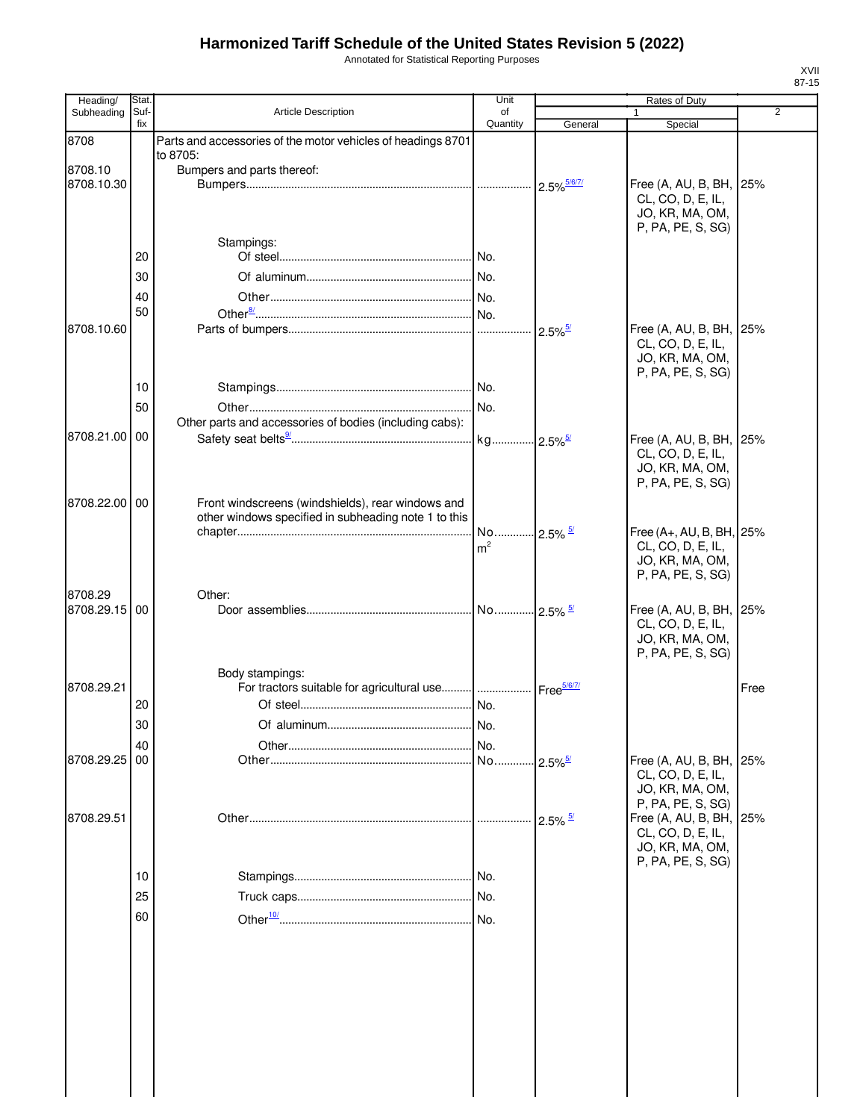Annotated for Statistical Reporting Purposes

| Heading/              | Stat.       |                                                                                                           | Unit                  |                       | Rates of Duty                                |      |
|-----------------------|-------------|-----------------------------------------------------------------------------------------------------------|-----------------------|-----------------------|----------------------------------------------|------|
| Subheading            | Suf-<br>fix | <b>Article Description</b>                                                                                | of<br>Quantity        | General               | 1<br>Special                                 | 2    |
| 8708                  |             | Parts and accessories of the motor vehicles of headings 8701                                              |                       |                       |                                              |      |
|                       |             | to 8705:                                                                                                  |                       |                       |                                              |      |
| 8708.10               |             | Bumpers and parts thereof:                                                                                |                       |                       |                                              |      |
| 8708.10.30            |             |                                                                                                           |                       | 2.5% 5/6/7/           | Free (A, AU, B, BH, 25%<br>CL, CO, D, E, IL, |      |
|                       |             |                                                                                                           |                       |                       | JO, KR, MA, OM,                              |      |
|                       |             |                                                                                                           |                       |                       | P, PA, PE, S, SG)                            |      |
|                       | 20          | Stampings:                                                                                                |                       |                       |                                              |      |
|                       |             |                                                                                                           |                       |                       |                                              |      |
|                       | 30          |                                                                                                           |                       |                       |                                              |      |
|                       | 40<br>50    |                                                                                                           |                       |                       |                                              |      |
| 8708.10.60            |             |                                                                                                           |                       | $2.5\%$ <sup>5/</sup> | Free (A, AU, B, BH, 25%                      |      |
|                       |             |                                                                                                           |                       |                       | CL, CO, D, E, IL,                            |      |
|                       |             |                                                                                                           |                       |                       | JO, KR, MA, OM,                              |      |
|                       |             |                                                                                                           |                       |                       | P, PA, PE, S, SG)                            |      |
|                       | 10          |                                                                                                           |                       |                       |                                              |      |
|                       | 50          | Other parts and accessories of bodies (including cabs):                                                   |                       |                       |                                              |      |
| 8708.21.00 00         |             |                                                                                                           |                       |                       | Free (A, AU, B, BH, 25%                      |      |
|                       |             |                                                                                                           |                       |                       | CL, CO, D, E, IL,                            |      |
|                       |             |                                                                                                           |                       |                       | JO, KR, MA, OM,                              |      |
|                       |             |                                                                                                           |                       |                       | P, PA, PE, S, SG)                            |      |
| 8708.22.00 00         |             | Front windscreens (windshields), rear windows and<br>other windows specified in subheading note 1 to this |                       |                       |                                              |      |
|                       |             |                                                                                                           | No 2.5% <sup>5/</sup> |                       | Free (A+, AU, B, BH, 25%                     |      |
|                       |             |                                                                                                           | m <sup>2</sup>        |                       | CL, CO, D, E, IL,                            |      |
|                       |             |                                                                                                           |                       |                       | JO, KR, MA, OM,                              |      |
|                       |             |                                                                                                           |                       |                       | P, PA, PE, S, SG)                            |      |
| 8708.29<br>8708.29.15 | 00          | Other:                                                                                                    |                       |                       | Free (A, AU, B, BH, 25%                      |      |
|                       |             |                                                                                                           |                       |                       | CL, CO, D, E, IL,                            |      |
|                       |             |                                                                                                           |                       |                       | JO, KR, MA, OM,                              |      |
|                       |             |                                                                                                           |                       |                       | P, PA, PE, S, SG)                            |      |
|                       |             | Body stampings:                                                                                           |                       |                       |                                              |      |
| 8708.29.21            | 20          | For tractors suitable for agricultural use  Free <sup>5/6/7/</sup>                                        |                       |                       |                                              | Free |
|                       |             |                                                                                                           | No.                   |                       |                                              |      |
|                       | 30          |                                                                                                           |                       |                       |                                              |      |
| 8708.29.25            | 40<br>00    |                                                                                                           | No                    | $2.5\%$ <sup>5/</sup> | Free (A, AU, B, BH, 25%                      |      |
|                       |             |                                                                                                           |                       |                       | CL, CO, D, E, IL,                            |      |
|                       |             |                                                                                                           |                       |                       | JO, KR, MA, OM,                              |      |
| 8708.29.51            |             |                                                                                                           |                       |                       | P, PA, PE, S, SG)<br>Free (A, AU, B, BH, 25% |      |
|                       |             |                                                                                                           |                       | $2.5\%$ $\frac{5}{4}$ | CL, CO, D, E, IL,                            |      |
|                       |             |                                                                                                           |                       |                       | JO, KR, MA, OM,                              |      |
|                       |             |                                                                                                           |                       |                       | P, PA, PE, S, SG)                            |      |
|                       | 10          |                                                                                                           |                       |                       |                                              |      |
|                       | 25          |                                                                                                           |                       |                       |                                              |      |
|                       | 60          |                                                                                                           |                       |                       |                                              |      |
|                       |             |                                                                                                           |                       |                       |                                              |      |
|                       |             |                                                                                                           |                       |                       |                                              |      |
|                       |             |                                                                                                           |                       |                       |                                              |      |
|                       |             |                                                                                                           |                       |                       |                                              |      |
|                       |             |                                                                                                           |                       |                       |                                              |      |
|                       |             |                                                                                                           |                       |                       |                                              |      |
|                       |             |                                                                                                           |                       |                       |                                              |      |
|                       |             |                                                                                                           |                       |                       |                                              |      |
|                       |             |                                                                                                           |                       |                       |                                              |      |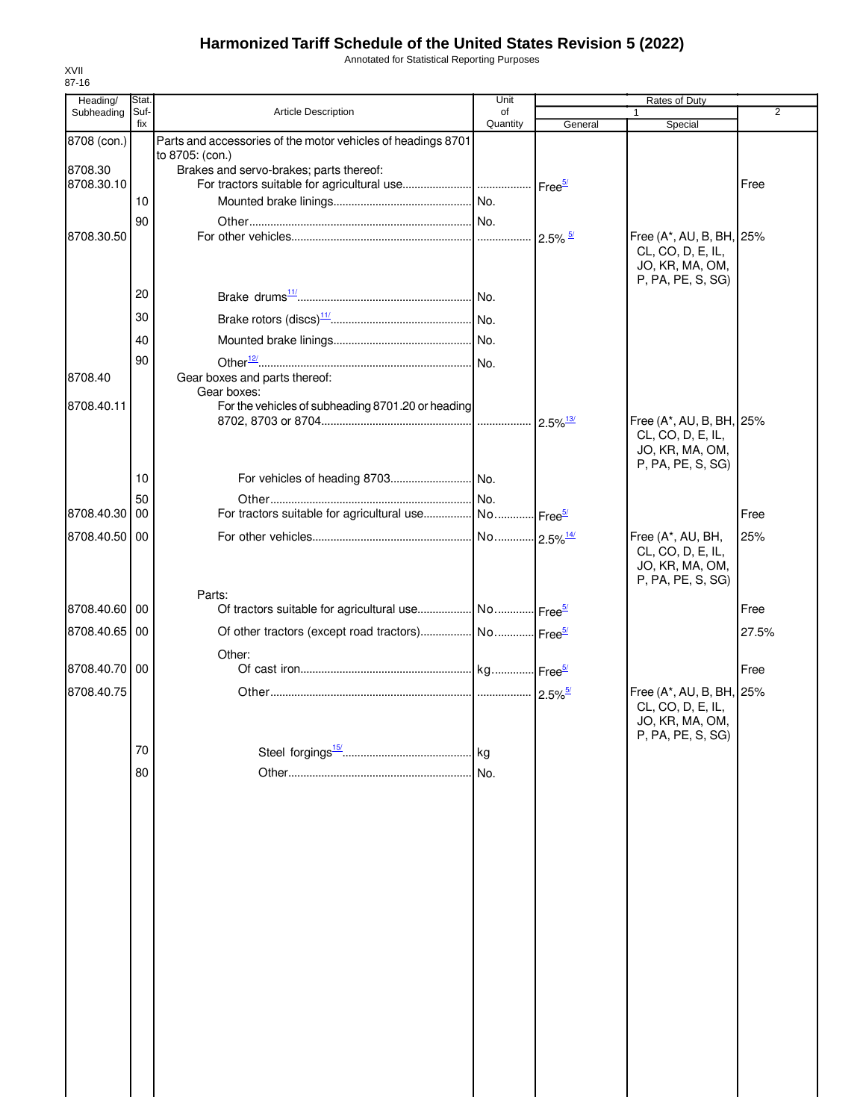Annotated for Statistical Reporting Purposes

| Heading/      | Stat.       |                                                                           | Unit                   |                       | Rates of Duty                                 |                |
|---------------|-------------|---------------------------------------------------------------------------|------------------------|-----------------------|-----------------------------------------------|----------------|
| Subheading    | Suf-<br>fix | Article Description                                                       | οf<br>Quantity         | General               | Special                                       | $\overline{2}$ |
| 8708 (con.)   |             | Parts and accessories of the motor vehicles of headings 8701              |                        |                       |                                               |                |
|               |             | to 8705: (con.)                                                           |                        |                       |                                               |                |
| 8708.30       |             | Brakes and servo-brakes; parts thereof:                                   |                        |                       |                                               |                |
| 8708.30.10    |             |                                                                           |                        |                       |                                               | Free           |
|               | 10          |                                                                           |                        |                       |                                               |                |
| 8708.30.50    | 90          |                                                                           |                        | $2.5\%$ $\frac{5}{2}$ | Free (A*, AU, B, BH, 25%                      |                |
|               |             |                                                                           |                        |                       | CL, CO, D, E, IL,                             |                |
|               |             |                                                                           |                        |                       | JO, KR, MA, OM,                               |                |
|               | 20          |                                                                           |                        |                       | P, PA, PE, S, SG)                             |                |
|               |             |                                                                           |                        |                       |                                               |                |
|               | 30          |                                                                           |                        |                       |                                               |                |
|               | 40          |                                                                           |                        |                       |                                               |                |
|               | 90          |                                                                           |                        |                       |                                               |                |
| 8708.40       |             | Gear boxes and parts thereof:                                             |                        |                       |                                               |                |
| 8708.40.11    |             | Gear boxes:                                                               |                        |                       |                                               |                |
|               |             | For the vehicles of subheading 8701.20 or heading                         |                        |                       | Free (A*, AU, B, BH, 25%                      |                |
|               |             |                                                                           |                        |                       | CL, CO, D, E, IL,                             |                |
|               |             |                                                                           |                        |                       | JO, KR, MA, OM,                               |                |
|               | 10          |                                                                           |                        |                       | P, PA, PE, S, SG)                             |                |
|               | 50          |                                                                           |                        |                       |                                               |                |
| 8708.40.30 00 |             | For tractors suitable for agricultural use No Free <sup>5/</sup>          |                        |                       |                                               | Free           |
| 8708.40.50 00 |             |                                                                           | No 2.5% <sup>14/</sup> |                       | Free (A*, AU, BH,                             | 25%            |
|               |             |                                                                           |                        |                       | CL, CO, D, E, IL,                             |                |
|               |             |                                                                           |                        |                       | JO, KR, MA, OM,                               |                |
|               |             |                                                                           |                        |                       | P, PA, PE, S, SG)                             |                |
| 8708.40.60 00 |             | Parts:<br>Of tractors suitable for agricultural use No Free <sup>5/</sup> |                        |                       |                                               | Free           |
|               |             |                                                                           |                        |                       |                                               |                |
| 8708.40.65 00 |             | Of other tractors (except road tractors)  No  Free <sup>5/</sup>          |                        |                       |                                               | 27.5%          |
| 8708.40.70 00 |             | Other:                                                                    |                        |                       |                                               | Free           |
|               |             |                                                                           |                        |                       |                                               |                |
| 8708.40.75    |             |                                                                           |                        |                       | Free (A*, AU, B, BH, 25%<br>CL, CO, D, E, IL, |                |
|               |             |                                                                           |                        |                       | JO, KR, MA, OM,                               |                |
|               |             |                                                                           |                        |                       | P, PA, PE, S, SG)                             |                |
|               | 70          |                                                                           | kg                     |                       |                                               |                |
|               | 80          |                                                                           | No.                    |                       |                                               |                |
|               |             |                                                                           |                        |                       |                                               |                |
|               |             |                                                                           |                        |                       |                                               |                |
|               |             |                                                                           |                        |                       |                                               |                |
|               |             |                                                                           |                        |                       |                                               |                |
|               |             |                                                                           |                        |                       |                                               |                |
|               |             |                                                                           |                        |                       |                                               |                |
|               |             |                                                                           |                        |                       |                                               |                |
|               |             |                                                                           |                        |                       |                                               |                |
|               |             |                                                                           |                        |                       |                                               |                |
|               |             |                                                                           |                        |                       |                                               |                |
|               |             |                                                                           |                        |                       |                                               |                |
|               |             |                                                                           |                        |                       |                                               |                |
|               |             |                                                                           |                        |                       |                                               |                |
|               |             |                                                                           |                        |                       |                                               |                |
|               |             |                                                                           |                        |                       |                                               |                |
|               |             |                                                                           |                        |                       |                                               |                |
|               |             |                                                                           |                        |                       |                                               |                |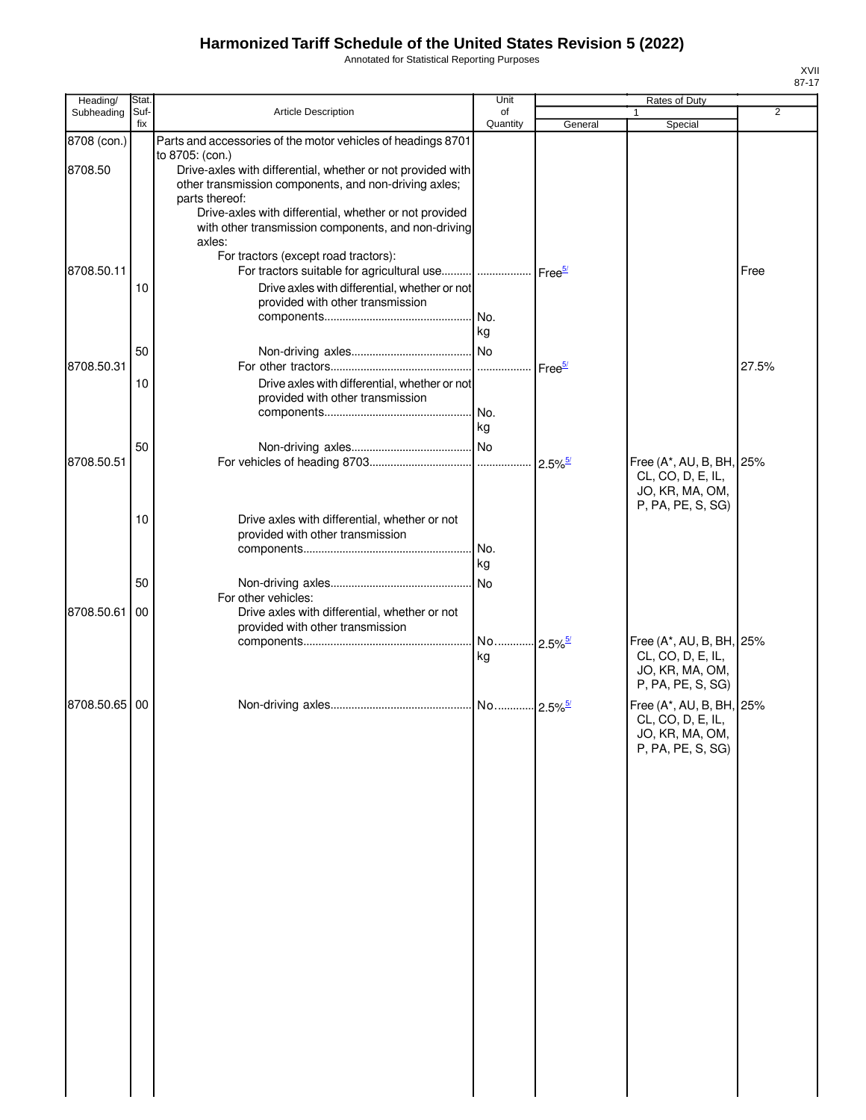Annotated for Statistical Reporting Purposes

| Heading/    | Stat.       |                                                                          | Unit                  |         | Rates of Duty                        |       |
|-------------|-------------|--------------------------------------------------------------------------|-----------------------|---------|--------------------------------------|-------|
| Subheading  | Suf-<br>fix | Article Description                                                      | of<br>Quantity        | General | 1<br>Special                         | 2     |
| 8708 (con.) |             | Parts and accessories of the motor vehicles of headings 8701             |                       |         |                                      |       |
|             |             | to 8705: (con.)                                                          |                       |         |                                      |       |
| 8708.50     |             | Drive-axles with differential, whether or not provided with              |                       |         |                                      |       |
|             |             | other transmission components, and non-driving axles;                    |                       |         |                                      |       |
|             |             | parts thereof:<br>Drive-axles with differential, whether or not provided |                       |         |                                      |       |
|             |             | with other transmission components, and non-driving                      |                       |         |                                      |       |
|             |             | axles:                                                                   |                       |         |                                      |       |
|             |             | For tractors (except road tractors):                                     |                       |         |                                      |       |
| 8708.50.11  |             | For tractors suitable for agricultural use     Free <sup>5/</sup>        |                       |         |                                      | Free  |
|             | 10          | Drive axles with differential, whether or not                            |                       |         |                                      |       |
|             |             | provided with other transmission                                         |                       |         |                                      |       |
|             |             |                                                                          | kg                    |         |                                      |       |
|             | 50          |                                                                          |                       |         |                                      |       |
| 8708.50.31  |             |                                                                          |                       |         |                                      | 27.5% |
|             | 10          | Drive axles with differential, whether or not                            |                       |         |                                      |       |
|             |             | provided with other transmission                                         |                       |         |                                      |       |
|             |             |                                                                          |                       |         |                                      |       |
|             |             |                                                                          | kg                    |         |                                      |       |
|             | 50          |                                                                          |                       |         |                                      |       |
| 8708.50.51  |             |                                                                          |                       |         | Free (A*, AU, B, BH, 25%             |       |
|             |             |                                                                          |                       |         | CL, CO, D, E, IL,                    |       |
|             |             |                                                                          |                       |         | JO, KR, MA, OM,<br>P, PA, PE, S, SG) |       |
|             | 10          | Drive axles with differential, whether or not                            |                       |         |                                      |       |
|             |             | provided with other transmission                                         |                       |         |                                      |       |
|             |             |                                                                          |                       |         |                                      |       |
|             |             |                                                                          | kg                    |         |                                      |       |
|             | 50          |                                                                          | No.                   |         |                                      |       |
| 8708.50.61  | 00          | For other vehicles:<br>Drive axles with differential, whether or not     |                       |         |                                      |       |
|             |             | provided with other transmission                                         |                       |         |                                      |       |
|             |             |                                                                          | No 2.5% <sup>5/</sup> |         | Free (A*, AU, B, BH, 25%             |       |
|             |             |                                                                          | kg                    |         | CL, CO, D, E, IL,                    |       |
|             |             |                                                                          |                       |         | JO, KR, MA, OM,                      |       |
|             |             |                                                                          |                       |         | P, PA, PE, S, SG)                    |       |
| 8708.50.65  | 00          |                                                                          |                       |         | Free (A*, AU, B, BH, 25%             |       |
|             |             |                                                                          |                       |         | CL, CO, D, E, IL,<br>JO, KR, MA, OM, |       |
|             |             |                                                                          |                       |         | P, PA, PE, S, SG)                    |       |
|             |             |                                                                          |                       |         |                                      |       |
|             |             |                                                                          |                       |         |                                      |       |
|             |             |                                                                          |                       |         |                                      |       |
|             |             |                                                                          |                       |         |                                      |       |
|             |             |                                                                          |                       |         |                                      |       |
|             |             |                                                                          |                       |         |                                      |       |
|             |             |                                                                          |                       |         |                                      |       |
|             |             |                                                                          |                       |         |                                      |       |
|             |             |                                                                          |                       |         |                                      |       |
|             |             |                                                                          |                       |         |                                      |       |
|             |             |                                                                          |                       |         |                                      |       |
|             |             |                                                                          |                       |         |                                      |       |
|             |             |                                                                          |                       |         |                                      |       |
|             |             |                                                                          |                       |         |                                      |       |
|             |             |                                                                          |                       |         |                                      |       |
|             |             |                                                                          |                       |         |                                      |       |
|             |             |                                                                          |                       |         |                                      |       |
|             |             |                                                                          |                       |         |                                      |       |
|             |             |                                                                          |                       |         |                                      |       |
|             |             |                                                                          |                       |         |                                      |       |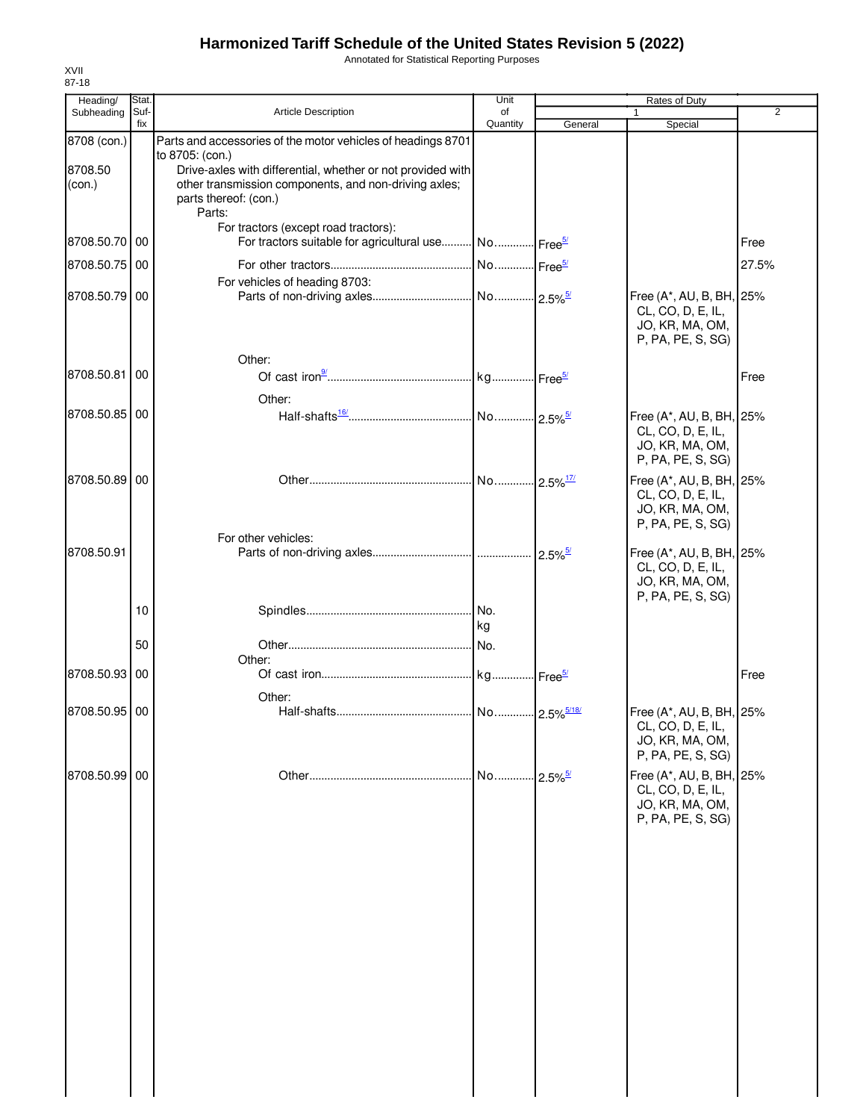Annotated for Statistical Reporting Purposes

| Heading/          | Stat.       |                                                                                                                      | Unit           |                       | Rates of Duty                                 |                |
|-------------------|-------------|----------------------------------------------------------------------------------------------------------------------|----------------|-----------------------|-----------------------------------------------|----------------|
| Subheading        | Suf-<br>fix | Article Description                                                                                                  | of<br>Quantity | General               | Special                                       | $\overline{2}$ |
| 8708 (con.)       |             | Parts and accessories of the motor vehicles of headings 8701                                                         |                |                       |                                               |                |
|                   |             | to 8705: (con.)                                                                                                      |                |                       |                                               |                |
| 8708.50<br>(con.) |             | Drive-axles with differential, whether or not provided with<br>other transmission components, and non-driving axles; |                |                       |                                               |                |
|                   |             | parts thereof: (con.)                                                                                                |                |                       |                                               |                |
|                   |             | Parts:                                                                                                               |                |                       |                                               |                |
|                   |             | For tractors (except road tractors):                                                                                 |                |                       |                                               |                |
| 8708.50.70 00     |             | For tractors suitable for agricultural use No Free <sup>5/</sup>                                                     |                |                       |                                               | Free           |
| 8708.50.75 00     |             |                                                                                                                      |                |                       |                                               | 27.5%          |
| 8708.50.79 00     |             | For vehicles of heading 8703:                                                                                        |                |                       | Free (A*, AU, B, BH, 25%                      |                |
|                   |             |                                                                                                                      |                |                       | CL, CO, D, E, IL,                             |                |
|                   |             |                                                                                                                      |                |                       | JO, KR, MA, OM,                               |                |
|                   |             |                                                                                                                      |                |                       | P, PA, PE, S, SG)                             |                |
|                   |             | Other:                                                                                                               |                |                       |                                               |                |
| 8708.50.81 00     |             |                                                                                                                      |                |                       |                                               | Free           |
|                   |             | Other:                                                                                                               |                |                       |                                               |                |
| 8708.50.85 00     |             |                                                                                                                      |                |                       | Free (A*, AU, B, BH, 25%                      |                |
|                   |             |                                                                                                                      |                |                       | CL, CO, D, E, IL,<br>JO, KR, MA, OM,          |                |
|                   |             |                                                                                                                      |                |                       | P, PA, PE, S, SG)                             |                |
| 8708.50.89 00     |             |                                                                                                                      |                |                       | Free (A*, AU, B, BH, 25%                      |                |
|                   |             |                                                                                                                      |                |                       | CL, CO, D, E, IL,                             |                |
|                   |             |                                                                                                                      |                |                       | JO, KR, MA, OM,<br>P, PA, PE, S, SG)          |                |
|                   |             | For other vehicles:                                                                                                  |                |                       |                                               |                |
| 8708.50.91        |             |                                                                                                                      |                |                       | Free (A*, AU, B, BH, 25%                      |                |
|                   |             |                                                                                                                      |                |                       | CL, CO, D, E, IL,                             |                |
|                   |             |                                                                                                                      |                |                       | JO, KR, MA, OM,<br>P, PA, PE, S, SG)          |                |
|                   | 10          |                                                                                                                      | No.            |                       |                                               |                |
|                   |             |                                                                                                                      | kg             |                       |                                               |                |
|                   | 50          |                                                                                                                      | No.            |                       |                                               |                |
| 8708.50.93 00     |             | Other:                                                                                                               |                |                       |                                               | Free           |
|                   |             |                                                                                                                      |                |                       |                                               |                |
| 8708.50.95 00     |             | Other:                                                                                                               |                |                       | Free (A*, AU, B, BH, 25%                      |                |
|                   |             |                                                                                                                      |                |                       | CL, CO, D, E, IL,                             |                |
|                   |             |                                                                                                                      |                |                       | JO, KR, MA, OM,                               |                |
|                   |             |                                                                                                                      |                |                       | P, PA, PE, S, SG)                             |                |
| 8708.50.99 00     |             |                                                                                                                      | . No.          | $2.5\%$ <sup>5/</sup> | Free (A*, AU, B, BH, 25%<br>CL, CO, D, E, IL, |                |
|                   |             |                                                                                                                      |                |                       | JO, KR, MA, OM,                               |                |
|                   |             |                                                                                                                      |                |                       | P, PA, PE, S, SG)                             |                |
|                   |             |                                                                                                                      |                |                       |                                               |                |
|                   |             |                                                                                                                      |                |                       |                                               |                |
|                   |             |                                                                                                                      |                |                       |                                               |                |
|                   |             |                                                                                                                      |                |                       |                                               |                |
|                   |             |                                                                                                                      |                |                       |                                               |                |
|                   |             |                                                                                                                      |                |                       |                                               |                |
|                   |             |                                                                                                                      |                |                       |                                               |                |
|                   |             |                                                                                                                      |                |                       |                                               |                |
|                   |             |                                                                                                                      |                |                       |                                               |                |
|                   |             |                                                                                                                      |                |                       |                                               |                |
|                   |             |                                                                                                                      |                |                       |                                               |                |
|                   |             |                                                                                                                      |                |                       |                                               |                |
|                   |             |                                                                                                                      |                |                       |                                               |                |
|                   |             |                                                                                                                      |                |                       |                                               |                |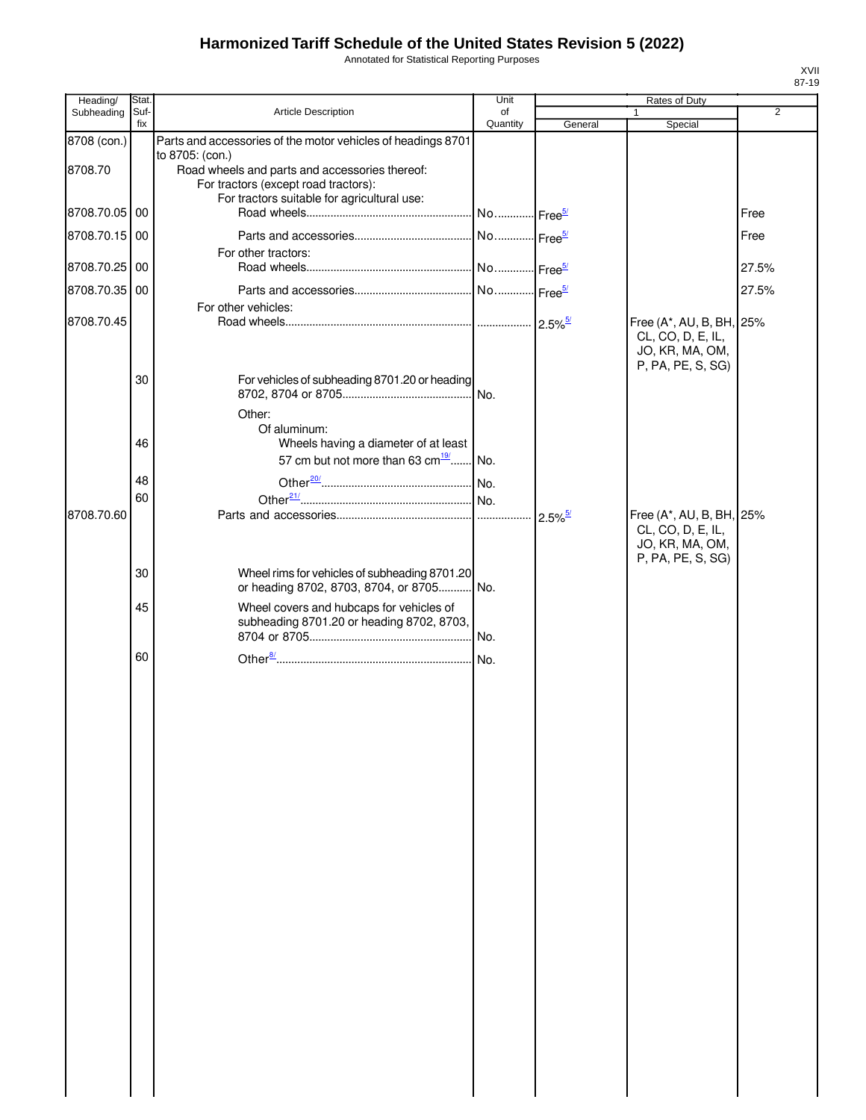Annotated for Statistical Reporting Purposes

| Heading/      | Stat.       |                                                                                                                                                          | Unit           |                       | Rates of Duty                                                                         |       |
|---------------|-------------|----------------------------------------------------------------------------------------------------------------------------------------------------------|----------------|-----------------------|---------------------------------------------------------------------------------------|-------|
| Subheading    | Suf-<br>fix | Article Description                                                                                                                                      | of<br>Quantity | General               | $\mathbf{1}$<br>Special                                                               | 2     |
| 8708 (con.)   |             | Parts and accessories of the motor vehicles of headings 8701                                                                                             |                |                       |                                                                                       |       |
| 8708.70       |             | to 8705: (con.)<br>Road wheels and parts and accessories thereof:<br>For tractors (except road tractors):<br>For tractors suitable for agricultural use: |                |                       |                                                                                       |       |
| 8708.70.05    | 00          |                                                                                                                                                          |                |                       |                                                                                       | Free  |
| 8708.70.15    | 00          | For other tractors:                                                                                                                                      |                |                       |                                                                                       | Free  |
| 8708.70.25 00 |             |                                                                                                                                                          |                |                       |                                                                                       | 27.5% |
| 8708.70.35    | 00          |                                                                                                                                                          |                |                       |                                                                                       | 27.5% |
| 8708.70.45    |             | For other vehicles:                                                                                                                                      |                |                       | Free (A*, AU, B, BH, 25%                                                              |       |
|               | 30          | For vehicles of subheading 8701.20 or heading                                                                                                            |                |                       | CL, CO, D, E, IL,<br>JO, KR, MA, OM,<br>P, PA, PE, S, SG)                             |       |
|               |             | Other:                                                                                                                                                   |                |                       |                                                                                       |       |
|               | 46          | Of aluminum:<br>Wheels having a diameter of at least<br>57 cm but not more than 63 cm $\frac{19}{10}$ No.                                                |                |                       |                                                                                       |       |
|               | 48          |                                                                                                                                                          |                |                       |                                                                                       |       |
|               | 60          |                                                                                                                                                          |                |                       |                                                                                       |       |
| 8708.70.60    |             |                                                                                                                                                          |                | $2.5\%$ <sup>5/</sup> | Free (A*, AU, B, BH, 25%<br>CL, CO, D, E, IL,<br>JO, KR, MA, OM,<br>P, PA, PE, S, SG) |       |
|               | 30          | Wheel rims for vehicles of subheading 8701.20<br>or heading 8702, 8703, 8704, or 8705 No.                                                                |                |                       |                                                                                       |       |
|               | 45          | Wheel covers and hubcaps for vehicles of<br>subheading 8701.20 or heading 8702, 8703,                                                                    |                |                       |                                                                                       |       |
|               | 60          |                                                                                                                                                          |                |                       |                                                                                       |       |
|               |             |                                                                                                                                                          |                |                       |                                                                                       |       |
|               |             |                                                                                                                                                          |                |                       |                                                                                       |       |
|               |             |                                                                                                                                                          |                |                       |                                                                                       |       |
|               |             |                                                                                                                                                          |                |                       |                                                                                       |       |
|               |             |                                                                                                                                                          |                |                       |                                                                                       |       |
|               |             |                                                                                                                                                          |                |                       |                                                                                       |       |
|               |             |                                                                                                                                                          |                |                       |                                                                                       |       |
|               |             |                                                                                                                                                          |                |                       |                                                                                       |       |
|               |             |                                                                                                                                                          |                |                       |                                                                                       |       |
|               |             |                                                                                                                                                          |                |                       |                                                                                       |       |
|               |             |                                                                                                                                                          |                |                       |                                                                                       |       |
|               |             |                                                                                                                                                          |                |                       |                                                                                       |       |
|               |             |                                                                                                                                                          |                |                       |                                                                                       |       |
|               |             |                                                                                                                                                          |                |                       |                                                                                       |       |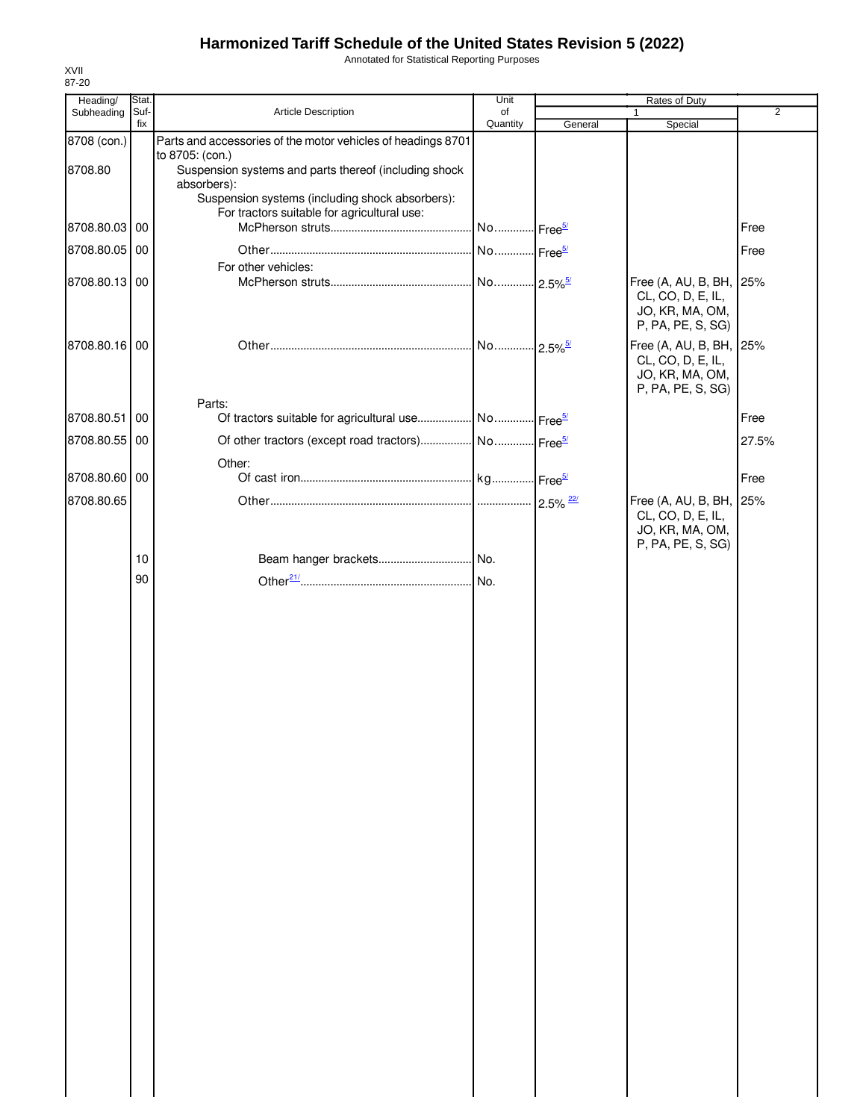Annotated for Statistical Reporting Purposes

| Heading/      | Stat.       |                                                                           | Unit           |         | Rates of Duty                                |                |
|---------------|-------------|---------------------------------------------------------------------------|----------------|---------|----------------------------------------------|----------------|
| Subheading    | Suf-<br>fix | Article Description                                                       | of<br>Quantity | General | $\mathbf{1}$<br>Special                      | $\overline{2}$ |
| 8708 (con.)   |             | Parts and accessories of the motor vehicles of headings 8701              |                |         |                                              |                |
|               |             | to 8705: (con.)                                                           |                |         |                                              |                |
| 8708.80       |             | Suspension systems and parts thereof (including shock<br>absorbers):      |                |         |                                              |                |
|               |             | Suspension systems (including shock absorbers):                           |                |         |                                              |                |
|               |             | For tractors suitable for agricultural use:                               |                |         |                                              |                |
| 8708.80.03 00 |             |                                                                           |                |         |                                              | Free           |
| 8708.80.05    | 00          |                                                                           |                |         |                                              | Free           |
| 8708.80.13 00 |             | For other vehicles:                                                       |                |         | Free (A, AU, B, BH,                          | 25%            |
|               |             |                                                                           |                |         | CL, CO, D, E, IL,                            |                |
|               |             |                                                                           |                |         | JO, KR, MA, OM,                              |                |
|               |             |                                                                           |                |         | P, PA, PE, S, SG)                            |                |
| 8708.80.16 00 |             |                                                                           |                |         | Free (A, AU, B, BH, 25%<br>CL, CO, D, E, IL, |                |
|               |             |                                                                           |                |         | JO, KR, MA, OM,                              |                |
|               |             |                                                                           |                |         | P, PA, PE, S, SG)                            |                |
| 8708.80.51    | 00          | Parts:<br>Of tractors suitable for agricultural use No Free <sup>5/</sup> |                |         |                                              | Free           |
| 8708.80.55 00 |             |                                                                           |                |         |                                              |                |
|               |             |                                                                           |                |         |                                              | 27.5%          |
| 8708.80.60 00 |             | Other:                                                                    |                |         |                                              | Free           |
| 8708.80.65    |             |                                                                           |                |         |                                              |                |
|               |             |                                                                           |                |         | Free (A, AU, B, BH, 25%<br>CL, CO, D, E, IL, |                |
|               |             |                                                                           |                |         | JO, KR, MA, OM,                              |                |
|               | 10          |                                                                           |                |         | P, PA, PE, S, SG)                            |                |
|               | 90          |                                                                           |                |         |                                              |                |
|               |             |                                                                           |                |         |                                              |                |
|               |             |                                                                           |                |         |                                              |                |
|               |             |                                                                           |                |         |                                              |                |
|               |             |                                                                           |                |         |                                              |                |
|               |             |                                                                           |                |         |                                              |                |
|               |             |                                                                           |                |         |                                              |                |
|               |             |                                                                           |                |         |                                              |                |
|               |             |                                                                           |                |         |                                              |                |
|               |             |                                                                           |                |         |                                              |                |
|               |             |                                                                           |                |         |                                              |                |
|               |             |                                                                           |                |         |                                              |                |
|               |             |                                                                           |                |         |                                              |                |
|               |             |                                                                           |                |         |                                              |                |
|               |             |                                                                           |                |         |                                              |                |
|               |             |                                                                           |                |         |                                              |                |
|               |             |                                                                           |                |         |                                              |                |
|               |             |                                                                           |                |         |                                              |                |
|               |             |                                                                           |                |         |                                              |                |
|               |             |                                                                           |                |         |                                              |                |
|               |             |                                                                           |                |         |                                              |                |
|               |             |                                                                           |                |         |                                              |                |
|               |             |                                                                           |                |         |                                              |                |
|               |             |                                                                           |                |         |                                              |                |
|               |             |                                                                           |                |         |                                              |                |
|               |             |                                                                           |                |         |                                              |                |
|               |             |                                                                           |                |         |                                              |                |
|               |             |                                                                           |                |         |                                              |                |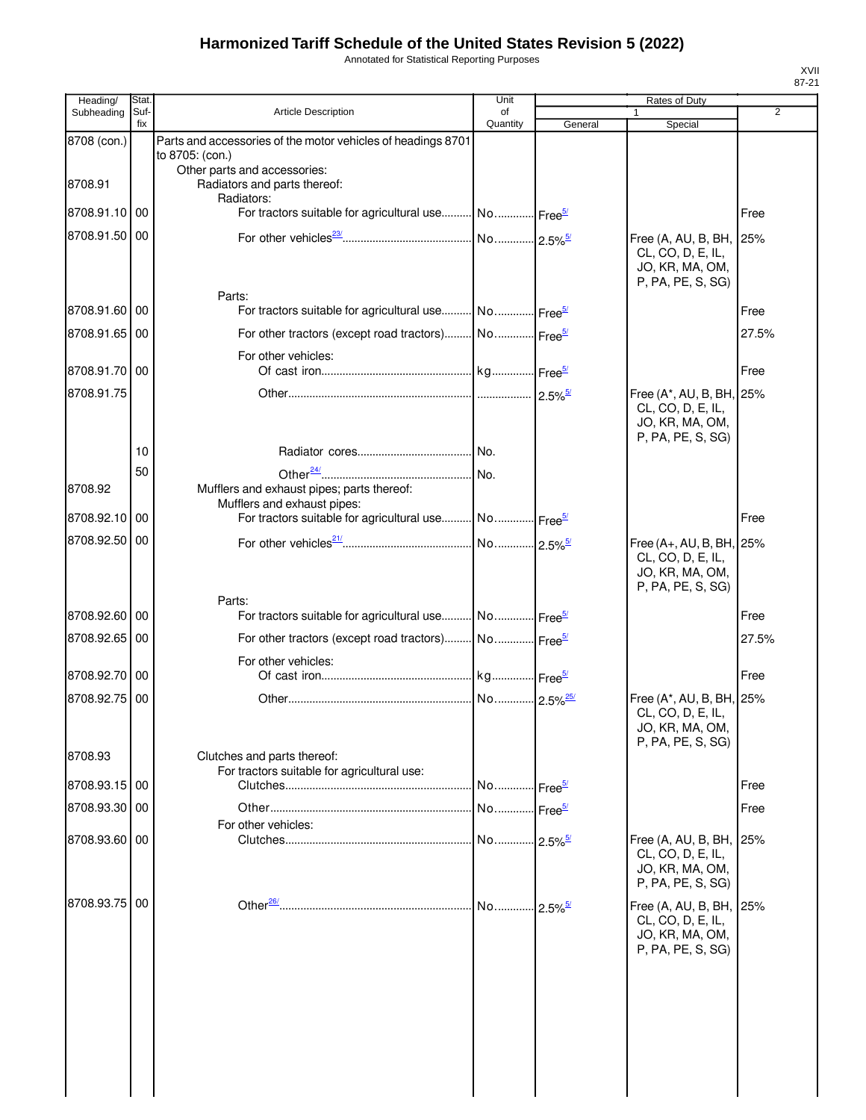Annotated for Statistical Reporting Purposes

| Heading/      | Stat.       |                                                                                 | Unit                  |         | Rates of Duty                                                                         |       |
|---------------|-------------|---------------------------------------------------------------------------------|-----------------------|---------|---------------------------------------------------------------------------------------|-------|
| Subheading    | Suf-<br>fix | <b>Article Description</b>                                                      | οf<br>Quantity        | General | Special                                                                               | 2     |
| 8708 (con.)   |             | Parts and accessories of the motor vehicles of headings 8701<br>to 8705: (con.) |                       |         |                                                                                       |       |
| 8708.91       |             | Other parts and accessories:<br>Radiators and parts thereof:                    |                       |         |                                                                                       |       |
| 8708.91.10 00 |             | Radiators:<br>For tractors suitable for agricultural use No Free <sup>5/</sup>  |                       |         |                                                                                       | Free  |
| 8708.91.50 00 |             |                                                                                 |                       |         | Free (A, AU, B, BH, 25%<br>CL, CO, D, E, IL,                                          |       |
|               |             | Parts:                                                                          |                       |         | JO, KR, MA, OM,<br>P, PA, PE, S, SG)                                                  |       |
| 8708.91.60 00 |             | For tractors suitable for agricultural use No Free <sup>5/</sup>                |                       |         |                                                                                       | Free  |
| 8708.91.65 00 |             | For other tractors (except road tractors) No Free <sup>5/</sup>                 |                       |         |                                                                                       | 27.5% |
|               |             | For other vehicles:                                                             |                       |         |                                                                                       |       |
| 8708.91.70 00 |             |                                                                                 |                       |         |                                                                                       | Free  |
| 8708.91.75    |             |                                                                                 |                       |         | Free (A*, AU, B, BH, 25%<br>CL, CO, D, E, IL,<br>JO, KR, MA, OM,<br>P, PA, PE, S, SG) |       |
|               | 10          |                                                                                 |                       |         |                                                                                       |       |
|               | 50          |                                                                                 |                       |         |                                                                                       |       |
| 8708.92       |             | Mufflers and exhaust pipes; parts thereof:<br>Mufflers and exhaust pipes:       |                       |         |                                                                                       |       |
| 8708.92.10    | 00          | For tractors suitable for agricultural use No Free <sup>5/</sup>                |                       |         |                                                                                       | Free  |
| 8708.92.50 00 |             |                                                                                 |                       |         | Free (A+, AU, B, BH, 25%<br>CL, CO, D, E, IL,<br>JO, KR, MA, OM,<br>P, PA, PE, S, SG) |       |
|               |             | Parts:                                                                          |                       |         |                                                                                       |       |
| 8708.92.60 00 |             | For tractors suitable for agricultural use No Free <sup>5/</sup>                |                       |         |                                                                                       | Free  |
| 8708.92.65 00 |             | For other tractors (except road tractors) No Free <sup>5/</sup>                 |                       |         |                                                                                       | 27.5% |
| 8708.92.70 00 |             | For other vehicles:                                                             |                       |         |                                                                                       | Free  |
| 8708.92.75 00 |             |                                                                                 |                       |         | Free (A*, AU, B, BH, 25%                                                              |       |
|               |             |                                                                                 |                       |         | CL, CO, D, E, IL,<br>JO, KR, MA, OM,<br>P, PA, PE, S, SG)                             |       |
| 8708.93       |             | Clutches and parts thereof:<br>For tractors suitable for agricultural use:      |                       |         |                                                                                       |       |
| 8708.93.15    | 00          |                                                                                 | No Free <sup>5/</sup> |         |                                                                                       | Free  |
| 8708.93.30 00 |             |                                                                                 | No Free <sup>5/</sup> |         |                                                                                       | Free  |
|               |             | For other vehicles:                                                             |                       |         |                                                                                       |       |
| 8708.93.60 00 |             |                                                                                 |                       |         | Free (A, AU, B, BH,<br>CL, CO, D, E, IL,<br>JO, KR, MA, OM,<br>P, PA, PE, S, SG)      | 25%   |
| 8708.93.75    | 00          |                                                                                 |                       |         | Free (A, AU, B, BH,<br>CL, CO, D, E, IL,<br>JO, KR, MA, OM,<br>P, PA, PE, S, SG)      | 25%   |
|               |             |                                                                                 |                       |         |                                                                                       |       |
|               |             |                                                                                 |                       |         |                                                                                       |       |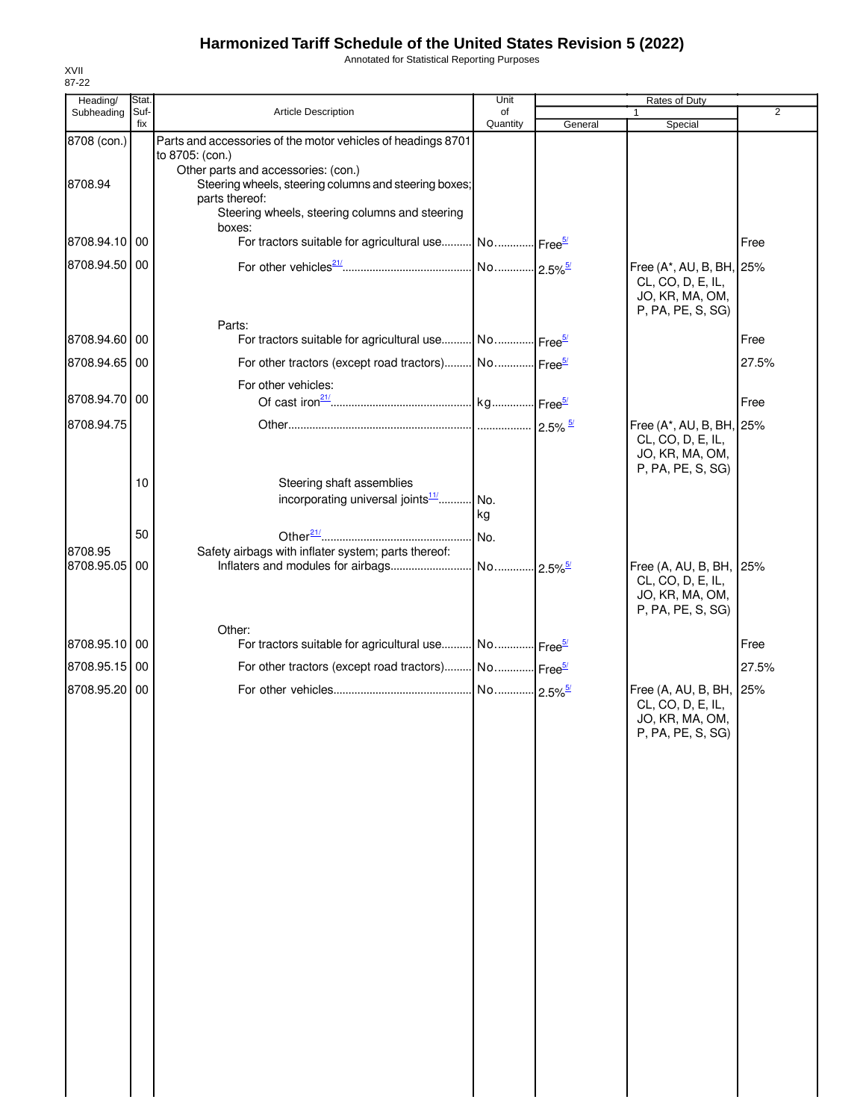Annotated for Statistical Reporting Purposes

| Heading/      | Stat.       |                                                                                                                                                                  | Unit           | Rates of Duty |                                                                                       |                |
|---------------|-------------|------------------------------------------------------------------------------------------------------------------------------------------------------------------|----------------|---------------|---------------------------------------------------------------------------------------|----------------|
| Subheading    | Suf-<br>fix | Article Description                                                                                                                                              | of<br>Quantity | General       | Special                                                                               | $\overline{2}$ |
| 8708 (con.)   |             | Parts and accessories of the motor vehicles of headings 8701<br>to 8705: (con.)                                                                                  |                |               |                                                                                       |                |
| 8708.94       |             | Other parts and accessories: (con.)<br>Steering wheels, steering columns and steering boxes;<br>parts thereof:<br>Steering wheels, steering columns and steering |                |               |                                                                                       |                |
| 8708.94.10 00 |             | boxes:<br>For tractors suitable for agricultural use No Free <sup>5/</sup>                                                                                       |                |               |                                                                                       | Free           |
| 8708.94.50 00 |             |                                                                                                                                                                  |                |               | Free (A*, AU, B, BH, 25%<br>CL, CO, D, E, IL,<br>JO, KR, MA, OM,<br>P, PA, PE, S, SG) |                |
| 8708.94.60 00 |             | Parts:<br>For tractors suitable for agricultural use No Free <sup>5/</sup>                                                                                       |                |               |                                                                                       | Free           |
| 8708.94.65 00 |             | For other tractors (except road tractors) No Free <sup>5/</sup>                                                                                                  |                |               |                                                                                       | 27.5%          |
| 8708.94.70 00 |             | For other vehicles:                                                                                                                                              |                |               |                                                                                       | Free           |
| 8708.94.75    |             |                                                                                                                                                                  |                |               | Free (A*, AU, B, BH, 25%<br>CL, CO, D, E, IL,<br>JO, KR, MA, OM,<br>P, PA, PE, S, SG) |                |
|               | 10          | Steering shaft assemblies<br>incorporating universal joints <sup>11/</sup> No.                                                                                   | kg             |               |                                                                                       |                |
| 8708.95       | 50          | Safety airbags with inflater system; parts thereof:                                                                                                              |                |               |                                                                                       |                |
| 8708.95.05    | 00          |                                                                                                                                                                  |                |               | Free (A, AU, B, BH, 25%<br>CL, CO, D, E, IL,<br>JO, KR, MA, OM,<br>P, PA, PE, S, SG)  |                |
| 8708.95.10 00 |             | Other:<br>For tractors suitable for agricultural use No Free <sup>5/</sup>                                                                                       |                |               |                                                                                       | Free           |
| 8708.95.15 00 |             |                                                                                                                                                                  |                |               |                                                                                       | 27.5%          |
| 8708.95.20 00 |             |                                                                                                                                                                  |                |               | Free (A, AU, B, BH, 25%<br>CL, CO, D, E, IL,<br>JO, KR, MA, OM,<br>P, PA, PE, S, SG)  |                |
|               |             |                                                                                                                                                                  |                |               |                                                                                       |                |
|               |             |                                                                                                                                                                  |                |               |                                                                                       |                |
|               |             |                                                                                                                                                                  |                |               |                                                                                       |                |
|               |             |                                                                                                                                                                  |                |               |                                                                                       |                |
|               |             |                                                                                                                                                                  |                |               |                                                                                       |                |
|               |             |                                                                                                                                                                  |                |               |                                                                                       |                |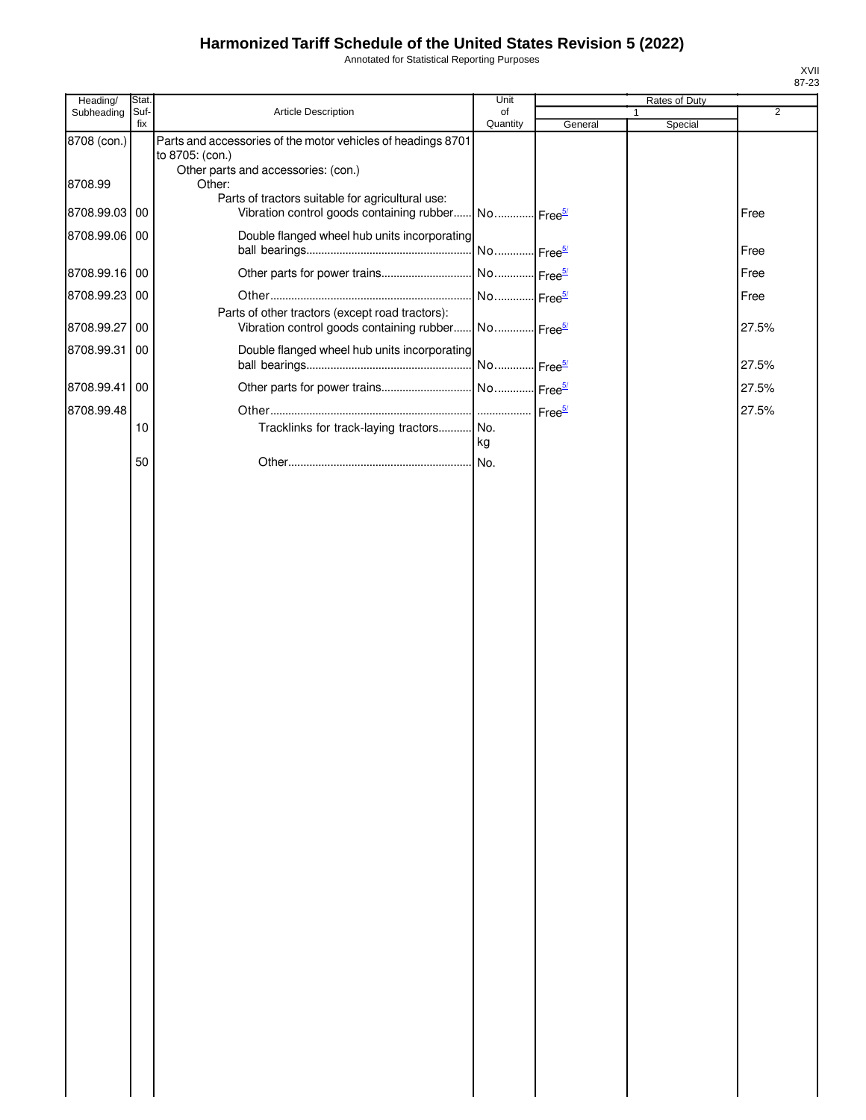Annotated for Statistical Reporting Purposes

| Heading/      | Stat.       |                                                                                                                        | Unit                  |         | Rates of Duty |                |
|---------------|-------------|------------------------------------------------------------------------------------------------------------------------|-----------------------|---------|---------------|----------------|
| Subheading    | Suf-<br>fix | Article Description                                                                                                    | of<br>Quantity        | General | Special       | $\overline{2}$ |
| 8708 (con.)   |             | Parts and accessories of the motor vehicles of headings 8701<br>to 8705: (con.)<br>Other parts and accessories: (con.) |                       |         |               |                |
| 8708.99       |             | Other:<br>Parts of tractors suitable for agricultural use:                                                             |                       |         |               |                |
| 8708.99.03 00 |             | Vibration control goods containing rubber No Free <sup>5/</sup>                                                        |                       |         |               | Free           |
| 8708.99.06 00 |             | Double flanged wheel hub units incorporating                                                                           | No Free <sup>5/</sup> |         |               | Free           |
| 8708.99.16 00 |             |                                                                                                                        |                       |         |               | Free           |
| 8708.99.23 00 |             |                                                                                                                        | No Free <sup>5/</sup> |         |               | Free           |
| 8708.99.27 00 |             | Parts of other tractors (except road tractors):<br>Vibration control goods containing rubber                           | No Free <sup>5/</sup> |         |               | 27.5%          |
| 8708.99.31 00 |             | Double flanged wheel hub units incorporating                                                                           | No Free <sup>5/</sup> |         |               | 27.5%          |
| 8708.99.41 00 |             |                                                                                                                        |                       |         |               | 27.5%          |
| 8708.99.48    |             |                                                                                                                        |                       |         |               | 27.5%          |
|               | 10          | Tracklinks for track-laying tractors No.                                                                               | kg                    |         |               |                |
|               | 50          |                                                                                                                        | No.                   |         |               |                |
|               |             |                                                                                                                        |                       |         |               |                |
|               |             |                                                                                                                        |                       |         |               |                |
|               |             |                                                                                                                        |                       |         |               |                |
|               |             |                                                                                                                        |                       |         |               |                |
|               |             |                                                                                                                        |                       |         |               |                |
|               |             |                                                                                                                        |                       |         |               |                |
|               |             |                                                                                                                        |                       |         |               |                |
|               |             |                                                                                                                        |                       |         |               |                |
|               |             |                                                                                                                        |                       |         |               |                |
|               |             |                                                                                                                        |                       |         |               |                |
|               |             |                                                                                                                        |                       |         |               |                |
|               |             |                                                                                                                        |                       |         |               |                |
|               |             |                                                                                                                        |                       |         |               |                |
|               |             |                                                                                                                        |                       |         |               |                |
|               |             |                                                                                                                        |                       |         |               |                |
|               |             |                                                                                                                        |                       |         |               |                |
|               |             |                                                                                                                        |                       |         |               |                |
|               |             |                                                                                                                        |                       |         |               |                |
|               |             |                                                                                                                        |                       |         |               |                |
|               |             |                                                                                                                        |                       |         |               |                |
|               |             |                                                                                                                        |                       |         |               |                |
|               |             |                                                                                                                        |                       |         |               |                |
|               |             |                                                                                                                        |                       |         |               |                |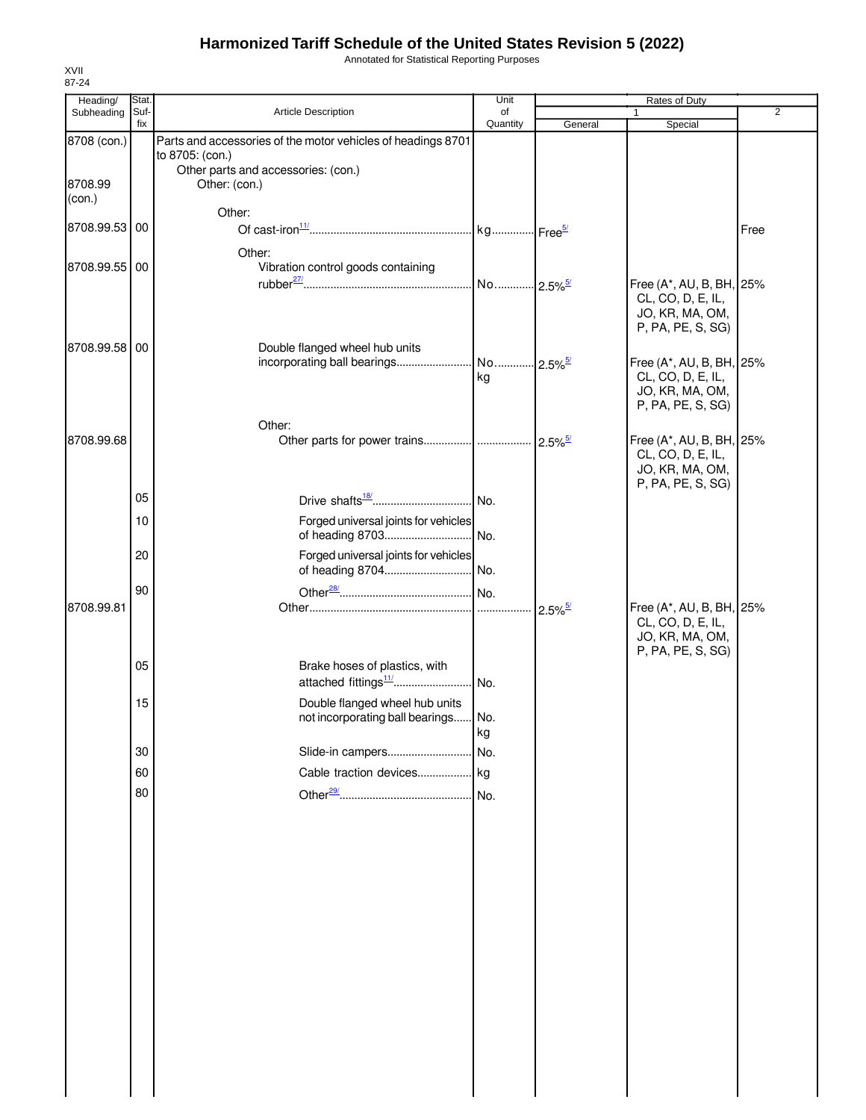Annotated for Statistical Reporting Purposes

| Heading/          | Stat.       |                                                                                 | Unit           | Rates of Duty         |                                                                                       |                |
|-------------------|-------------|---------------------------------------------------------------------------------|----------------|-----------------------|---------------------------------------------------------------------------------------|----------------|
| Subheading        | Suf-<br>fix | Article Description                                                             | of<br>Quantity | General               | 1<br>Special                                                                          | $\overline{2}$ |
| 8708 (con.)       |             | Parts and accessories of the motor vehicles of headings 8701<br>to 8705: (con.) |                |                       |                                                                                       |                |
| 8708.99<br>(con.) |             | Other parts and accessories: (con.)<br>Other: (con.)                            |                |                       |                                                                                       |                |
| 8708.99.53 00     |             | Other:                                                                          |                |                       |                                                                                       | Free           |
| 8708.99.55 00     |             | Other:<br>Vibration control goods containing                                    |                |                       | Free (A*, AU, B, BH, 25%                                                              |                |
|                   |             |                                                                                 |                |                       | CL, CO, D, E, IL,<br>JO, KR, MA, OM,<br>P, PA, PE, S, SG)                             |                |
| 8708.99.58 00     |             | Double flanged wheel hub units                                                  | kg             |                       | Free (A*, AU, B, BH, 25%<br>CL, CO, D, E, IL,                                         |                |
|                   |             | Other:                                                                          |                |                       | JO, KR, MA, OM,<br>P, PA, PE, S, SG)                                                  |                |
| 8708.99.68        |             |                                                                                 |                | $2.5\%$ <sup>5/</sup> | Free (A*, AU, B, BH, 25%<br>CL, CO, D, E, IL,<br>JO, KR, MA, OM,                      |                |
|                   | 05          |                                                                                 |                |                       | P, PA, PE, S, SG)                                                                     |                |
|                   | 10          | Forged universal joints for vehicles                                            |                |                       |                                                                                       |                |
|                   | 20<br>90    | Forged universal joints for vehicles                                            |                |                       |                                                                                       |                |
| 8708.99.81        |             |                                                                                 |                |                       | Free (A*, AU, B, BH, 25%<br>CL, CO, D, E, IL,<br>JO, KR, MA, OM,<br>P, PA, PE, S, SG) |                |
|                   | 05          | Brake hoses of plastics, with                                                   |                |                       |                                                                                       |                |
|                   | 15          | Double flanged wheel hub units<br>not incorporating ball bearings No.           | kg             |                       |                                                                                       |                |
|                   | 30          |                                                                                 |                |                       |                                                                                       |                |
|                   | 60          |                                                                                 |                |                       |                                                                                       |                |
|                   | 80          |                                                                                 |                |                       |                                                                                       |                |
|                   |             |                                                                                 |                |                       |                                                                                       |                |
|                   |             |                                                                                 |                |                       |                                                                                       |                |
|                   |             |                                                                                 |                |                       |                                                                                       |                |
|                   |             |                                                                                 |                |                       |                                                                                       |                |
|                   |             |                                                                                 |                |                       |                                                                                       |                |
|                   |             |                                                                                 |                |                       |                                                                                       |                |
|                   |             |                                                                                 |                |                       |                                                                                       |                |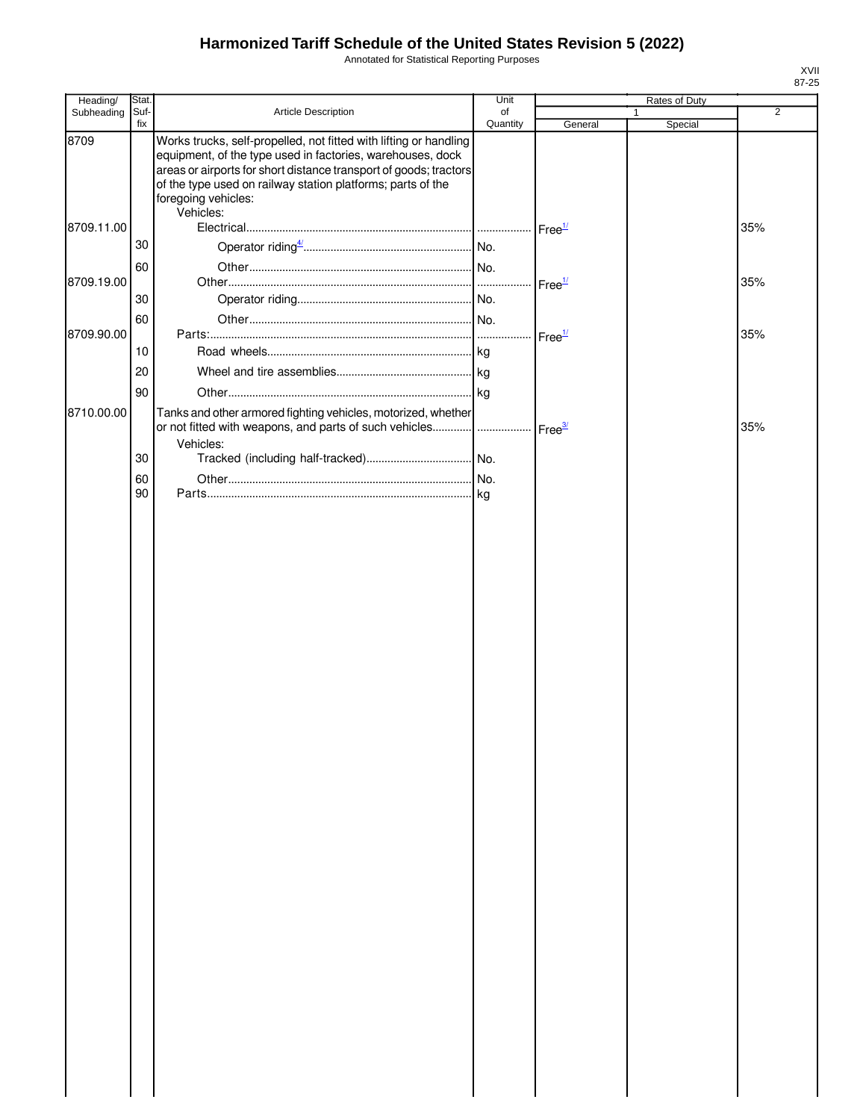Annotated for Statistical Reporting Purposes

| Heading/   | Stat.       |                                                                                                                                                                                                                                                                                                         | Unit           |                    | Rates of Duty |                |
|------------|-------------|---------------------------------------------------------------------------------------------------------------------------------------------------------------------------------------------------------------------------------------------------------------------------------------------------------|----------------|--------------------|---------------|----------------|
| Subheading | Suf-<br>fix | Article Description                                                                                                                                                                                                                                                                                     | of<br>Quantity | General            | 1<br>Special  | $\overline{2}$ |
| 8709       |             | Works trucks, self-propelled, not fitted with lifting or handling<br>equipment, of the type used in factories, warehouses, dock<br>areas or airports for short distance transport of goods; tractors<br>of the type used on railway station platforms; parts of the<br>foregoing vehicles:<br>Vehicles: |                |                    |               |                |
| 8709.11.00 |             |                                                                                                                                                                                                                                                                                                         |                | Free <sup>1/</sup> |               | 35%            |
|            | 30          |                                                                                                                                                                                                                                                                                                         |                |                    |               |                |
|            | 60          |                                                                                                                                                                                                                                                                                                         |                |                    |               |                |
| 8709.19.00 |             |                                                                                                                                                                                                                                                                                                         |                | Free <sup>1/</sup> |               | 35%            |
|            | 30          |                                                                                                                                                                                                                                                                                                         |                |                    |               |                |
| 8709.90.00 | 60          |                                                                                                                                                                                                                                                                                                         |                | Free <sup>1/</sup> |               | 35%            |
|            | 10          |                                                                                                                                                                                                                                                                                                         |                |                    |               |                |
|            | 20          |                                                                                                                                                                                                                                                                                                         |                |                    |               |                |
|            | 90          |                                                                                                                                                                                                                                                                                                         |                |                    |               |                |
| 8710.00.00 |             | Tanks and other armored fighting vehicles, motorized, whether                                                                                                                                                                                                                                           |                |                    |               |                |
|            |             |                                                                                                                                                                                                                                                                                                         |                | Free <sup>3/</sup> |               | 35%            |
|            |             | Vehicles:                                                                                                                                                                                                                                                                                               |                |                    |               |                |
|            | 30          |                                                                                                                                                                                                                                                                                                         |                |                    |               |                |
|            | 60<br>90    |                                                                                                                                                                                                                                                                                                         |                |                    |               |                |
|            |             |                                                                                                                                                                                                                                                                                                         |                |                    |               |                |
|            |             |                                                                                                                                                                                                                                                                                                         |                |                    |               |                |
|            |             |                                                                                                                                                                                                                                                                                                         |                |                    |               |                |
|            |             |                                                                                                                                                                                                                                                                                                         |                |                    |               |                |
|            |             |                                                                                                                                                                                                                                                                                                         |                |                    |               |                |
|            |             |                                                                                                                                                                                                                                                                                                         |                |                    |               |                |
|            |             |                                                                                                                                                                                                                                                                                                         |                |                    |               |                |
|            |             |                                                                                                                                                                                                                                                                                                         |                |                    |               |                |
|            |             |                                                                                                                                                                                                                                                                                                         |                |                    |               |                |
|            |             |                                                                                                                                                                                                                                                                                                         |                |                    |               |                |
|            |             |                                                                                                                                                                                                                                                                                                         |                |                    |               |                |
|            |             |                                                                                                                                                                                                                                                                                                         |                |                    |               |                |
|            |             |                                                                                                                                                                                                                                                                                                         |                |                    |               |                |
|            |             |                                                                                                                                                                                                                                                                                                         |                |                    |               |                |
|            |             |                                                                                                                                                                                                                                                                                                         |                |                    |               |                |
|            |             |                                                                                                                                                                                                                                                                                                         |                |                    |               |                |
|            |             |                                                                                                                                                                                                                                                                                                         |                |                    |               |                |
|            |             |                                                                                                                                                                                                                                                                                                         |                |                    |               |                |
|            |             |                                                                                                                                                                                                                                                                                                         |                |                    |               |                |
|            |             |                                                                                                                                                                                                                                                                                                         |                |                    |               |                |
|            |             |                                                                                                                                                                                                                                                                                                         |                |                    |               |                |
|            |             |                                                                                                                                                                                                                                                                                                         |                |                    |               |                |
|            |             |                                                                                                                                                                                                                                                                                                         |                |                    |               |                |
|            |             |                                                                                                                                                                                                                                                                                                         |                |                    |               |                |
|            |             |                                                                                                                                                                                                                                                                                                         |                |                    |               |                |
|            |             |                                                                                                                                                                                                                                                                                                         |                |                    |               |                |
|            |             |                                                                                                                                                                                                                                                                                                         |                |                    |               |                |
|            |             |                                                                                                                                                                                                                                                                                                         |                |                    |               |                |
|            |             |                                                                                                                                                                                                                                                                                                         |                |                    |               |                |
|            |             |                                                                                                                                                                                                                                                                                                         |                |                    |               |                |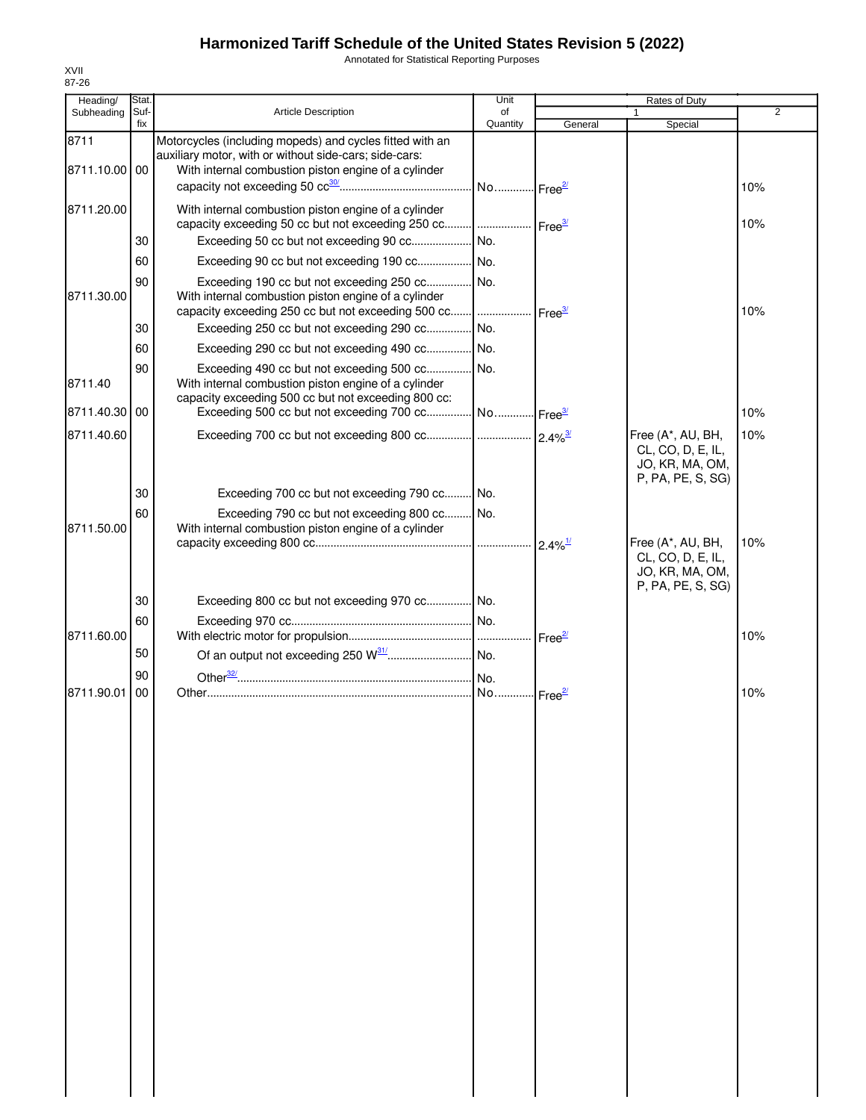Annotated for Statistical Reporting Purposes

| Heading/      | Stat. |                                                                                                                                                              | Unit     |         | Rates of Duty                                                                  |     |
|---------------|-------|--------------------------------------------------------------------------------------------------------------------------------------------------------------|----------|---------|--------------------------------------------------------------------------------|-----|
| Subheading    | Suf-  | <b>Article Description</b>                                                                                                                                   | of       |         |                                                                                | 2   |
| 8711          | fix   | Motorcycles (including mopeds) and cycles fitted with an<br>auxiliary motor, with or without side-cars; side-cars:                                           | Quantity | General | Special                                                                        |     |
| 8711.10.00 00 |       | With internal combustion piston engine of a cylinder                                                                                                         |          |         |                                                                                | 10% |
| 8711.20.00    |       | With internal combustion piston engine of a cylinder                                                                                                         |          |         |                                                                                |     |
|               | 30    | capacity exceeding 50 cc but not exceeding 250 cc    Free3/                                                                                                  |          |         |                                                                                | 10% |
|               | 60    |                                                                                                                                                              |          |         |                                                                                |     |
|               | 90    | Exceeding 190 cc but not exceeding 250 cc No.                                                                                                                |          |         |                                                                                |     |
| 8711.30.00    |       | With internal combustion piston engine of a cylinder<br>capacity exceeding 250 cc but not exceeding 500 cc    Free34                                         |          |         |                                                                                | 10% |
|               | 30    | Exceeding 250 cc but not exceeding 290 cc No.                                                                                                                |          |         |                                                                                |     |
|               | 60    | Exceeding 290 cc but not exceeding 490 cc No.                                                                                                                |          |         |                                                                                |     |
| 8711.40       | 90    | Exceeding 490 cc but not exceeding 500 cc No.<br>With internal combustion piston engine of a cylinder<br>capacity exceeding 500 cc but not exceeding 800 cc: |          |         |                                                                                |     |
| 8711.40.30    | 00    | Exceeding 500 cc but not exceeding 700 cc No Free <sup>3/</sup>                                                                                              |          |         |                                                                                | 10% |
| 8711.40.60    |       |                                                                                                                                                              |          |         | Free (A*, AU, BH,<br>CL, CO, D, E, IL,<br>JO, KR, MA, OM,<br>P, PA, PE, S, SG) | 10% |
|               | 30    | Exceeding 700 cc but not exceeding 790 cc No.                                                                                                                |          |         |                                                                                |     |
| 8711.50.00    | 60    | Exceeding 790 cc but not exceeding 800 cc No.<br>With internal combustion piston engine of a cylinder                                                        |          |         |                                                                                |     |
|               |       |                                                                                                                                                              |          |         | Free (A*, AU, BH,<br>CL, CO, D, E, IL,<br>JO, KR, MA, OM,<br>P, PA, PE, S, SG) | 10% |
|               | 30    | Exceeding 800 cc but not exceeding 970 cc No.                                                                                                                |          |         |                                                                                |     |
| 8711.60.00    | 60    |                                                                                                                                                              |          |         |                                                                                | 10% |
|               | 50    |                                                                                                                                                              |          |         |                                                                                |     |
|               | 90    |                                                                                                                                                              |          |         |                                                                                |     |
| 8711.90.01    | 00    |                                                                                                                                                              |          |         |                                                                                | 10% |
|               |       |                                                                                                                                                              |          |         |                                                                                |     |
|               |       |                                                                                                                                                              |          |         |                                                                                |     |
|               |       |                                                                                                                                                              |          |         |                                                                                |     |
|               |       |                                                                                                                                                              |          |         |                                                                                |     |
|               |       |                                                                                                                                                              |          |         |                                                                                |     |
|               |       |                                                                                                                                                              |          |         |                                                                                |     |
|               |       |                                                                                                                                                              |          |         |                                                                                |     |
|               |       |                                                                                                                                                              |          |         |                                                                                |     |
|               |       |                                                                                                                                                              |          |         |                                                                                |     |
|               |       |                                                                                                                                                              |          |         |                                                                                |     |
|               |       |                                                                                                                                                              |          |         |                                                                                |     |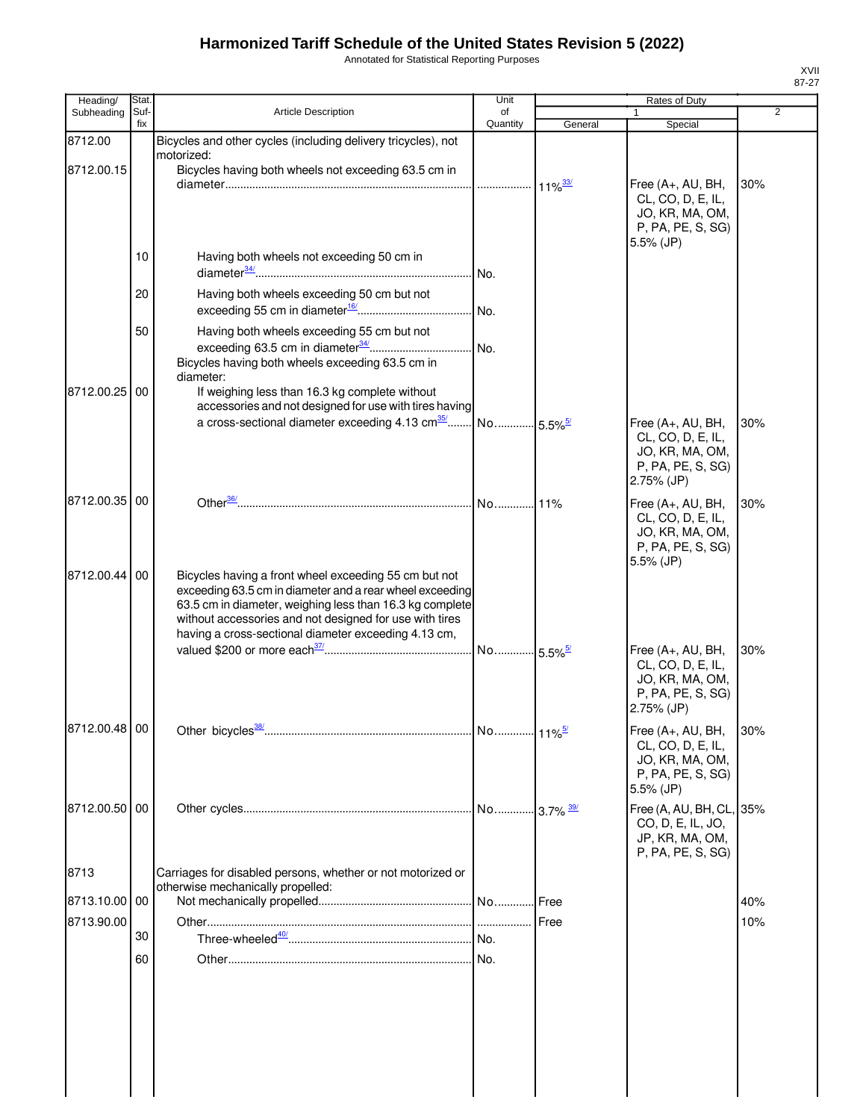Annotated for Statistical Reporting Purposes

| Heading/      | Stat.       |                                                                                                                 | Unit           |         | Rates of Duty                          |                |
|---------------|-------------|-----------------------------------------------------------------------------------------------------------------|----------------|---------|----------------------------------------|----------------|
| Subheading    | Suf-<br>fix | <b>Article Description</b>                                                                                      | of<br>Quantity | General | Special                                | $\overline{2}$ |
| 8712.00       |             | Bicycles and other cycles (including delivery tricycles), not                                                   |                |         |                                        |                |
|               |             | motorized:                                                                                                      |                |         |                                        |                |
| 8712.00.15    |             | Bicycles having both wheels not exceeding 63.5 cm in                                                            |                |         |                                        |                |
|               |             |                                                                                                                 |                |         | Free (A+, AU, BH,<br>CL, CO, D, E, IL, | 30%            |
|               |             |                                                                                                                 |                |         | JO, KR, MA, OM,                        |                |
|               |             |                                                                                                                 |                |         | P, PA, PE, S, SG)                      |                |
|               |             |                                                                                                                 |                |         | $5.5\%$ (JP)                           |                |
|               | 10          | Having both wheels not exceeding 50 cm in                                                                       |                |         |                                        |                |
|               |             |                                                                                                                 |                |         |                                        |                |
|               | 20          | Having both wheels exceeding 50 cm but not                                                                      |                |         |                                        |                |
|               |             |                                                                                                                 |                |         |                                        |                |
|               | 50          | Having both wheels exceeding 55 cm but not                                                                      |                |         |                                        |                |
|               |             |                                                                                                                 |                |         |                                        |                |
|               |             | Bicycles having both wheels exceeding 63.5 cm in<br>diameter:                                                   |                |         |                                        |                |
| 8712.00.25    | 00          | If weighing less than 16.3 kg complete without                                                                  |                |         |                                        |                |
|               |             | accessories and not designed for use with tires having                                                          |                |         |                                        |                |
|               |             |                                                                                                                 |                |         | Free (A+, AU, BH,                      | 30%            |
|               |             |                                                                                                                 |                |         | CL, CO, D, E, IL,<br>JO, KR, MA, OM,   |                |
|               |             |                                                                                                                 |                |         | P, PA, PE, S, SG)                      |                |
|               |             |                                                                                                                 |                |         | 2.75% (JP)                             |                |
| 8712.00.35 00 |             |                                                                                                                 |                |         | Free (A+, AU, BH,                      | 30%            |
|               |             |                                                                                                                 |                |         | CL, CO, D, E, IL,                      |                |
|               |             |                                                                                                                 |                |         | JO, KR, MA, OM,                        |                |
|               |             |                                                                                                                 |                |         | P, PA, PE, S, SG)<br>5.5% (JP)         |                |
| 8712.00.44 00 |             | Bicycles having a front wheel exceeding 55 cm but not                                                           |                |         |                                        |                |
|               |             | exceeding 63.5 cm in diameter and a rear wheel exceeding                                                        |                |         |                                        |                |
|               |             | 63.5 cm in diameter, weighing less than 16.3 kg complete                                                        |                |         |                                        |                |
|               |             | without accessories and not designed for use with tires<br>having a cross-sectional diameter exceeding 4.13 cm, |                |         |                                        |                |
|               |             |                                                                                                                 |                |         | Free (A+, AU, BH,                      | 30%            |
|               |             |                                                                                                                 |                |         | CL, CO, D, E, IL,                      |                |
|               |             |                                                                                                                 |                |         | JO, KR, MA, OM,                        |                |
|               |             |                                                                                                                 |                |         | P, PA, PE, S, SG)<br>2.75% (JP)        |                |
|               |             |                                                                                                                 |                |         |                                        |                |
| 8712.00.48 00 |             |                                                                                                                 |                |         | Free (A+, AU, BH,                      | 30%            |
|               |             |                                                                                                                 |                |         | CL, CO, D, E, IL,<br>JO, KR, MA, OM,   |                |
|               |             |                                                                                                                 |                |         | P, PA, PE, S, SG)                      |                |
|               |             |                                                                                                                 |                |         | 5.5% (JP)                              |                |
| 8712.00.50 00 |             |                                                                                                                 |                |         | Free (A, AU, BH, CL, 35%               |                |
|               |             |                                                                                                                 |                |         | CO, D, E, IL, JO,                      |                |
|               |             |                                                                                                                 |                |         | JP, KR, MA, OM,<br>P, PA, PE, S, SG)   |                |
| 8713          |             | Carriages for disabled persons, whether or not motorized or                                                     |                |         |                                        |                |
|               |             | otherwise mechanically propelled:                                                                               |                |         |                                        |                |
| 8713.10.00    | 00          |                                                                                                                 |                |         |                                        | 40%            |
| 8713.90.00    |             |                                                                                                                 |                | Free    |                                        | 10%            |
|               | 30          |                                                                                                                 |                |         |                                        |                |
|               | 60          |                                                                                                                 |                |         |                                        |                |
|               |             |                                                                                                                 |                |         |                                        |                |
|               |             |                                                                                                                 |                |         |                                        |                |
|               |             |                                                                                                                 |                |         |                                        |                |
|               |             |                                                                                                                 |                |         |                                        |                |
|               |             |                                                                                                                 |                |         |                                        |                |
|               |             |                                                                                                                 |                |         |                                        |                |
|               |             |                                                                                                                 |                |         |                                        |                |
|               |             |                                                                                                                 |                |         |                                        |                |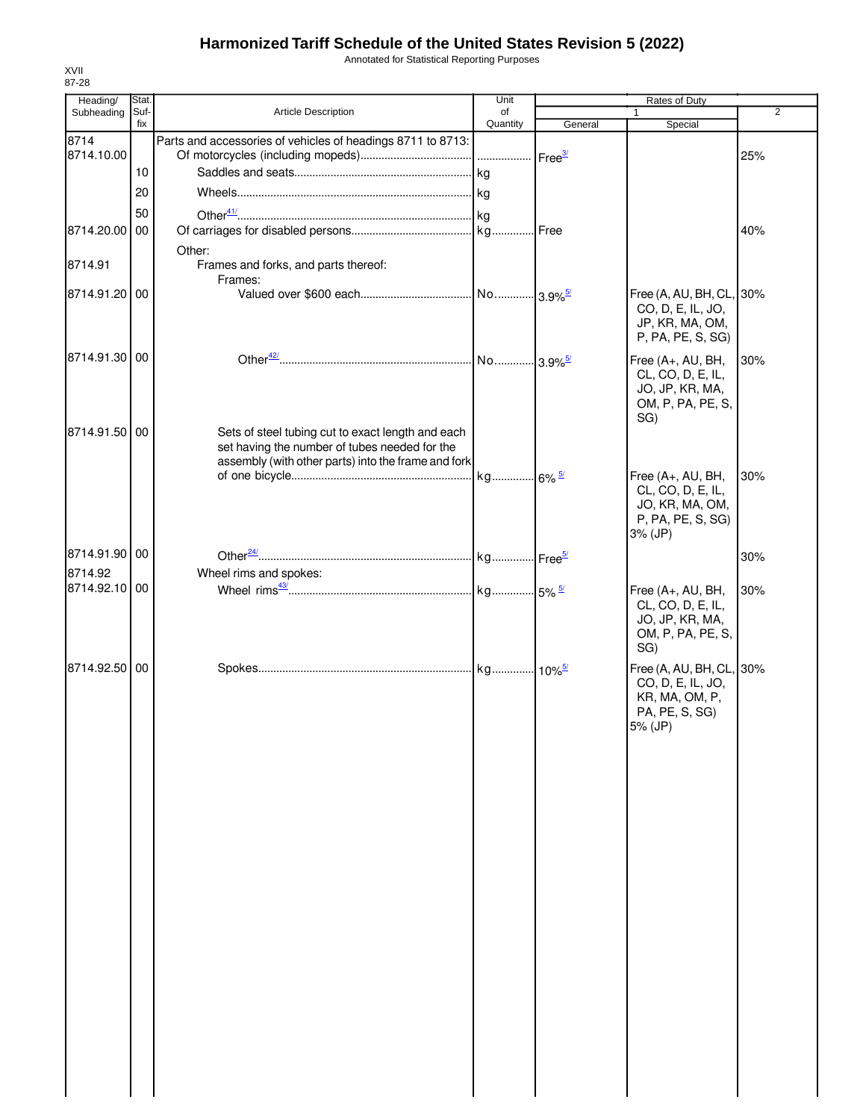Annotated for Statistical Reporting Purposes

| Heading/      | Stat.       |                                                                                                                                                           | Unit           |         | <b>Rates of Duty</b>                                                                         |                |
|---------------|-------------|-----------------------------------------------------------------------------------------------------------------------------------------------------------|----------------|---------|----------------------------------------------------------------------------------------------|----------------|
| Subheading    | Suf-<br>fix | Article Description                                                                                                                                       | of<br>Quantity | General | 1<br>Special                                                                                 | $\overline{2}$ |
| 8714          |             | Parts and accessories of vehicles of headings 8711 to 8713:                                                                                               |                |         |                                                                                              |                |
| 8714.10.00    |             |                                                                                                                                                           |                |         |                                                                                              | 25%            |
|               | 10          |                                                                                                                                                           |                |         |                                                                                              |                |
|               | 20          |                                                                                                                                                           |                |         |                                                                                              |                |
|               |             |                                                                                                                                                           |                |         |                                                                                              |                |
|               | 50          |                                                                                                                                                           |                |         |                                                                                              |                |
| 8714.20.00    | 00          |                                                                                                                                                           |                |         |                                                                                              | 40%            |
|               |             | Other:                                                                                                                                                    |                |         |                                                                                              |                |
| 8714.91       |             | Frames and forks, and parts thereof:<br>Frames:                                                                                                           |                |         |                                                                                              |                |
| 8714.91.20 00 |             |                                                                                                                                                           |                |         | Free (A, AU, BH, CL, 30%                                                                     |                |
|               |             |                                                                                                                                                           |                |         | CO, D, E, IL, JO,<br>JP, KR, MA, OM,<br>P, PA, PE, S, SG)                                    |                |
| 8714.91.30 00 |             |                                                                                                                                                           |                |         | Free (A+, AU, BH,<br>CL, CO, D, E, IL,<br>JO, JP, KR, MA,<br>OM, P, PA, PE, S,<br>SG)        | 30%            |
| 8714.91.50 00 |             | Sets of steel tubing cut to exact length and each<br>set having the number of tubes needed for the<br>assembly (with other parts) into the frame and fork |                |         |                                                                                              |                |
|               |             |                                                                                                                                                           |                |         | Free (A+, AU, BH,<br>CL, CO, D, E, IL,<br>JO, KR, MA, OM,<br>P, PA, PE, S, SG)<br>3% (JP)    | 30%            |
| 8714.91.90 00 |             |                                                                                                                                                           |                |         |                                                                                              | 30%            |
| 8714.92       |             | Wheel rims and spokes:                                                                                                                                    |                |         |                                                                                              |                |
| 8714.92.10 00 |             |                                                                                                                                                           |                |         | Free (A+, AU, BH,                                                                            | 30%            |
|               |             |                                                                                                                                                           |                |         | CL, CO, D, E, IL,<br>JO, JP, KR, MA,<br>OM, P, PA, PE, S,<br>SG)                             |                |
| 8714.92.50 00 |             |                                                                                                                                                           |                |         | Free (A, AU, BH, CL, 30%<br>CO, D, E, IL, JO,<br>KR, MA, OM, P,<br>PA, PE, S, SG)<br>5% (JP) |                |
|               |             |                                                                                                                                                           |                |         |                                                                                              |                |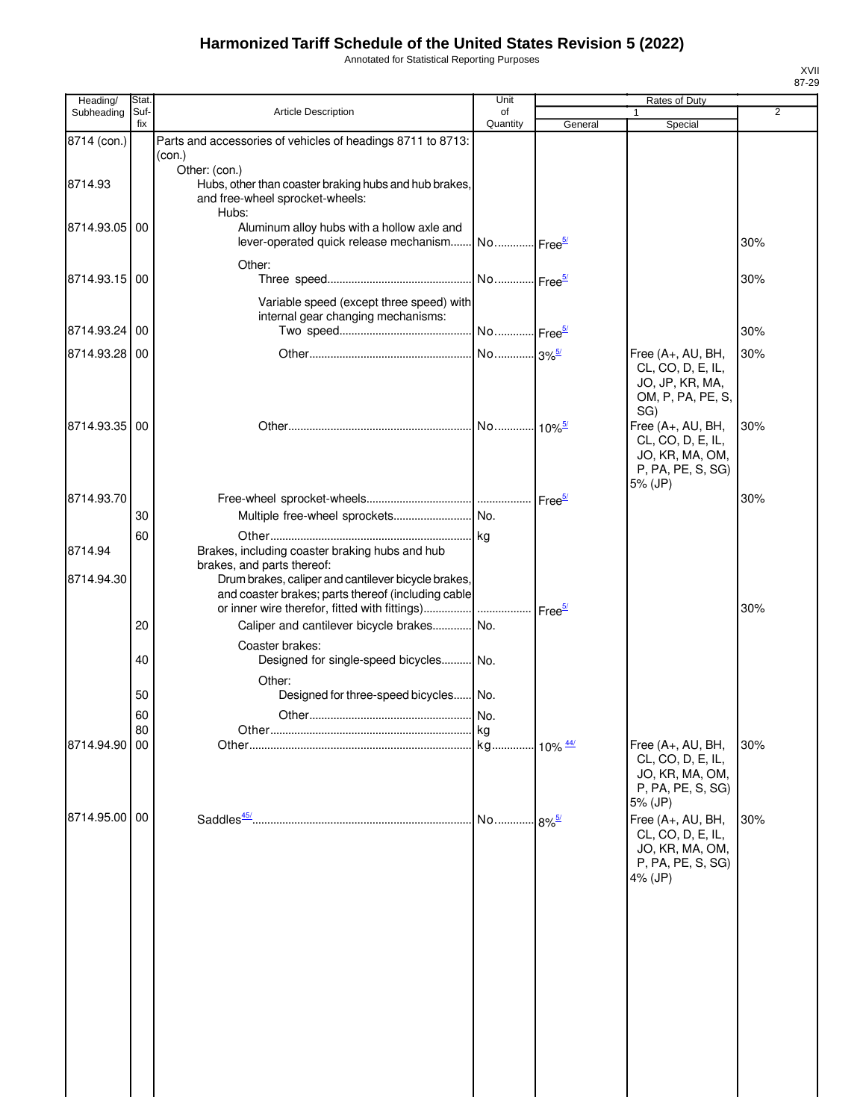Annotated for Statistical Reporting Purposes

| Heading/      | Stat        |                                                                                          | Unit                                   |                    | Rates of Duty                          |                |
|---------------|-------------|------------------------------------------------------------------------------------------|----------------------------------------|--------------------|----------------------------------------|----------------|
| Subheading    | Suf-<br>fix | Article Description                                                                      | of<br>Quantity                         | General            | Special                                | $\overline{2}$ |
| 8714 (con.)   |             | Parts and accessories of vehicles of headings 8711 to 8713:                              |                                        |                    |                                        |                |
|               |             | (con.)                                                                                   |                                        |                    |                                        |                |
|               |             | Other: (con.)                                                                            |                                        |                    |                                        |                |
| 8714.93       |             | Hubs, other than coaster braking hubs and hub brakes,<br>and free-wheel sprocket-wheels: |                                        |                    |                                        |                |
|               |             | Hubs:                                                                                    |                                        |                    |                                        |                |
| 8714.93.05    | 00          | Aluminum alloy hubs with a hollow axle and                                               |                                        |                    |                                        |                |
|               |             | lever-operated quick release mechanism No Free <sup>5/</sup>                             |                                        |                    |                                        | 30%            |
|               |             | Other:                                                                                   |                                        |                    |                                        |                |
| 8714.93.15 00 |             |                                                                                          |                                        |                    |                                        | 30%            |
|               |             | Variable speed (except three speed) with                                                 |                                        |                    |                                        |                |
|               |             | internal gear changing mechanisms:                                                       |                                        |                    |                                        |                |
| 8714.93.24    | 00          |                                                                                          | No  Free <sup>5/</sup>                 |                    |                                        | 30%            |
| 8714.93.28 00 |             |                                                                                          | No 3% <sup>5/</sup>                    |                    | Free (A+, AU, BH,                      | 30%            |
|               |             |                                                                                          |                                        |                    | CL, CO, D, E, IL,                      |                |
|               |             |                                                                                          |                                        |                    | JO, JP, KR, MA,                        |                |
|               |             |                                                                                          |                                        |                    | OM, P, PA, PE, S,                      |                |
| 8714.93.35 00 |             |                                                                                          |                                        |                    | SG)<br>Free (A+, AU, BH,               | 30%            |
|               |             |                                                                                          |                                        |                    | CL, CO, D, E, IL,                      |                |
|               |             |                                                                                          |                                        |                    | JO, KR, MA, OM,                        |                |
|               |             |                                                                                          |                                        |                    | P, PA, PE, S, SG)                      |                |
|               |             |                                                                                          |                                        |                    | 5% (JP)                                |                |
| 8714.93.70    | 30          |                                                                                          |                                        |                    |                                        | 30%            |
|               |             |                                                                                          |                                        |                    |                                        |                |
| 8714.94       | 60          | Brakes, including coaster braking hubs and hub                                           |                                        |                    |                                        |                |
|               |             | brakes, and parts thereof:                                                               |                                        |                    |                                        |                |
| 8714.94.30    |             | Drum brakes, caliper and cantilever bicycle brakes,                                      |                                        |                    |                                        |                |
|               |             | and coaster brakes; parts thereof (including cable                                       |                                        |                    |                                        |                |
|               |             | or inner wire therefor, fitted with fittings)                                            |                                        | Free <sup>5/</sup> |                                        | 30%            |
|               | 20          | Caliper and cantilever bicycle brakes No.                                                |                                        |                    |                                        |                |
|               |             | Coaster brakes:                                                                          |                                        |                    |                                        |                |
|               | 40          | Designed for single-speed bicycles No.                                                   |                                        |                    |                                        |                |
|               |             | Other:                                                                                   |                                        |                    |                                        |                |
|               | 50          | Designed for three-speed bicycles No.                                                    |                                        |                    |                                        |                |
|               | 60          |                                                                                          |                                        |                    |                                        |                |
| 8714.94.90    | 80<br>00    |                                                                                          | .Ikg<br>. kg 10% <u><sup>44/</sup></u> |                    | Free (A+, AU, BH,                      | 30%            |
|               |             |                                                                                          |                                        |                    | CL, CO, D, E, IL,                      |                |
|               |             |                                                                                          |                                        |                    | JO, KR, MA, OM,                        |                |
|               |             |                                                                                          |                                        |                    | P, PA, PE, S, SG)                      |                |
| 8714.95.00 00 |             |                                                                                          |                                        |                    | 5% (JP)                                |                |
|               |             |                                                                                          | No 8% <sup>5/</sup>                    |                    | Free (A+, AU, BH,<br>CL, CO, D, E, IL, | 30%            |
|               |             |                                                                                          |                                        |                    | JO, KR, MA, OM,                        |                |
|               |             |                                                                                          |                                        |                    | P, PA, PE, S, SG)                      |                |
|               |             |                                                                                          |                                        |                    | 4% (JP)                                |                |
|               |             |                                                                                          |                                        |                    |                                        |                |
|               |             |                                                                                          |                                        |                    |                                        |                |
|               |             |                                                                                          |                                        |                    |                                        |                |
|               |             |                                                                                          |                                        |                    |                                        |                |
|               |             |                                                                                          |                                        |                    |                                        |                |
|               |             |                                                                                          |                                        |                    |                                        |                |
|               |             |                                                                                          |                                        |                    |                                        |                |
|               |             |                                                                                          |                                        |                    |                                        |                |
|               |             |                                                                                          |                                        |                    |                                        |                |
|               |             |                                                                                          |                                        |                    |                                        |                |
|               |             |                                                                                          |                                        |                    |                                        |                |
|               |             |                                                                                          |                                        |                    |                                        |                |

XVII 87-29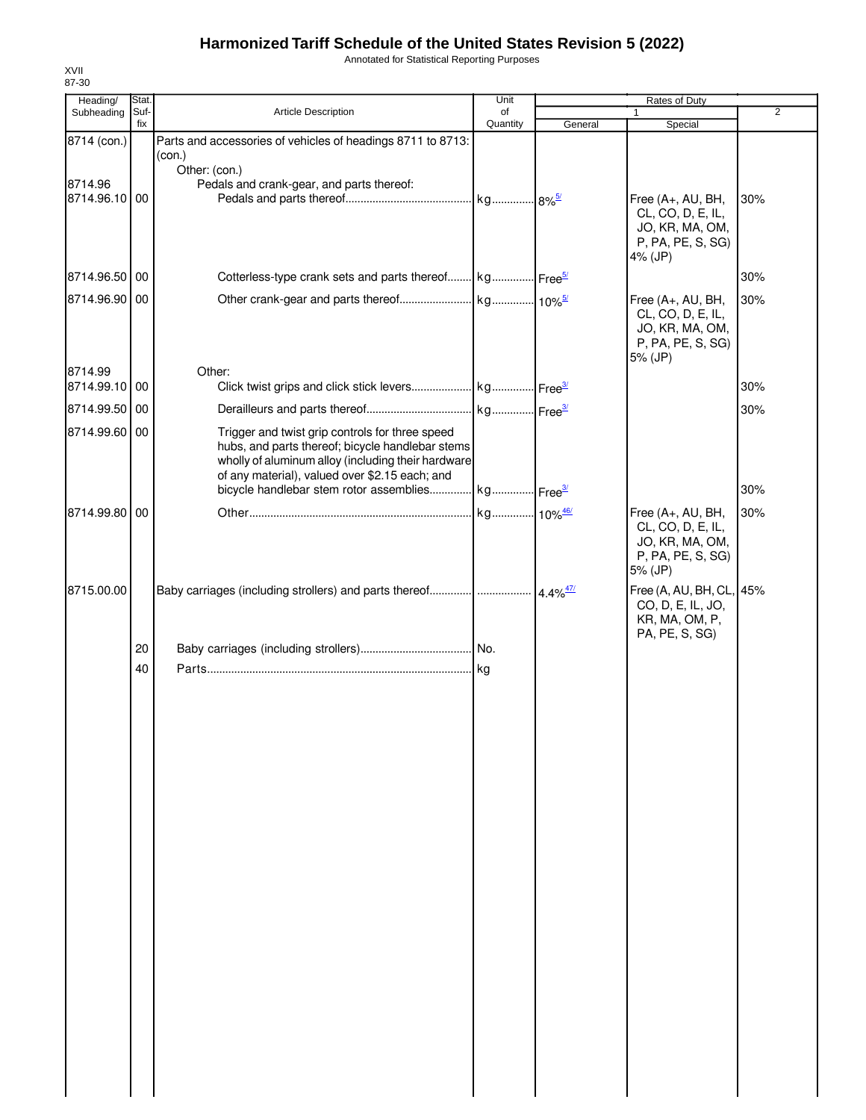Annotated for Statistical Reporting Purposes

| Heading/                 | Stat.       |                                                                                                                                                                                                             | Unit           |         | Rates of Duty                                                                             |                |
|--------------------------|-------------|-------------------------------------------------------------------------------------------------------------------------------------------------------------------------------------------------------------|----------------|---------|-------------------------------------------------------------------------------------------|----------------|
| Subheading               | Suf-<br>fix | Article Description                                                                                                                                                                                         | of<br>Quantity | General | 1<br>Special                                                                              | $\overline{2}$ |
| 8714 (con.)              |             | Parts and accessories of vehicles of headings 8711 to 8713:<br>(con.)                                                                                                                                       |                |         |                                                                                           |                |
| 8714.96<br>8714.96.10 00 |             | Other: (con.)<br>Pedals and crank-gear, and parts thereof:                                                                                                                                                  |                |         | Free (A+, AU, BH,<br>CL, CO, D, E, IL,<br>JO, KR, MA, OM,<br>P, PA, PE, S, SG)<br>4% (JP) | 30%            |
| 8714.96.50 00            |             | Cotterless-type crank sets and parts thereof kg Free <sup>5/</sup>                                                                                                                                          |                |         |                                                                                           | 30%            |
| 8714.96.90 00            |             |                                                                                                                                                                                                             |                |         | Free (A+, AU, BH,<br>CL, CO, D, E, IL,<br>JO, KR, MA, OM,<br>P, PA, PE, S, SG)<br>5% (JP) | 30%            |
| 8714.99<br>8714.99.10 00 |             | Other:                                                                                                                                                                                                      |                |         |                                                                                           | 30%            |
| 8714.99.50 00            |             |                                                                                                                                                                                                             |                |         |                                                                                           | 30%            |
| 8714.99.60 00            |             | Trigger and twist grip controls for three speed<br>hubs, and parts thereof; bicycle handlebar stems<br>wholly of aluminum alloy (including their hardware<br>of any material), valued over \$2.15 each; and |                |         |                                                                                           |                |
|                          |             | bicycle handlebar stem rotor assemblies kg Free3                                                                                                                                                            |                |         |                                                                                           | 30%            |
| 8714.99.80 00            |             |                                                                                                                                                                                                             |                |         | Free (A+, AU, BH,<br>CL, CO, D, E, IL,<br>JO, KR, MA, OM,<br>P, PA, PE, S, SG)<br>5% (JP) | 30%            |
| 8715.00.00               |             |                                                                                                                                                                                                             |                |         | Free (A, AU, BH, CL, 45%<br>CO, D, E, IL, JO,<br>KR, MA, OM, P,<br>PA, PE, S, SG)         |                |
|                          | 20          |                                                                                                                                                                                                             |                |         |                                                                                           |                |
|                          | 40          |                                                                                                                                                                                                             |                |         |                                                                                           |                |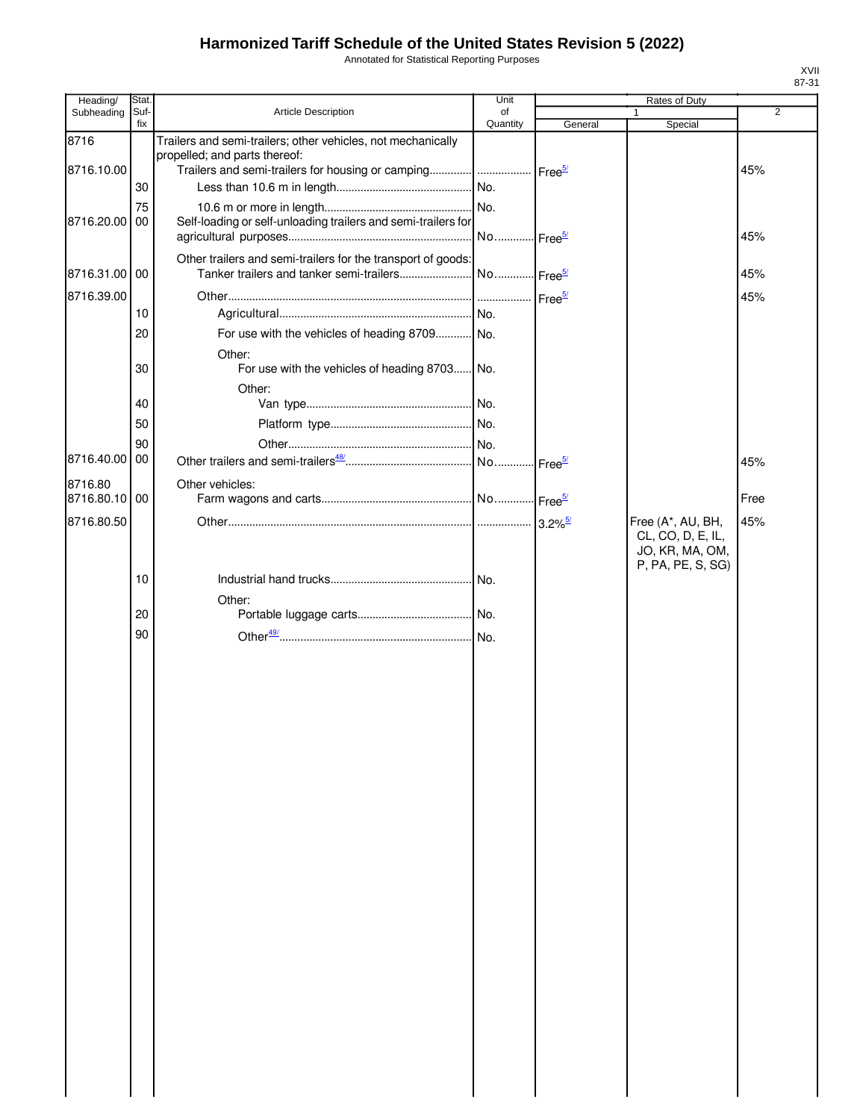Annotated for Statistical Reporting Purposes

| Heading/              | Stat.       |                                                                                                                                                                          | Unit           |                       | Rates of Duty                                             |                |
|-----------------------|-------------|--------------------------------------------------------------------------------------------------------------------------------------------------------------------------|----------------|-----------------------|-----------------------------------------------------------|----------------|
| Subheading            | Suf-<br>fix | Article Description                                                                                                                                                      | of<br>Quantity | General               | Special                                                   | $\overline{2}$ |
| 8716<br>8716.10.00    |             | Trailers and semi-trailers; other vehicles, not mechanically<br>propelled; and parts thereof:<br>Trailers and semi-trailers for housing or camping    Free <sup>5/</sup> |                |                       |                                                           | 45%            |
|                       | 30          |                                                                                                                                                                          |                |                       |                                                           |                |
|                       | 75          |                                                                                                                                                                          |                |                       |                                                           |                |
| 8716.20.00            | 00          | Self-loading or self-unloading trailers and semi-trailers for                                                                                                            |                |                       |                                                           | 45%            |
| 8716.31.00 00         |             | Other trailers and semi-trailers for the transport of goods:                                                                                                             |                |                       |                                                           | 45%            |
| 8716.39.00            |             |                                                                                                                                                                          |                |                       |                                                           | 45%            |
|                       | 10          |                                                                                                                                                                          |                |                       |                                                           |                |
|                       | 20          | For use with the vehicles of heading 8709 No.                                                                                                                            |                |                       |                                                           |                |
|                       | 30          | Other:<br>For use with the vehicles of heading 8703 No.                                                                                                                  |                |                       |                                                           |                |
|                       |             | Other:                                                                                                                                                                   |                |                       |                                                           |                |
|                       | 40          |                                                                                                                                                                          |                |                       |                                                           |                |
|                       | 50          |                                                                                                                                                                          |                |                       |                                                           |                |
|                       | 90          |                                                                                                                                                                          |                |                       |                                                           |                |
| 8716.40.00            | 00          |                                                                                                                                                                          |                | Free <sup>5/</sup>    |                                                           | 45%            |
| 8716.80<br>8716.80.10 | 00          | Other vehicles:                                                                                                                                                          |                |                       |                                                           | Free           |
| 8716.80.50            |             |                                                                                                                                                                          |                | $3.2\%$ <sup>5/</sup> | Free (A*, AU, BH,                                         | 45%            |
|                       |             |                                                                                                                                                                          |                |                       | CL, CO, D, E, IL,<br>JO, KR, MA, OM,<br>P, PA, PE, S, SG) |                |
|                       | 10          |                                                                                                                                                                          |                |                       |                                                           |                |
|                       | 20          | Other:                                                                                                                                                                   |                |                       |                                                           |                |
|                       |             |                                                                                                                                                                          |                |                       |                                                           |                |
|                       | 90          |                                                                                                                                                                          |                |                       |                                                           |                |
|                       |             |                                                                                                                                                                          |                |                       |                                                           |                |
|                       |             |                                                                                                                                                                          |                |                       |                                                           |                |
|                       |             |                                                                                                                                                                          |                |                       |                                                           |                |
|                       |             |                                                                                                                                                                          |                |                       |                                                           |                |
|                       |             |                                                                                                                                                                          |                |                       |                                                           |                |
|                       |             |                                                                                                                                                                          |                |                       |                                                           |                |
|                       |             |                                                                                                                                                                          |                |                       |                                                           |                |
|                       |             |                                                                                                                                                                          |                |                       |                                                           |                |
|                       |             |                                                                                                                                                                          |                |                       |                                                           |                |
|                       |             |                                                                                                                                                                          |                |                       |                                                           |                |
|                       |             |                                                                                                                                                                          |                |                       |                                                           |                |
|                       |             |                                                                                                                                                                          |                |                       |                                                           |                |
|                       |             |                                                                                                                                                                          |                |                       |                                                           |                |
|                       |             |                                                                                                                                                                          |                |                       |                                                           |                |
|                       |             |                                                                                                                                                                          |                |                       |                                                           |                |
|                       |             |                                                                                                                                                                          |                |                       |                                                           |                |
|                       |             |                                                                                                                                                                          |                |                       |                                                           |                |
|                       |             |                                                                                                                                                                          |                |                       |                                                           |                |
|                       |             |                                                                                                                                                                          |                |                       |                                                           |                |
|                       |             |                                                                                                                                                                          |                |                       |                                                           |                |
|                       |             |                                                                                                                                                                          |                |                       |                                                           |                |
|                       |             |                                                                                                                                                                          |                |                       |                                                           |                |
|                       |             |                                                                                                                                                                          |                |                       |                                                           |                |
|                       |             |                                                                                                                                                                          |                |                       |                                                           |                |
|                       |             |                                                                                                                                                                          |                |                       |                                                           |                |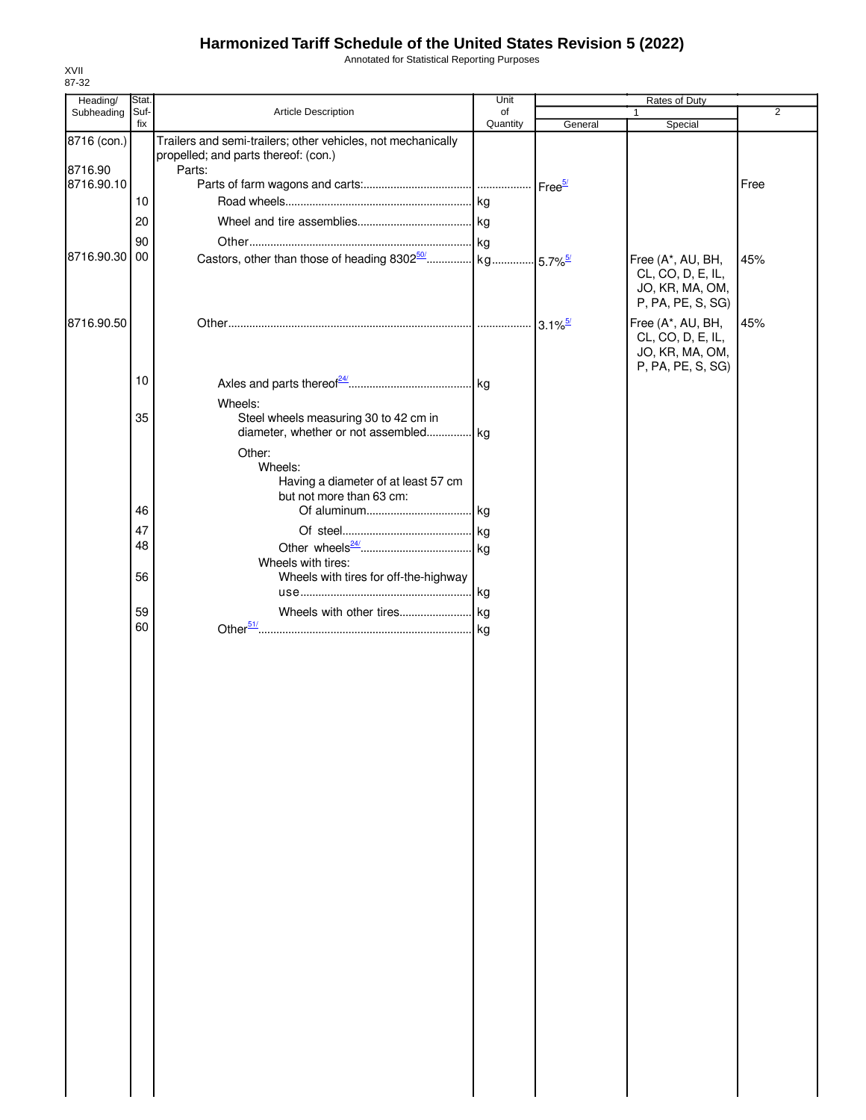Annotated for Statistical Reporting Purposes

| Heading/    | Stat. |                                                                                                      | Unit     |         | Rates of Duty                                                                  |                |
|-------------|-------|------------------------------------------------------------------------------------------------------|----------|---------|--------------------------------------------------------------------------------|----------------|
| Subheading  | Suf-  | Article Description                                                                                  | of       |         | 1                                                                              | $\overline{2}$ |
| 8716 (con.) | fix   | Trailers and semi-trailers; other vehicles, not mechanically<br>propelled; and parts thereof: (con.) | Quantity | General | Special                                                                        |                |
| 8716.90     |       | Parts:                                                                                               |          |         |                                                                                |                |
| 8716.90.10  |       |                                                                                                      |          |         |                                                                                | Free           |
|             | 10    |                                                                                                      |          |         |                                                                                |                |
|             | 20    |                                                                                                      |          |         |                                                                                |                |
|             |       |                                                                                                      |          |         |                                                                                |                |
|             | 90    |                                                                                                      |          |         |                                                                                |                |
| 8716.90.30  | 00    |                                                                                                      |          |         | Free (A*, AU, BH,<br>CL, CO, D, E, IL,<br>JO, KR, MA, OM,<br>P, PA, PE, S, SG) | 45%            |
| 8716.90.50  |       |                                                                                                      |          |         | Free (A*, AU, BH,<br>CL, CO, D, E, IL,<br>JO, KR, MA, OM,<br>P, PA, PE, S, SG) | 45%            |
|             | 10    |                                                                                                      |          |         |                                                                                |                |
|             |       | Wheels:                                                                                              |          |         |                                                                                |                |
|             | 35    | Steel wheels measuring 30 to 42 cm in                                                                |          |         |                                                                                |                |
|             |       | diameter, whether or not assembled kg                                                                |          |         |                                                                                |                |
|             |       | Other:                                                                                               |          |         |                                                                                |                |
|             |       | Wheels:                                                                                              |          |         |                                                                                |                |
|             |       | Having a diameter of at least 57 cm                                                                  |          |         |                                                                                |                |
|             |       | but not more than 63 cm:                                                                             |          |         |                                                                                |                |
|             | 46    |                                                                                                      |          |         |                                                                                |                |
|             | 47    |                                                                                                      |          |         |                                                                                |                |
|             | 48    |                                                                                                      |          |         |                                                                                |                |
|             |       | Wheels with tires:                                                                                   |          |         |                                                                                |                |
|             | 56    | Wheels with tires for off-the-highway                                                                |          |         |                                                                                |                |
|             |       |                                                                                                      |          |         |                                                                                |                |
|             | 59    |                                                                                                      |          |         |                                                                                |                |
|             | 60    |                                                                                                      |          |         |                                                                                |                |
|             |       |                                                                                                      |          |         |                                                                                |                |
|             |       |                                                                                                      |          |         |                                                                                |                |
|             |       |                                                                                                      |          |         |                                                                                |                |
|             |       |                                                                                                      |          |         |                                                                                |                |
|             |       |                                                                                                      |          |         |                                                                                |                |
|             |       |                                                                                                      |          |         |                                                                                |                |
|             |       |                                                                                                      |          |         |                                                                                |                |
|             |       |                                                                                                      |          |         |                                                                                |                |
|             |       |                                                                                                      |          |         |                                                                                |                |
|             |       |                                                                                                      |          |         |                                                                                |                |
|             |       |                                                                                                      |          |         |                                                                                |                |
|             |       |                                                                                                      |          |         |                                                                                |                |
|             |       |                                                                                                      |          |         |                                                                                |                |
|             |       |                                                                                                      |          |         |                                                                                |                |
|             |       |                                                                                                      |          |         |                                                                                |                |
|             |       |                                                                                                      |          |         |                                                                                |                |
|             |       |                                                                                                      |          |         |                                                                                |                |
|             |       |                                                                                                      |          |         |                                                                                |                |
|             |       |                                                                                                      |          |         |                                                                                |                |
|             |       |                                                                                                      |          |         |                                                                                |                |
|             |       |                                                                                                      |          |         |                                                                                |                |
|             |       |                                                                                                      |          |         |                                                                                |                |
|             |       |                                                                                                      |          |         |                                                                                |                |
|             |       |                                                                                                      |          |         |                                                                                |                |
|             |       |                                                                                                      |          |         |                                                                                |                |
|             |       |                                                                                                      |          |         |                                                                                |                |
|             |       |                                                                                                      |          |         |                                                                                |                |